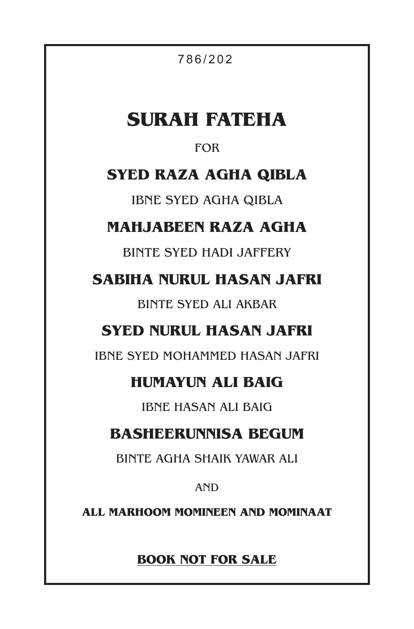7 8 6 / 2 0 2

# **SURAH FATEHA**

### FOR

### **SYED RAZA AGHA QIBLA**

IBNE SYED AGHA QIBLA

### **MAHJABEEN RAZA AGHA**

BINTE SYED HADI JAFFERY

**SABIHA NURUL HASAN JAFRI**

BINTE SYED ALI AKBAR

### **SYED NURUL HASAN JAFRI**

IBNE SYED MOHAMMED HASAN JAFRI

### **HUMAYUN ALI BAIG**

IBNE HASAN ALI BAIG

### **BASHEERUNNISA BEGUM**

BINTE AGHA SHAIK YAWAR ALI

AND

**ALL MARHOOM MOMINEEN AND MOMINAAT**

**BOOK NOT FOR SALE**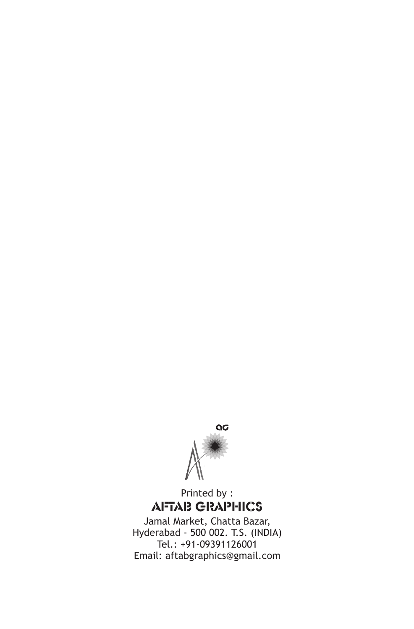

Printed by : AFTAB GRAPHICS

Jamal Market, Chatta Bazar, Hyderabad - 500 002. T.S. (INDIA) Tel.: +91-09391126001 Email: aftabgraphics@gmail.com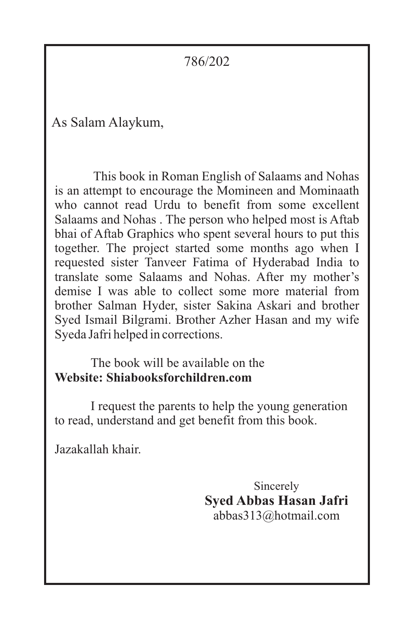786/202

As Salam Alaykum,

This book in Roman English of Salaams and Nohas is an attempt to encourage the Momineen and Mominaath who cannot read Urdu to benefit from some excellent Salaams and Nohas . The person who helped most is Aftab bhai of Aftab Graphics who spent several hours to put this together. The project started some months ago when I requested sister Tanveer Fatima of Hyderabad India to translate some Salaams and Nohas. After my mother's demise I was able to collect some more material from brother Salman Hyder, sister Sakina Askari and brother Syed Ismail Bilgrami. Brother Azher Hasan and my wife Syeda Jafri helped in corrections.

The book will be available on the **Website: Shiabooksforchildren.com**

I request the parents to help the young generation to read, understand and get benefit from this book.

Jazakallah khair.

Sincerely **Syed Abbas Hasan Jafri** abbas313@hotmail.com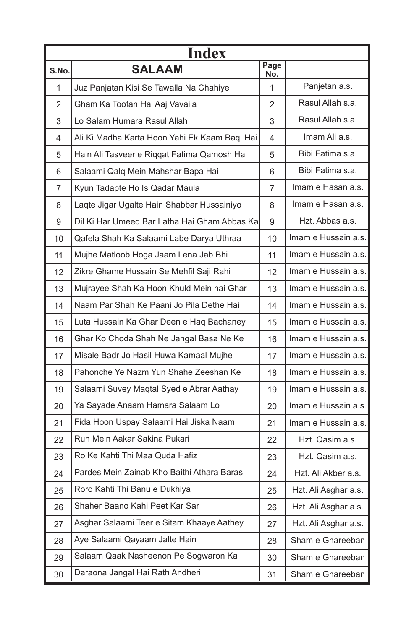| <b>Index</b> |                                               |             |                      |
|--------------|-----------------------------------------------|-------------|----------------------|
| S.No.        | <b>SALAAM</b>                                 | Page<br>No. |                      |
| 1            | Juz Panjatan Kisi Se Tawalla Na Chahiye       | 1           | Panjetan a.s.        |
| 2            | Gham Ka Toofan Hai Aaj Vavaila                | 2           | Rasul Allah s.a.     |
| 3            | Lo Salam Humara Rasul Allah                   | 3           | Rasul Allah s.a.     |
| 4            | Ali Ki Madha Karta Hoon Yahi Ek Kaam Baqi Hai | 4           | Imam Ali a.s.        |
| 5            | Hain Ali Tasveer e Riqqat Fatima Qamosh Hai   | 5           | Bibi Fatima s.a.     |
| 6            | Salaami Qalq Mein Mahshar Bapa Hai            | 6           | Bibi Fatima s.a.     |
| 7            | Kyun Tadapte Ho Is Qadar Maula                | 7           | Imam e Hasan a.s.    |
| 8            | Laqte Jigar Ugalte Hain Shabbar Hussainiyo    | 8           | Imam e Hasan a.s.    |
| 9            | Dil Ki Har Umeed Bar Latha Hai Gham Abbas Ka  | 9           | Hzt. Abbas a.s.      |
| 10           | Qafela Shah Ka Salaami Labe Darya Uthraa      | 10          | Imam e Hussain a.s.  |
| 11           | Mujhe Matloob Hoga Jaam Lena Jab Bhi          | 11          | Imam e Hussain a.s.  |
| 12           | Zikre Ghame Hussain Se Mehfil Saji Rahi       | 12          | Imam e Hussain a.s.  |
| 13           | Mujrayee Shah Ka Hoon Khuld Mein hai Ghar     | 13          | Imam e Hussain a.s.  |
| 14           | Naam Par Shah Ke Paani Jo Pila Dethe Hai      | 14          | Imam e Hussain a.s.  |
| 15           | Luta Hussain Ka Ghar Deen e Haq Bachaney      | 15          | Imam e Hussain a.s.  |
| 16           | Ghar Ko Choda Shah Ne Jangal Basa Ne Ke       | 16          | Imam e Hussain a.s.  |
| 17           | Misale Badr Jo Hasil Huwa Kamaal Mujhe        | 17          | Imam e Hussain a.s.  |
| 18           | Pahonche Ye Nazm Yun Shahe Zeeshan Ke         | 18          | Imam e Hussain a.s.  |
| 19           | Salaami Suvey Maqtal Syed e Abrar Aathay      | 19          | Imam e Hussain a.s.  |
| 20           | Ya Sayade Anaam Hamara Salaam Lo              | 20          | Imam e Hussain a.s.  |
| 21           | Fida Hoon Uspay Salaami Hai Jiska Naam        | 21          | Imam e Hussain a.s.  |
| 22           | Run Mein Aakar Sakina Pukari                  | 22          | Hzt. Qasim a.s.      |
| 23           | Ro Ke Kahti Thi Maa Quda Hafiz                | 23          | Hzt. Qasim a.s.      |
| 24           | Pardes Mein Zainab Kho Baithi Athara Baras    | 24          | Hzt. Ali Akber a.s.  |
| 25           | Roro Kahti Thi Banu e Dukhiya                 | 25          | Hzt. Ali Asghar a.s. |
| 26           | Shaher Baano Kahi Peet Kar Sar                | 26          | Hzt. Ali Asghar a.s. |
| 27           | Asghar Salaami Teer e Sitam Khaaye Aathey     | 27          | Hzt. Ali Asghar a.s. |
| 28           | Aye Salaami Qayaam Jalte Hain                 | 28          | Sham e Ghareeban     |
| 29           | Salaam Qaak Nasheenon Pe Sogwaron Ka          | 30          | Sham e Ghareeban     |
| 30           | Daraona Jangal Hai Rath Andheri               | 31          | Sham e Ghareeban     |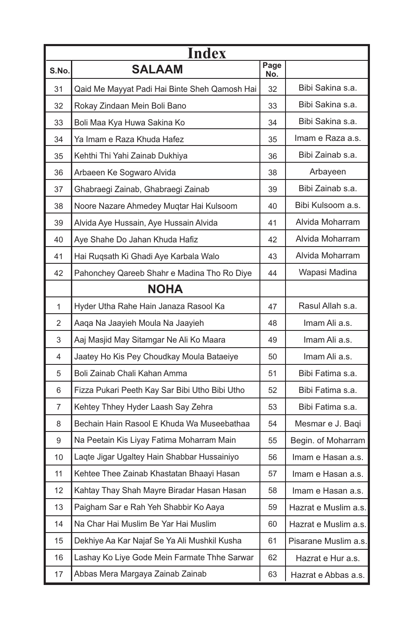| <b>Index</b> |                                                |             |                      |
|--------------|------------------------------------------------|-------------|----------------------|
| S.No.        | <b>SALAAM</b>                                  | Page<br>No. |                      |
| 31           | Qaid Me Mayyat Padi Hai Binte Sheh Qamosh Hai  | 32          | Bibi Sakina s.a.     |
| 32           | Rokay Zindaan Mein Boli Bano                   | 33          | Bibi Sakina s.a.     |
| 33           | Boli Maa Kya Huwa Sakina Ko                    | 34          | Bibi Sakina s.a.     |
| 34           | Ya Imam e Raza Khuda Hafez                     | 35          | Imam e Raza a.s.     |
| 35           | Kehthi Thi Yahi Zainab Dukhiya                 | 36          | Bibi Zainab s.a.     |
| 36           | Arbaeen Ke Sogwaro Alvida                      | 38          | Arbayeen             |
| 37           | Ghabraegi Zainab, Ghabraegi Zainab             | 39          | Bibi Zainab s.a.     |
| 38           | Noore Nazare Ahmedey Muqtar Hai Kulsoom        | 40          | Bibi Kulsoom a.s.    |
| 39           | Alvida Aye Hussain, Aye Hussain Alvida         | 41          | Alvida Moharram      |
| 40           | Aye Shahe Do Jahan Khuda Hafiz                 | 42          | Alvida Moharram      |
| 41           | Hai Ruqsath Ki Ghadi Aye Karbala Walo          | 43          | Alvida Moharram      |
| 42           | Pahonchey Qareeb Shahr e Madina Tho Ro Diye    | 44          | Wapasi Madina        |
|              | <b>NOHA</b>                                    |             |                      |
| 1            | Hyder Utha Rahe Hain Janaza Rasool Ka          | 47          | Rasul Allah s.a.     |
| 2            | Aaqa Na Jaayieh Moula Na Jaayieh               | 48          | Imam Ali a.s.        |
| 3            | Aaj Masjid May Sitamgar Ne Ali Ko Maara        | 49          | Imam Ali a.s.        |
| 4            | Jaatey Ho Kis Pey Choudkay Moula Bataeiye      | 50          | Imam Ali a.s.        |
| 5            | Boli Zainab Chali Kahan Amma                   | 51          | Bibi Fatima s.a.     |
| 6            | Fizza Pukari Peeth Kay Sar Bibi Utho Bibi Utho | 52          | Bibi Fatima s.a.     |
| 7            | Kehtey Thhey Hyder Laash Say Zehra             | 53          | Bibi Fatima s.a.     |
| 8            | Bechain Hain Rasool E Khuda Wa Museebathaa     | 54          | Mesmar e J. Baqi     |
| 9            | Na Peetain Kis Liyay Fatima Moharram Main      | 55          | Begin. of Moharram   |
| 10           | Laqte Jigar Ugaltey Hain Shabbar Hussainiyo    | 56          | Imam e Hasan a.s.    |
| 11           | Kehtee Thee Zainab Khastatan Bhaayi Hasan      | 57          | Imam e Hasan a.s.    |
| 12           | Kahtay Thay Shah Mayre Biradar Hasan Hasan     | 58          | Imam e Hasan a.s.    |
| 13           | Paigham Sar e Rah Yeh Shabbir Ko Aaya          | 59          | Hazrat e Muslim a.s. |
| 14           | Na Char Hai Muslim Be Yar Hai Muslim           | 60          | Hazrat e Muslim a.s. |
| 15           | Dekhiye Aa Kar Najaf Se Ya Ali Mushkil Kusha   | 61          | Pisarane Muslim a.s. |
| 16           | Lashay Ko Liye Gode Mein Farmate Thhe Sarwar   | 62          | Hazrat e Hur a.s.    |
| 17           | Abbas Mera Margaya Zainab Zainab               | 63          | Hazrat e Abbas a.s.  |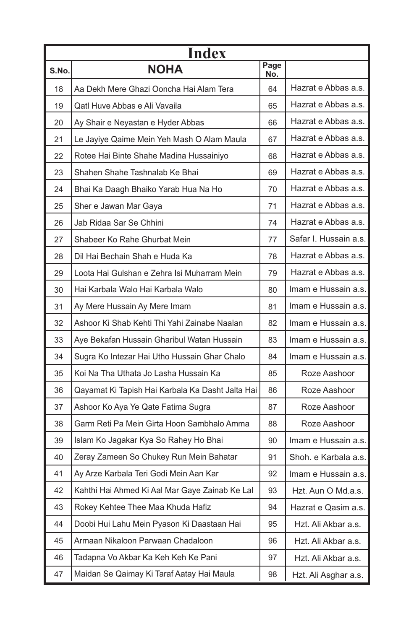| Index |                                                  |             |                       |
|-------|--------------------------------------------------|-------------|-----------------------|
| S.No. | <b>NOHA</b>                                      | Page<br>No. |                       |
| 18    | Aa Dekh Mere Ghazi Ooncha Hai Alam Tera          | 64          | Hazrat e Abbas a.s.   |
| 19    | Qatl Huve Abbas e Ali Vavaila                    | 65          | Hazrat e Abbas a.s.   |
| 20    | Ay Shair e Neyastan e Hyder Abbas                | 66          | Hazrat e Abbas a.s.   |
| 21    | Le Jayiye Qaime Mein Yeh Mash O Alam Maula       | 67          | Hazrat e Abbas a.s.   |
| 22    | Rotee Hai Binte Shahe Madina Hussainiyo          | 68          | Hazrat e Abbas a.s.   |
| 23    | Shahen Shahe Tashnalab Ke Bhai                   | 69          | Hazrat e Abbas a.s.   |
| 24    | Bhai Ka Daagh Bhaiko Yarab Hua Na Ho             | 70          | Hazrat e Abbas a.s.   |
| 25    | Sher e Jawan Mar Gaya                            | 71          | Hazrat e Abbas a.s.   |
| 26    | Jab Ridaa Sar Se Chhini                          | 74          | Hazrat e Abbas a.s.   |
| 27    | Shabeer Ko Rahe Ghurbat Mein                     | 77          | Safar I. Hussain a.s. |
| 28    | Dil Hai Bechain Shah e Huda Ka                   | 78          | Hazrat e Abbas a.s.   |
| 29    | Loota Hai Gulshan e Zehra Isi Muharram Mein      | 79          | Hazrat e Abbas a.s.   |
| 30    | Hai Karbala Walo Hai Karbala Walo                | 80          | Imam e Hussain a.s.   |
| 31    | Ay Mere Hussain Ay Mere Imam                     | 81          | Imam e Hussain a.s.   |
| 32    | Ashoor Ki Shab Kehti Thi Yahi Zainabe Naalan     | 82          | Imam e Hussain a.s.   |
| 33    | Aye Bekafan Hussain Gharibul Watan Hussain       | 83          | Imam e Hussain a.s.   |
| 34    | Sugra Ko Intezar Hai Utho Hussain Ghar Chalo     | 84          | Imam e Hussain a.s.   |
| 35    | Koi Na Tha Uthata Jo Lasha Hussain Ka            | 85          | Roze Aashoor          |
| 36    | Qayamat Ki Tapish Hai Karbala Ka Dasht Jalta Hai | 86          | Roze Aashoor          |
| 37    | Ashoor Ko Aya Ye Qate Fatima Sugra               | 87          | Roze Aashoor          |
| 38    | Garm Reti Pa Mein Girta Hoon Sambhalo Amma       | 88          | Roze Aashoor          |
| 39    | Islam Ko Jagakar Kya So Rahey Ho Bhai            | 90          | Imam e Hussain a.s.   |
| 40    | Zeray Zameen So Chukey Run Mein Bahatar          | 91          | Shoh. e Karbala a.s.  |
| 41    | Ay Arze Karbala Teri Godi Mein Aan Kar           | 92          | Imam e Hussain a.s.   |
| 42    | Kahthi Hai Ahmed Ki Aal Mar Gaye Zainab Ke Lal   | 93          | Hzt. Aun O Md.a.s.    |
| 43    | Rokey Kehtee Thee Maa Khuda Hafiz                | 94          | Hazrat e Qasim a.s.   |
| 44    | Doobi Hui Lahu Mein Pyason Ki Daastaan Hai       | 95          | Hzt. Ali Akbar a.s.   |
| 45    | Armaan Nikaloon Parwaan Chadaloon                | 96          | Hzt. Ali Akbar a.s.   |
| 46    | Tadapna Vo Akbar Ka Keh Keh Ke Pani              | 97          | Hzt. Ali Akbar a.s.   |
| 47    | Maidan Se Qaimay Ki Taraf Aatay Hai Maula        | 98          | Hzt. Ali Asghar a.s.  |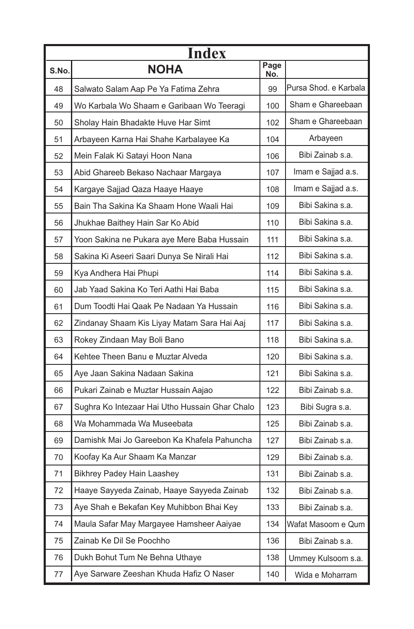| <b>Index</b> |                                                |             |                       |
|--------------|------------------------------------------------|-------------|-----------------------|
| S.No.        | <b>NOHA</b>                                    | Page<br>No. |                       |
| 48           | Salwato Salam Aap Pe Ya Fatima Zehra           | 99          | Pursa Shod. e Karbala |
| 49           | Wo Karbala Wo Shaam e Garibaan Wo Teeragi      | 100         | Sham e Ghareebaan     |
| 50           | Sholay Hain Bhadakte Huve Har Simt             | 102         | Sham e Ghareebaan     |
| 51           | Arbayeen Karna Hai Shahe Karbalayee Ka         | 104         | Arbayeen              |
| 52           | Mein Falak Ki Satayi Hoon Nana                 | 106         | Bibi Zainab s.a.      |
| 53           | Abid Ghareeb Bekaso Nachaar Margaya            | 107         | Imam e Sajjad a.s.    |
| 54           | Kargaye Sajjad Qaza Haaye Haaye                | 108         | Imam e Sajjad a.s.    |
| 55           | Bain Tha Sakina Ka Shaam Hone Waali Hai        | 109         | Bibi Sakina s.a.      |
| 56           | Jhukhae Baithey Hain Sar Ko Abid               | 110         | Bibi Sakina s.a.      |
| 57           | Yoon Sakina ne Pukara aye Mere Baba Hussain    | 111         | Bibi Sakina s.a.      |
| 58           | Sakina Ki Aseeri Saari Dunya Se Nirali Hai     | 112         | Bibi Sakina s.a.      |
| 59           | Kya Andhera Hai Phupi                          | 114         | Bibi Sakina s.a.      |
| 60           | Jab Yaad Sakina Ko Teri Aathi Hai Baba         | 115         | Bibi Sakina s.a.      |
| 61           | Dum Toodti Hai Qaak Pe Nadaan Ya Hussain       | 116         | Bibi Sakina s.a.      |
| 62           | Zindanay Shaam Kis Liyay Matam Sara Hai Aaj    | 117         | Bibi Sakina s.a.      |
| 63           | Rokey Zindaan May Boli Bano                    | 118         | Bibi Sakina s.a.      |
| 64           | Kehtee Theen Banu e Muztar Alveda              | 120         | Bibi Sakina s.a.      |
| 65           | Aye Jaan Sakina Nadaan Sakina                  | 121         | Bibi Sakina s.a.      |
| 66           | Pukari Zainab e Muztar Hussain Aajao           | 122         | Bibi Zainab s.a.      |
| 67           | Sughra Ko Intezaar Hai Utho Hussain Ghar Chalo | 123         | Bibi Sugra s.a.       |
| 68           | Wa Mohammada Wa Museebata                      | 125         | Bibi Zainab s.a.      |
| 69           | Damishk Mai Jo Gareebon Ka Khafela Pahuncha    | 127         | Bibi Zainab s.a.      |
| 70           | Koofay Ka Aur Shaam Ka Manzar                  | 129         | Bibi Zainab s.a.      |
| 71           | Bikhrey Padey Hain Laashey                     | 131         | Bibi Zainab s.a.      |
| 72           | Haaye Sayyeda Zainab, Haaye Sayyeda Zainab     | 132         | Bibi Zainab s.a.      |
| 73           | Aye Shah e Bekafan Key Muhibbon Bhai Key       | 133         | Bibi Zainab s.a.      |
| 74           | Maula Safar May Margayee Hamsheer Aaiyae       | 134         | Wafat Masoom e Qum    |
| 75           | Zainab Ke Dil Se Poochho                       | 136         | Bibi Zainab s.a.      |
| 76           | Dukh Bohut Tum Ne Behna Uthaye                 | 138         | Ummey Kulsoom s.a.    |
| 77           | Aye Sarware Zeeshan Khuda Hafiz O Naser        | 140         | Wida e Moharram       |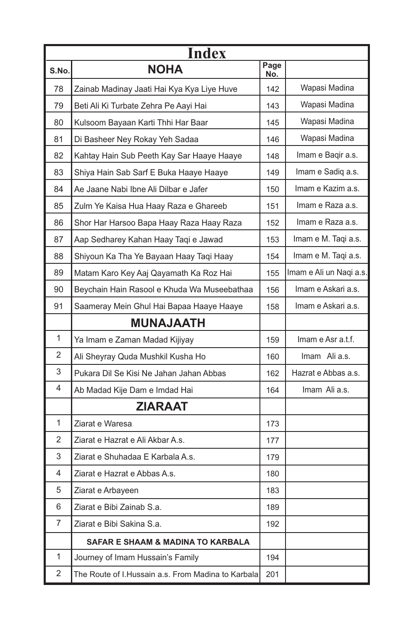| <b>Index</b>   |                                                    |             |                         |
|----------------|----------------------------------------------------|-------------|-------------------------|
| S.No.          | <b>NOHA</b>                                        | Page<br>No. |                         |
| 78             | Zainab Madinay Jaati Hai Kya Kya Liye Huve         | 142         | Wapasi Madina           |
| 79             | Beti Ali Ki Turbate Zehra Pe Aayi Hai              | 143         | Wapasi Madina           |
| 80             | Kulsoom Bayaan Karti Thhi Har Baar                 | 145         | Wapasi Madina           |
| 81             | Di Basheer Ney Rokay Yeh Sadaa                     | 146         | Wapasi Madina           |
| 82             | Kahtay Hain Sub Peeth Kay Sar Haaye Haaye          | 148         | Imam e Baqir a.s.       |
| 83             | Shiya Hain Sab Sarf E Buka Haaye Haaye             | 149         | Imam e Sadiq a.s.       |
| 84             | Ae Jaane Nabi Ibne Ali Dilbar e Jafer              | 150         | Imam e Kazim a.s.       |
| 85             | Zulm Ye Kaisa Hua Haay Raza e Ghareeb              | 151         | Imam e Raza a.s.        |
| 86             | Shor Har Harsoo Bapa Haay Raza Haay Raza           | 152         | Imam e Raza a.s.        |
| 87             | Aap Sedharey Kahan Haay Taqi e Jawad               | 153         | Imam e M. Taqi a.s.     |
| 88             | Shiyoun Ka Tha Ye Bayaan Haay Taqi Haay            | 154         | Imam e M. Taqi a.s.     |
| 89             | Matam Karo Key Aaj Qayamath Ka Roz Hai             | 155         | Imam e Ali un Naqi a.s. |
| 90             | Beychain Hain Rasool e Khuda Wa Museebathaa        | 156         | Imam e Askari a.s.      |
| 91             | Saameray Mein Ghul Hai Bapaa Haaye Haaye           | 158         | Imam e Askari a.s.      |
|                | <b>MUNAJAATH</b>                                   |             |                         |
| $\mathbf{1}$   | Ya Imam e Zaman Madad Kijiyay                      | 159         | Imam e Asr a.t.f.       |
| 2              | Ali Sheyray Quda Mushkil Kusha Ho                  | 160         | Imam Ali a.s.           |
| 3              | Pukara Dil Se Kisi Ne Jahan Jahan Abbas            | 162         | Hazrat e Abbas a.s.     |
| 4              | Ab Madad Kije Dam e Imdad Hai                      | 164         | Imam Ali a.s.           |
|                | <b>ZIARAAT</b>                                     |             |                         |
| 1              | Ziarat e Waresa                                    | 173         |                         |
| 2              | Ziarat e Hazrat e Ali Akbar A.s.                   | 177         |                         |
| 3              | Ziarat e Shuhadaa E Karbala A.s.                   | 179         |                         |
| 4              | Ziarat e Hazrat e Abbas A.s.                       | 180         |                         |
| 5              | Ziarat e Arbayeen                                  | 183         |                         |
| 6              | Ziarat e Bibi Zainab S.a.                          | 189         |                         |
| $\overline{7}$ | Ziarat e Bibi Sakina S.a.                          | 192         |                         |
|                | <b>SAFAR E SHAAM &amp; MADINA TO KARBALA</b>       |             |                         |
| 1              | Journey of Imam Hussain's Family                   | 194         |                         |
| 2              | The Route of I.Hussain a.s. From Madina to Karbala | 201         |                         |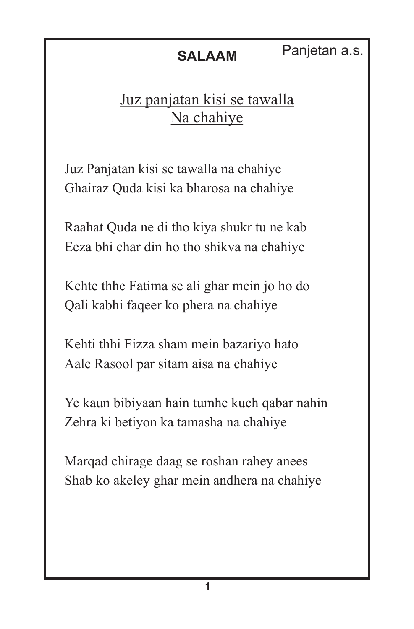### Juz panjatan kisi se tawalla Na chahiye

Juz Panjatan kisi se tawalla na chahiye Ghairaz Quda kisi ka bharosa na chahiye

Raahat Quda ne di tho kiya shukr tu ne kab Eeza bhi char din ho tho shikva na chahiye

Kehte thhe Fatima se ali ghar mein jo ho do Qali kabhi faqeer ko phera na chahiye

Kehti thhi Fizza sham mein bazariyo hato Aale Rasool par sitam aisa na chahiye

Ye kaun bibiyaan hain tumhe kuch qabar nahin Zehra ki betiyon ka tamasha na chahiye

Marqad chirage daag se roshan rahey anees Shab ko akeley ghar mein andhera na chahiye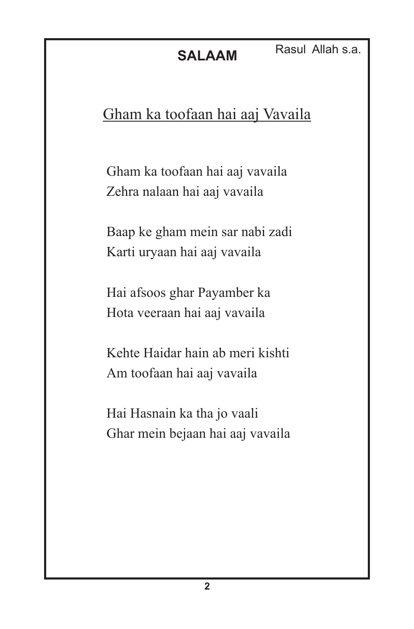### Gham ka toofaan hai aaj Vavaila

Gham ka toofaan hai aaj vavaila Zehra nalaan hai aaj vavaila

Baap ke gham mein sar nabi zadi Karti uryaan hai aaj vavaila

Hai afsoos ghar Payamber ka Hota veeraan hai aaj vavaila

Kehte Haidar hain ab meri kishti Am toofaan hai aaj vavaila

Hai Hasnain ka tha jo vaali Ghar mein bejaan hai aaj vavaila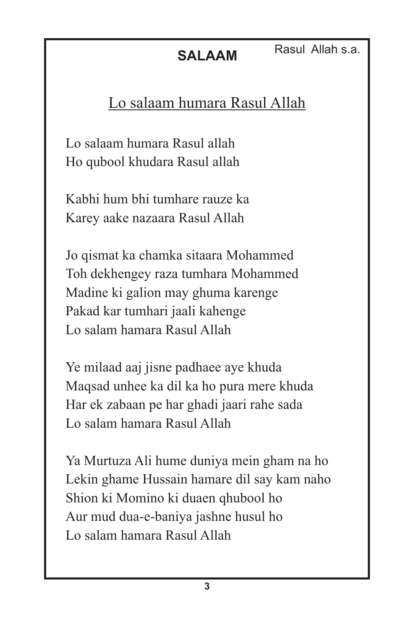## Lo salaam humara Rasul Allah

Lo salaam humara Rasul allah Ho qubool khudara Rasul allah

Kabhi hum bhi tumhare rauze ka Karey aake nazaara Rasul Allah

Jo qismat ka chamka sitaara Mohammed Toh dekhengey raza tumhara Mohammed Madine ki galion may ghuma karenge Pakad kar tumhari jaali kahenge Lo salam hamara Rasul Allah

Ye milaad aaj jisne padhaee aye khuda Maqsad unhee ka dil ka ho pura mere khuda Har ek zabaan pe har ghadi jaari rahe sada Lo salam hamara Rasul Allah

Ya Murtuza Ali hume duniya mein gham na ho Lekin ghame Hussain hamare dil say kam naho Shion ki Momino ki duaen qhubool ho Aur mud dua-e-baniya jashne husul ho Lo salam hamara Rasul Allah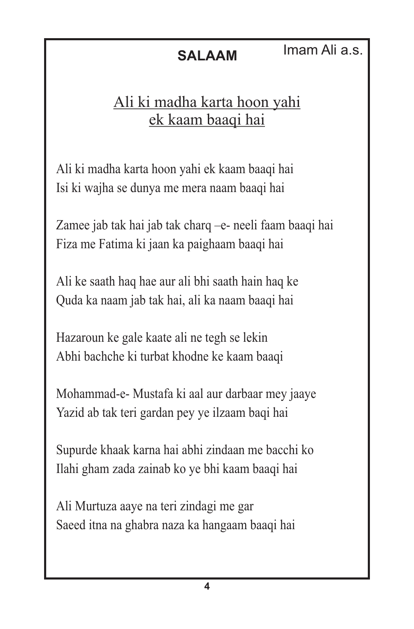## Ali ki madha karta hoon yahi ek kaam baaqi hai

Ali ki madha karta hoon yahi ek kaam baaqi hai Isi ki wajha se dunya me mera naam baaqi hai

Zamee jab tak hai jab tak charq –e- neeli faam baaqi hai Fiza me Fatima ki jaan ka paighaam baaqi hai

Ali ke saath haq hae aur ali bhi saath hain haq ke Quda ka naam jab tak hai, ali ka naam baaqi hai

Hazaroun ke gale kaate ali ne tegh se lekin Abhi bachche ki turbat khodne ke kaam baaqi

Mohammad-e- Mustafa ki aal aur darbaar mey jaaye Yazid ab tak teri gardan pey ye ilzaam baqi hai

Supurde khaak karna hai abhi zindaan me bacchi ko Ilahi gham zada zainab ko ye bhi kaam baaqi hai

Ali Murtuza aaye na teri zindagi me gar Saeed itna na ghabra naza ka hangaam baaqi hai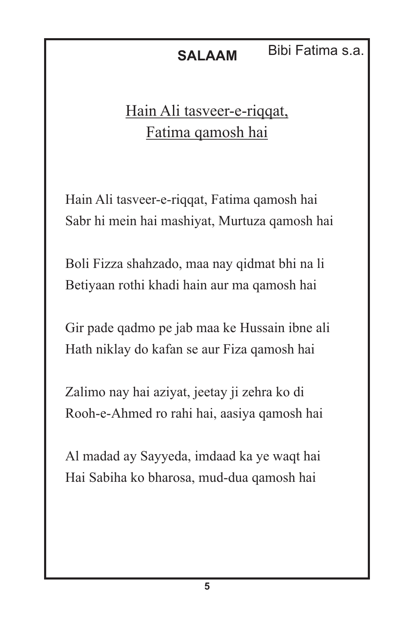### **SALAAM** Bibi Fatima s.a.

# Hain Ali tasveer-e-riqqat, Fatima qamosh hai

Hain Ali tasveer-e-riqqat, Fatima qamosh hai Sabr hi mein hai mashiyat, Murtuza qamosh hai

Boli Fizza shahzado, maa nay qidmat bhi na li Betiyaan rothi khadi hain aur ma qamosh hai

Gir pade qadmo pe jab maa ke Hussain ibne ali Hath niklay do kafan se aur Fiza qamosh hai

Zalimo nay hai aziyat, jeetay ji zehra ko di Rooh-e-Ahmed ro rahi hai, aasiya qamosh hai

Al madad ay Sayyeda, imdaad ka ye waqt hai Hai Sabiha ko bharosa, mud-dua qamosh hai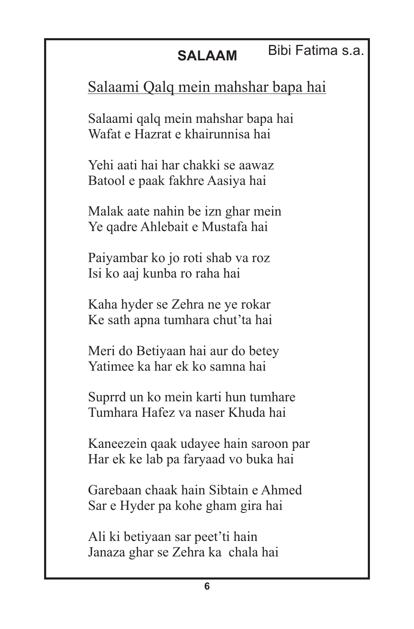Bibi Fatima s.a.

## Salaami Qalq mein mahshar bapa hai

Salaami qalq mein mahshar bapa hai Wafat e Hazrat e khairunnisa hai

Yehi aati hai har chakki se aawaz Batool e paak fakhre Aasiya hai

Malak aate nahin be izn ghar mein Ye qadre Ahlebait e Mustafa hai

Paiyambar ko jo roti shab va roz Isi ko aaj kunba ro raha hai

Kaha hyder se Zehra ne ye rokar Ke sath apna tumhara chut'ta hai

Meri do Betiyaan hai aur do betey Yatimee ka har ek ko samna hai

Suprrd un ko mein karti hun tumhare Tumhara Hafez va naser Khuda hai

Kaneezein qaak udayee hain saroon par Har ek ke lab pa faryaad vo buka hai

Garebaan chaak hain Sibtain e Ahmed Sar e Hyder pa kohe gham gira hai

Ali ki betiyaan sar peet'ti hain Janaza ghar se Zehra ka chala hai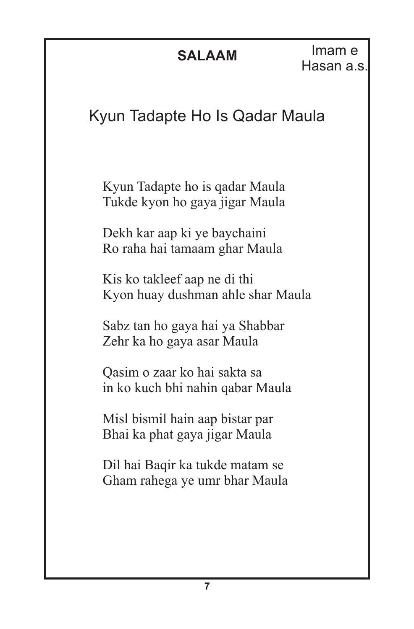# Kyun Tadapte Ho Is Qadar Maula

Kyun Tadapte ho is qadar Maula Tukde kyon ho gaya jigar Maula

Dekh kar aap ki ye baychaini Ro raha hai tamaam ghar Maula

Kis ko takleef aap ne di thi Kyon huay dushman ahle shar Maula

Sabz tan ho gaya hai ya Shabbar Zehr ka ho gaya asar Maula

Qasim o zaar ko hai sakta sa in ko kuch bhi nahin qabar Maula

Misl bismil hain aap bistar par Bhai ka phat gaya jigar Maula

Dil hai Baqir ka tukde matam se Gham rahega ye umr bhar Maula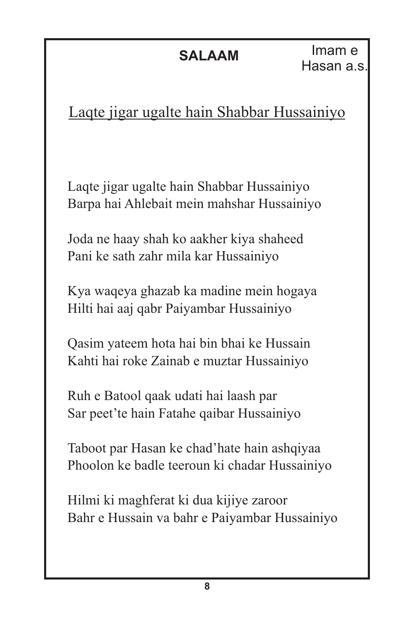# Laqte jigar ugalte hain Shabbar Hussainiyo

Laqte jigar ugalte hain Shabbar Hussainiyo Barpa hai Ahlebait mein mahshar Hussainiyo

Joda ne haay shah ko aakher kiya shaheed Pani ke sath zahr mila kar Hussainiyo

Kya waqeya ghazab ka madine mein hogaya Hilti hai aaj qabr Paiyambar Hussainiyo

Qasim yateem hota hai bin bhai ke Hussain Kahti hai roke Zainab e muztar Hussainiyo

Ruh e Batool qaak udati hai laash par Sar peet'te hain Fatahe qaibar Hussainiyo

Taboot par Hasan ke chad'hate hain ashqiyaa Phoolon ke badle teeroun ki chadar Hussainiyo

Hilmi ki maghferat ki dua kijiye zaroor Bahr e Hussain va bahr e Paiyambar Hussainiyo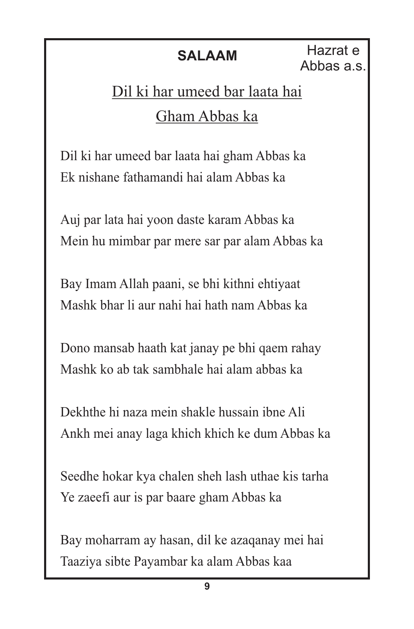**SALAAM** Hazrat e Abbas a.s.

# Dil ki har umeed bar laata hai Gham Abbas ka

Dil ki har umeed bar laata hai gham Abbas ka Ek nishane fathamandi hai alam Abbas ka

Auj par lata hai yoon daste karam Abbas ka Mein hu mimbar par mere sar par alam Abbas ka

Bay Imam Allah paani, se bhi kithni ehtiyaat Mashk bhar li aur nahi hai hath nam Abbas ka

Dono mansab haath kat janay pe bhi qaem rahay Mashk ko ab tak sambhale hai alam abbas ka

Dekhthe hi naza mein shakle hussain ibne Ali Ankh mei anay laga khich khich ke dum Abbas ka

Seedhe hokar kya chalen sheh lash uthae kis tarha Ye zaeefi aur is par baare gham Abbas ka

Bay moharram ay hasan, dil ke azaqanay mei hai Taaziya sibte Payambar ka alam Abbas kaa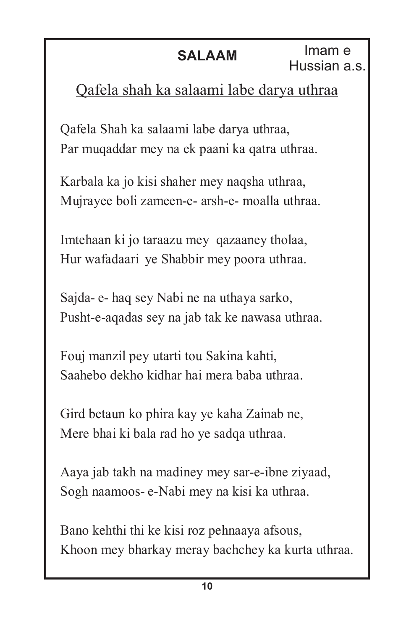# Qafela shah ka salaami labe darya uthraa

Qafela Shah ka salaami labe darya uthraa, Par muqaddar mey na ek paani ka qatra uthraa.

Karbala ka jo kisi shaher mey naqsha uthraa, Mujrayee boli zameen-e- arsh-e- moalla uthraa.

Imtehaan ki jo taraazu mey qazaaney tholaa, Hur wafadaari ye Shabbir mey poora uthraa.

Sajda- e- haq sey Nabi ne na uthaya sarko, Pusht-e-aqadas sey na jab tak ke nawasa uthraa.

Fouj manzil pey utarti tou Sakina kahti, Saahebo dekho kidhar hai mera baba uthraa.

Gird betaun ko phira kay ye kaha Zainab ne, Mere bhai ki bala rad ho ye sadqa uthraa.

Aaya jab takh na madiney mey sar-e-ibne ziyaad, Sogh naamoos- e-Nabi mey na kisi ka uthraa.

Bano kehthi thi ke kisi roz pehnaaya afsous, Khoon mey bharkay meray bachchey ka kurta uthraa.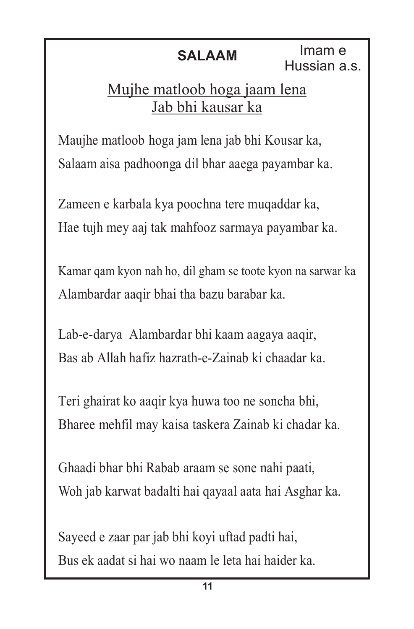# Mujhe matloob hoga jaam lena Jab bhi kausar ka

Maujhe matloob hoga jam lena jab bhi Kousar ka, Salaam aisa padhoonga dil bhar aaega payambar ka.

Zameen e karbala kya poochna tere muqaddar ka, Hae tujh mey aaj tak mahfooz sarmaya payambar ka.

Kamar qam kyon nah ho, dil gham se toote kyon na sarwar ka Alambardar aaqir bhai tha bazu barabar ka.

Lab-e-darya Alambardar bhi kaam aagaya aaqir, Bas ab Allah hafiz hazrath-e-Zainab ki chaadar ka.

Teri ghairat ko aaqir kya huwa too ne soncha bhi, Bharee mehfil may kaisa taskera Zainab ki chadar ka.

Ghaadi bhar bhi Rabab araam se sone nahi paati, Woh jab karwat badalti hai qayaal aata hai Asghar ka.

Sayeed e zaar par jab bhi koyi uftad padti hai, Bus ek aadat si hai wo naam le leta hai haider ka.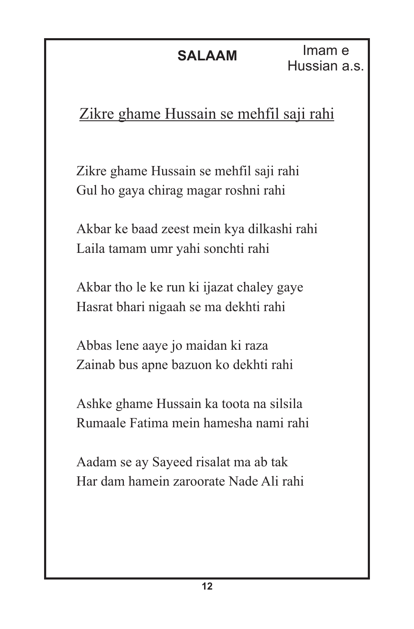Imam e Hussian a.s.

# Zikre ghame Hussain se mehfil saji rahi

Zikre ghame Hussain se mehfil saji rahi Gul ho gaya chirag magar roshni rahi

Akbar ke baad zeest mein kya dilkashi rahi Laila tamam umr yahi sonchti rahi

Akbar tho le ke run ki ijazat chaley gaye Hasrat bhari nigaah se ma dekhti rahi

Abbas lene aaye jo maidan ki raza Zainab bus apne bazuon ko dekhti rahi

Ashke ghame Hussain ka toota na silsila Rumaale Fatima mein hamesha nami rahi

Aadam se ay Sayeed risalat ma ab tak Har dam hamein zaroorate Nade Ali rahi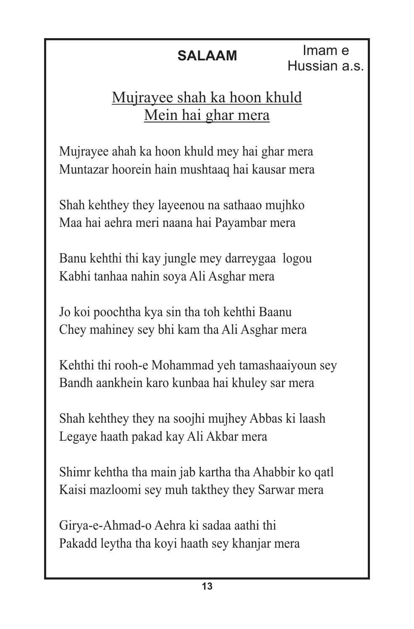# Mujrayee shah ka hoon khuld Mein hai ghar mera

Mujrayee ahah ka hoon khuld mey hai ghar mera Muntazar hoorein hain mushtaaq hai kausar mera

Shah kehthey they layeenou na sathaao mujhko Maa hai aehra meri naana hai Payambar mera

Banu kehthi thi kay jungle mey darreygaa logou Kabhi tanhaa nahin soya Ali Asghar mera

Jo koi poochtha kya sin tha toh kehthi Baanu Chey mahiney sey bhi kam tha Ali Asghar mera

Kehthi thi rooh-e Mohammad yeh tamashaaiyoun sey Bandh aankhein karo kunbaa hai khuley sar mera

Shah kehthey they na soojhi mujhey Abbas ki laash Legaye haath pakad kay Ali Akbar mera

Shimr kehtha tha main jab kartha tha Ahabbir ko qatl Kaisi mazloomi sey muh takthey they Sarwar mera

Girya-e-Ahmad-o Aehra ki sadaa aathi thi Pakadd leytha tha koyi haath sey khanjar mera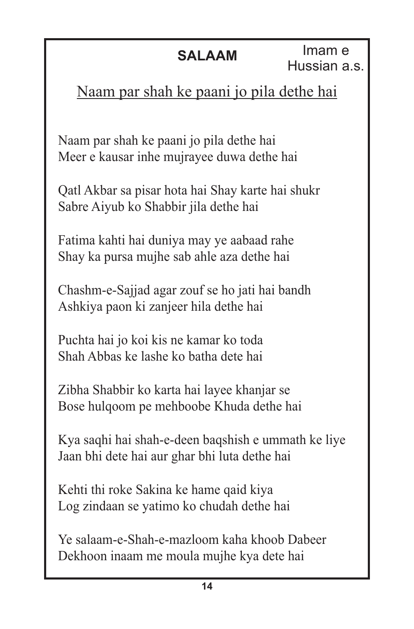# Naam par shah ke paani jo pila dethe hai

Naam par shah ke paani jo pila dethe hai Meer e kausar inhe mujrayee duwa dethe hai

Qatl Akbar sa pisar hota hai Shay karte hai shukr Sabre Aiyub ko Shabbir jila dethe hai

Fatima kahti hai duniya may ye aabaad rahe Shay ka pursa mujhe sab ahle aza dethe hai

Chashm-e-Sajjad agar zouf se ho jati hai bandh Ashkiya paon ki zanjeer hila dethe hai

Puchta hai jo koi kis ne kamar ko toda Shah Abbas ke lashe ko batha dete hai

Zibha Shabbir ko karta hai layee khanjar se Bose hulqoom pe mehboobe Khuda dethe hai

Kya saqhi hai shah-e-deen baqshish e ummath ke liye Jaan bhi dete hai aur ghar bhi luta dethe hai

Kehti thi roke Sakina ke hame qaid kiya Log zindaan se yatimo ko chudah dethe hai

Ye salaam-e-Shah-e-mazloom kaha khoob Dabeer Dekhoon inaam me moula mujhe kya dete hai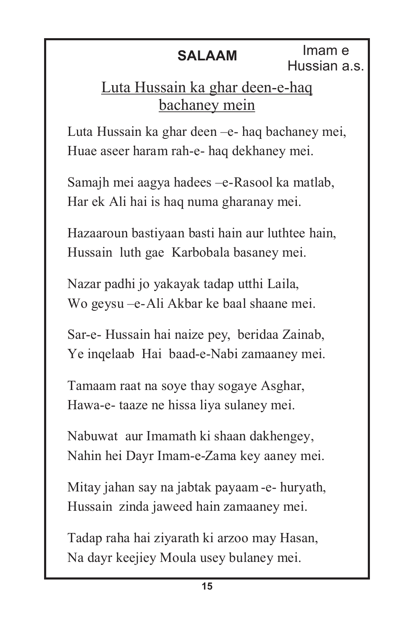# Luta Hussain ka ghar deen-e-haq bachaney mein

Luta Hussain ka ghar deen –e- haq bachaney mei, Huae aseer haram rah-e- haq dekhaney mei.

Samajh mei aagya hadees –e-Rasool ka matlab, Har ek Ali hai is haq numa gharanay mei.

Hazaaroun bastiyaan basti hain aur luthtee hain, Hussain luth gae Karbobala basaney mei.

Nazar padhi jo yakayak tadap utthi Laila, Wo geysu –e-Ali Akbar ke baal shaane mei.

Sar-e- Hussain hai naize pey, beridaa Zainab, Ye inqelaab Hai baad-e-Nabi zamaaney mei.

Tamaam raat na soye thay sogaye Asghar, Hawa-e- taaze ne hissa liya sulaney mei.

Nabuwat aur Imamath ki shaan dakhengey, Nahin hei Dayr Imam-e-Zama key aaney mei.

Mitay jahan say na jabtak payaam -e- huryath, Hussain zinda jaweed hain zamaaney mei.

Tadap raha hai ziyarath ki arzoo may Hasan, Na dayr keejiey Moula usey bulaney mei.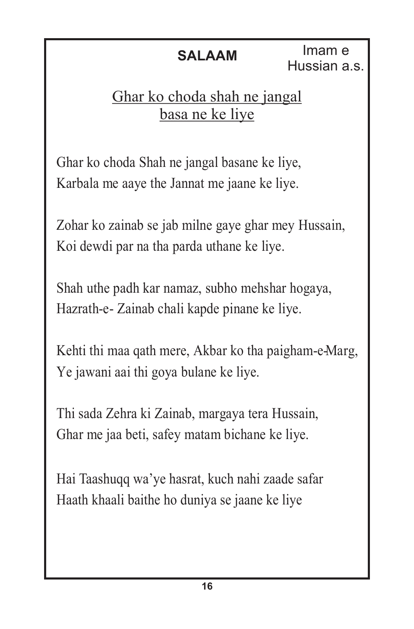# Ghar ko choda shah ne jangal basa ne ke liye

Ghar ko choda Shah ne jangal basane ke liye, Karbala me aaye the Jannat me jaane ke liye.

Zohar ko zainab se jab milne gaye ghar mey Hussain, Koi dewdi par na tha parda uthane ke liye.

Shah uthe padh kar namaz, subho mehshar hogaya, Hazrath-e- Zainab chali kapde pinane ke liye.

Kehti thi maa qath mere, Akbar ko tha paigham-e-Marg, Ye jawani aai thi goya bulane ke liye.

Thi sada Zehra ki Zainab, margaya tera Hussain, Ghar me jaa beti, safey matam bichane ke liye.

Hai Taashuqq wa'ye hasrat, kuch nahi zaade safar Haath khaali baithe ho duniya se jaane ke liye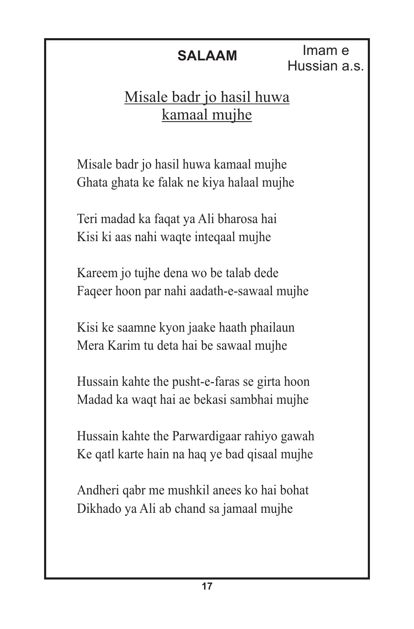Imam e Hussian a.s.

# Misale badr jo hasil huwa kamaal mujhe

Misale badr jo hasil huwa kamaal mujhe Ghata ghata ke falak ne kiya halaal mujhe

Teri madad ka faqat ya Ali bharosa hai Kisi ki aas nahi waqte inteqaal mujhe

Kareem jo tujhe dena wo be talab dede Faqeer hoon par nahi aadath-e-sawaal mujhe

Kisi ke saamne kyon jaake haath phailaun Mera Karim tu deta hai be sawaal mujhe

Hussain kahte the pusht-e-faras se girta hoon Madad ka waqt hai ae bekasi sambhai mujhe

Hussain kahte the Parwardigaar rahiyo gawah Ke qatl karte hain na haq ye bad qisaal mujhe

Andheri qabr me mushkil anees ko hai bohat Dikhado ya Ali ab chand sa jamaal mujhe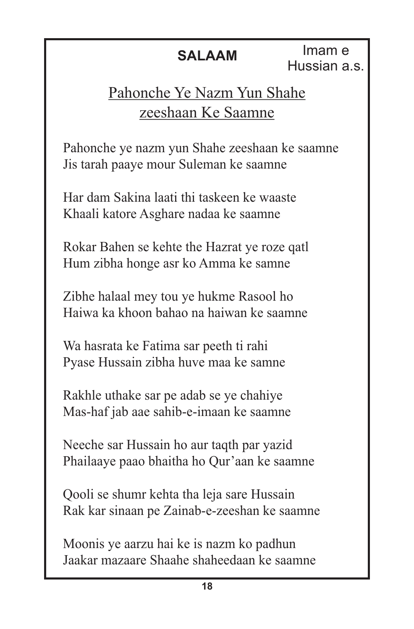Imam e Hussian a.s.

# Pahonche Ye Nazm Yun Shahe zeeshaan Ke Saamne

Pahonche ye nazm yun Shahe zeeshaan ke saamne Jis tarah paaye mour Suleman ke saamne

Har dam Sakina laati thi taskeen ke waaste Khaali katore Asghare nadaa ke saamne

Rokar Bahen se kehte the Hazrat ye roze qatl Hum zibha honge asr ko Amma ke samne

Zibhe halaal mey tou ye hukme Rasool ho Haiwa ka khoon bahao na haiwan ke saamne

Wa hasrata ke Fatima sar peeth ti rahi Pyase Hussain zibha huve maa ke samne

Rakhle uthake sar pe adab se ye chahiye Mas-haf jab aae sahib-e-imaan ke saamne

Neeche sar Hussain ho aur taqth par yazid Phailaaye paao bhaitha ho Qur'aan ke saamne

Qooli se shumr kehta tha leja sare Hussain Rak kar sinaan pe Zainab-e-zeeshan ke saamne

Moonis ye aarzu hai ke is nazm ko padhun Jaakar mazaare Shaahe shaheedaan ke saamne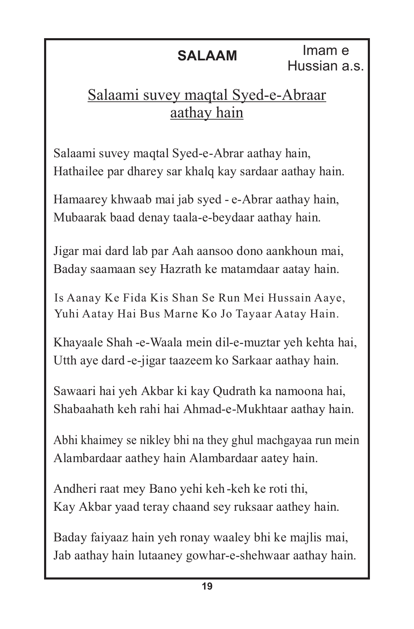# Salaami suvey maqtal Syed-e-Abraar aathay hain

Salaami suvey maqtal Syed-e-Abrar aathay hain, Hathailee par dharey sar khalq kay sardaar aathay hain.

Hamaarey khwaab mai jab syed - e-Abrar aathay hain, Mubaarak baad denay taala-e-beydaar aathay hain.

Jigar mai dard lab par Aah aansoo dono aankhoun mai, Baday saamaan sey Hazrath ke matamdaar aatay hain.

Is Aanay Ke Fida Kis Shan Se Run Mei Hussain Aaye, Yuhi Aatay Hai Bus Marne Ko Jo Tayaar Aatay Hain.

Khayaale Shah -e-Waala mein dil-e-muztar yeh kehta hai, Utth aye dard -e-jigar taazeem ko Sarkaar aathay hain.

Sawaari hai yeh Akbar ki kay Qudrath ka namoona hai, Shabaahath keh rahi hai Ahmad-e-Mukhtaar aathay hain.

Abhi khaimey se nikley bhi na they ghul machgayaa run mein Alambardaar aathey hain Alambardaar aatey hain.

Andheri raat mey Bano yehi keh -keh ke roti thi, Kay Akbar yaad teray chaand sey ruksaar aathey hain.

Baday faiyaaz hain yeh ronay waaley bhi ke majlis mai, Jab aathay hain lutaaney gowhar-e-shehwaar aathay hain.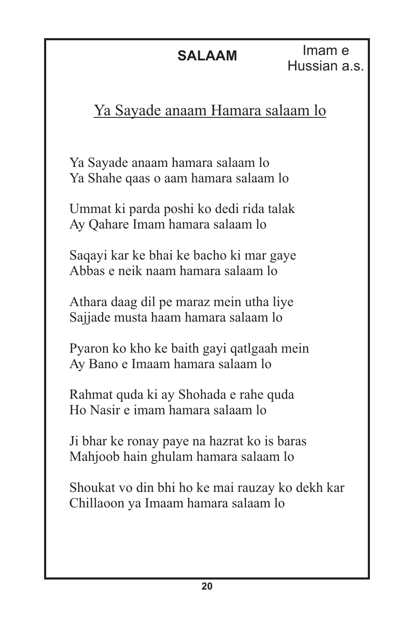Imam e Hussian a.s.

# Ya Sayade anaam Hamara salaam lo

Ya Sayade anaam hamara salaam lo Ya Shahe qaas o aam hamara salaam lo

Ummat ki parda poshi ko dedi rida talak Ay Qahare Imam hamara salaam lo

Saqayi kar ke bhai ke bacho ki mar gaye Abbas e neik naam hamara salaam lo

Athara daag dil pe maraz mein utha liye Sajjade musta haam hamara salaam lo

Pyaron ko kho ke baith gayi qatlgaah mein Ay Bano e Imaam hamara salaam lo

Rahmat quda ki ay Shohada e rahe quda Ho Nasir e imam hamara salaam lo

Ji bhar ke ronay paye na hazrat ko is baras Mahjoob hain ghulam hamara salaam lo

Shoukat vo din bhi ho ke mai rauzay ko dekh kar Chillaoon ya Imaam hamara salaam lo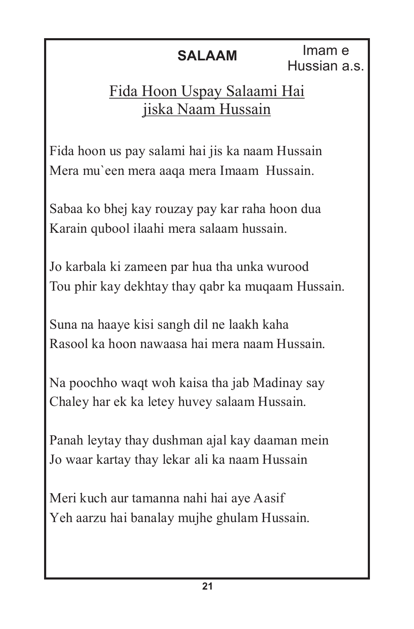# Fida Hoon Uspay Salaami Hai jiska Naam Hussain

Fida hoon us pay salami hai jis ka naam Hussain Mera mu`een mera aaqa mera Imaam Hussain.

Sabaa ko bhej kay rouzay pay kar raha hoon dua Karain qubool ilaahi mera salaam hussain.

Jo karbala ki zameen par hua tha unka wurood Tou phir kay dekhtay thay qabr ka muqaam Hussain.

Suna na haaye kisi sangh dil ne laakh kaha Rasool ka hoon nawaasa hai mera naam Hussain.

Na poochho waqt woh kaisa tha jab Madinay say Chaley har ek ka letey huvey salaam Hussain.

Panah leytay thay dushman ajal kay daaman mein Jo waar kartay thay lekar ali ka naam Hussain

Meri kuch aur tamanna nahi hai aye Aasif Yeh aarzu hai banalay mujhe ghulam Hussain.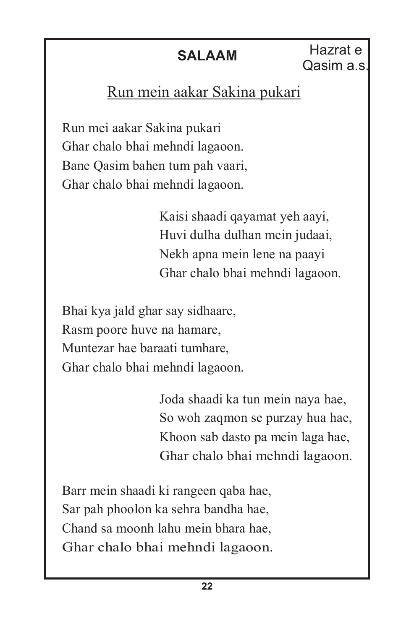Hazrat e **SALAAM** Raziat e<br>Qasim a.s.

## Run mein aakar Sakina pukari

Run mei aakar Sakina pukari Ghar chalo bhai mehndi lagaoon. Bane Qasim bahen tum pah vaari, Ghar chalo bhai mehndi lagaoon.

> Kaisi shaadi qayamat yeh aayi, Huvi dulha dulhan mein judaai, Nekh apna mein lene na paayi Ghar chalo bhai mehndi lagaoon.

Bhai kya jald ghar say sidhaare, Rasm poore huve na hamare, Muntezar hae baraati tumhare, Ghar chalo bhai mehndi lagaoon.

> Joda shaadi ka tun mein naya hae, So woh zaqmon se purzay hua hae, Khoon sab dasto pa mein laga hae, Ghar chalo bhai mehndi lagaoon.

Barr mein shaadi ki rangeen qaba hae, Sar pah phoolon ka sehra bandha hae, Chand sa moonh lahu mein bhara hae, Ghar chalo bhai mehndi lagaoon.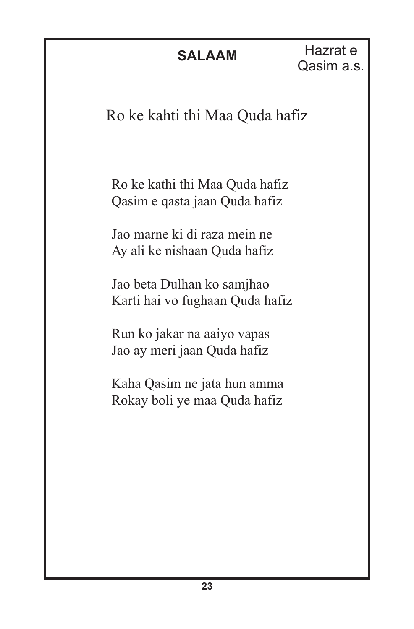Hazrat e Qasim a.s.

# Ro ke kahti thi Maa Quda hafiz

Ro ke kathi thi Maa Quda hafiz Qasim e qasta jaan Quda hafiz

Jao marne ki di raza mein ne Ay ali ke nishaan Quda hafiz

Jao beta Dulhan ko samjhao Karti hai vo fughaan Quda hafiz

Run ko jakar na aaiyo vapas Jao ay meri jaan Quda hafiz

Kaha Qasim ne jata hun amma Rokay boli ye maa Quda hafiz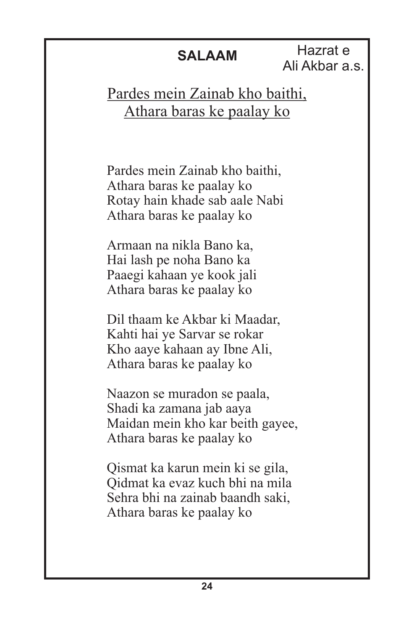Hazrat e Ali Akbar a.s.

### Pardes mein Zainab kho baithi, Athara baras ke paalay ko

Pardes mein Zainab kho baithi, Athara baras ke paalay ko Rotay hain khade sab aale Nabi Athara baras ke paalay ko

Armaan na nikla Bano ka, Hai lash pe noha Bano ka Paaegi kahaan ye kook jali Athara baras ke paalay ko

Dil thaam ke Akbar ki Maadar, Kahti hai ye Sarvar se rokar Kho aaye kahaan ay Ibne Ali, Athara baras ke paalay ko

Naazon se muradon se paala, Shadi ka zamana jab aaya Maidan mein kho kar beith gayee, Athara baras ke paalay ko

Qismat ka karun mein ki se gila, Qidmat ka evaz kuch bhi na mila Sehra bhi na zainab baandh saki, Athara baras ke paalay ko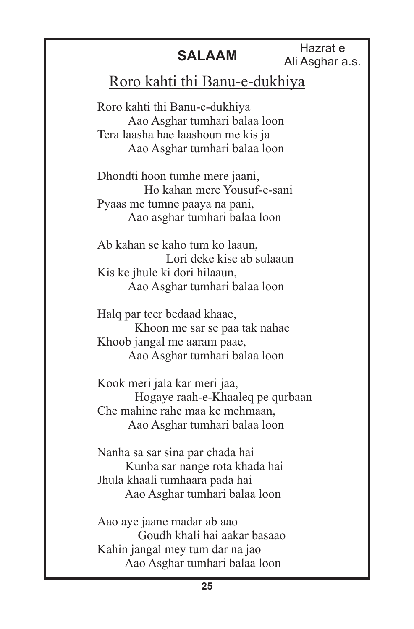Hazrat e Ali Asghar a.s.

### Roro kahti thi Banu-e-dukhiya

Roro kahti thi Banu-e-dukhiya Aao Asghar tumhari balaa loon Tera laasha hae laashoun me kis ja Aao Asghar tumhari balaa loon

Dhondti hoon tumhe mere jaani, Ho kahan mere Yousuf-e-sani Pyaas me tumne paaya na pani, Aao asghar tumhari balaa loon

Ab kahan se kaho tum ko laaun, Lori deke kise ab sulaaun Kis ke jhule ki dori hilaaun, Aao Asghar tumhari balaa loon

Halq par teer bedaad khaae, Khoon me sar se paa tak nahae Khoob jangal me aaram paae, Aao Asghar tumhari balaa loon

Kook meri jala kar meri jaa, Hogaye raah-e-Khaaleq pe qurbaan Che mahine rahe maa ke mehmaan, Aao Asghar tumhari balaa loon

Nanha sa sar sina par chada hai Kunba sar nange rota khada hai Jhula khaali tumhaara pada hai Aao Asghar tumhari balaa loon

Aao aye jaane madar ab aao Goudh khali hai aakar basaao Kahin jangal mey tum dar na jao Aao Asghar tumhari balaa loon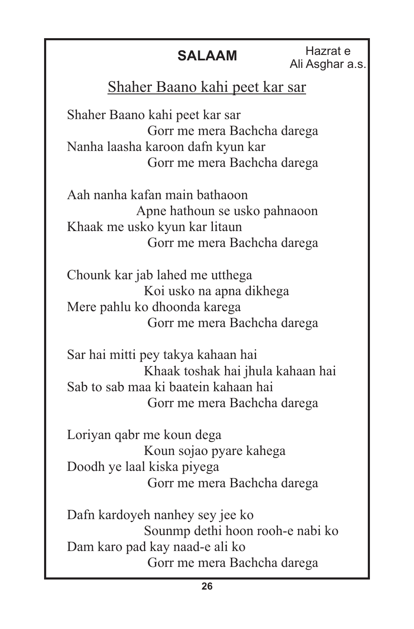Hazrat e Ali Asghar a.s.

## Shaher Baano kahi peet kar sar

Shaher Baano kahi peet kar sar Gorr me mera Bachcha darega Nanha laasha karoon dafn kyun kar Gorr me mera Bachcha darega

Aah nanha kafan main bathaoon Apne hathoun se usko pahnaoon Khaak me usko kyun kar litaun Gorr me mera Bachcha darega

Chounk kar jab lahed me utthega Koi usko na apna dikhega Mere pahlu ko dhoonda karega Gorr me mera Bachcha darega

Sar hai mitti pey takya kahaan hai Khaak toshak hai jhula kahaan hai Sab to sab maa ki baatein kahaan hai Gorr me mera Bachcha darega

Loriyan qabr me koun dega Koun sojao pyare kahega Doodh ye laal kiska piyega Gorr me mera Bachcha darega

Dafn kardoyeh nanhey sey jee ko Sounmp dethi hoon rooh-e nabi ko Dam karo pad kay naad-e ali ko Gorr me mera Bachcha darega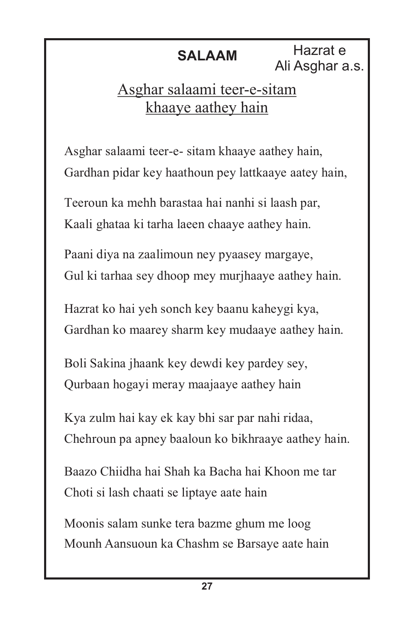**SALAAM** Hazrat e Ali Asghar a.s.

## Asghar salaami teer-e-sitam khaaye aathey hain

Asghar salaami teer-e- sitam khaaye aathey hain, Gardhan pidar key haathoun pey lattkaaye aatey hain,

Teeroun ka mehh barastaa hai nanhi si laash par, Kaali ghataa ki tarha laeen chaaye aathey hain.

Paani diya na zaalimoun ney pyaasey margaye, Gul ki tarhaa sey dhoop mey murjhaaye aathey hain.

Hazrat ko hai yeh sonch key baanu kaheygi kya, Gardhan ko maarey sharm key mudaaye aathey hain.

Boli Sakina jhaank key dewdi key pardey sey, Qurbaan hogayi meray maajaaye aathey hain

Kya zulm hai kay ek kay bhi sar par nahi ridaa, Chehroun pa apney baaloun ko bikhraaye aathey hain.

Baazo Chiidha hai Shah ka Bacha hai Khoon me tar Choti si lash chaati se liptaye aate hain

Moonis salam sunke tera bazme ghum me loog Mounh Aansuoun ka Chashm se Barsaye aate hain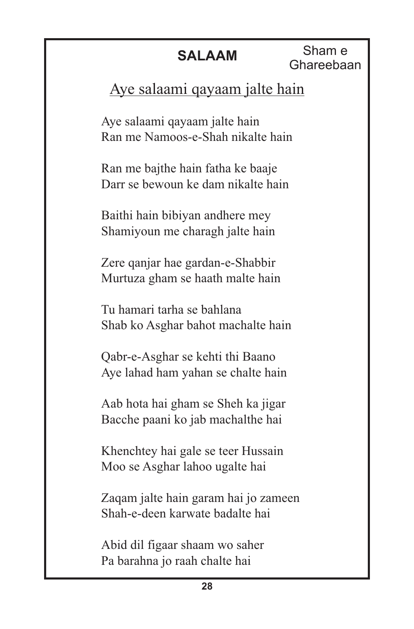**SALAAM** Sham e Ghareebaan

## Aye salaami qayaam jalte hain

Aye salaami qayaam jalte hain Ran me Namoos-e-Shah nikalte hain

Ran me bajthe hain fatha ke baaje Darr se bewoun ke dam nikalte hain

Baithi hain bibiyan andhere mey Shamiyoun me charagh jalte hain

Zere qanjar hae gardan-e-Shabbir Murtuza gham se haath malte hain

Tu hamari tarha se bahlana Shab ko Asghar bahot machalte hain

Qabr-e-Asghar se kehti thi Baano Aye lahad ham yahan se chalte hain

Aab hota hai gham se Sheh ka jigar Bacche paani ko jab machalthe hai

Khenchtey hai gale se teer Hussain Moo se Asghar lahoo ugalte hai

Zaqam jalte hain garam hai jo zameen Shah-e-deen karwate badalte hai

Abid dil figaar shaam wo saher Pa barahna jo raah chalte hai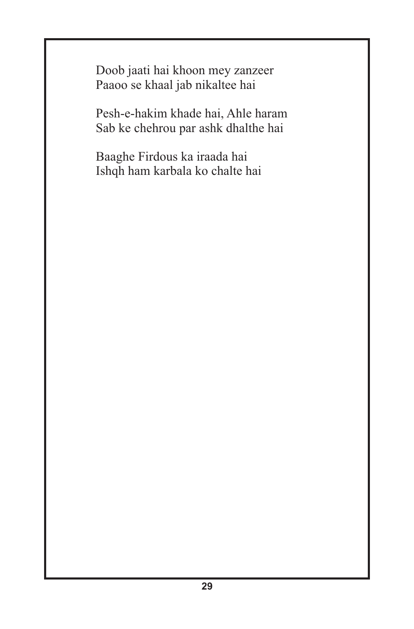Doob jaati hai khoon mey zanzeer Paaoo se khaal jab nikaltee hai

Pesh-e-hakim khade hai, Ahle haram Sab ke chehrou par ashk dhalthe hai

Baaghe Firdous ka iraada hai Ishqh ham karbala ko chalte hai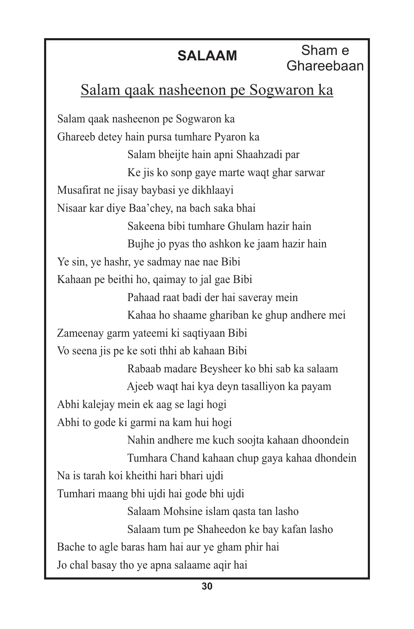Sham e Ghareebaan

### Salam qaak nasheenon pe Sogwaron ka

Salam qaak nasheenon pe Sogwaron ka Ghareeb detey hain pursa tumhare Pyaron ka Salam bheijte hain apni Shaahzadi par Ke jis ko sonp gaye marte waqt ghar sarwar Musafirat ne jisay baybasi ye dikhlaayi Nisaar kar diye Baa'chey, na bach saka bhai Sakeena bibi tumhare Ghulam hazir hain Bujhe jo pyas tho ashkon ke jaam hazir hain Ye sin, ye hashr, ye sadmay nae nae Bibi Kahaan pe beithi ho, qaimay to jal gae Bibi Pahaad raat badi der hai saveray mein Kahaa ho shaame ghariban ke ghup andhere mei Zameenay garm yateemi ki saqtiyaan Bibi Vo seena jis pe ke soti thhi ab kahaan Bibi Rabaab madare Beysheer ko bhi sab ka salaam Ajeeb waqt hai kya deyn tasalliyon ka payam Abhi kalejay mein ek aag se lagi hogi Abhi to gode ki garmi na kam hui hogi Nahin andhere me kuch soojta kahaan dhoondein Tumhara Chand kahaan chup gaya kahaa dhondein Na is tarah koi kheithi hari bhari ujdi Tumhari maang bhi ujdi hai gode bhi ujdi Salaam Mohsine islam qasta tan lasho Salaam tum pe Shaheedon ke bay kafan lasho Bache to agle baras ham hai aur ye gham phir hai Jo chal basay tho ye apna salaame aqir hai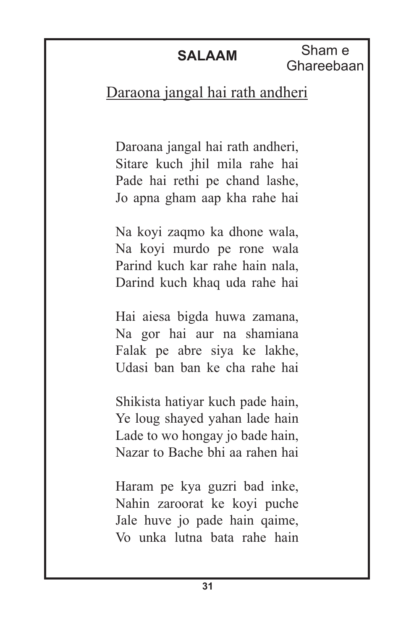Sham e Ghareebaan

### Daraona jangal hai rath andheri

Daroana jangal hai rath andheri, Sitare kuch jhil mila rahe hai Pade hai rethi pe chand lashe, Jo apna gham aap kha rahe hai

Na koyi zaqmo ka dhone wala, Na koyi murdo pe rone wala Parind kuch kar rahe hain nala, Darind kuch khaq uda rahe hai

Hai aiesa bigda huwa zamana, Na gor hai aur na shamiana Falak pe abre siya ke lakhe, Udasi ban ban ke cha rahe hai

Shikista hatiyar kuch pade hain, Ye loug shayed yahan lade hain Lade to wo hongay jo bade hain, Nazar to Bache bhi aa rahen hai

Haram pe kya guzri bad inke, Nahin zaroorat ke koyi puche Jale huve jo pade hain qaime, Vo unka lutna bata rahe hain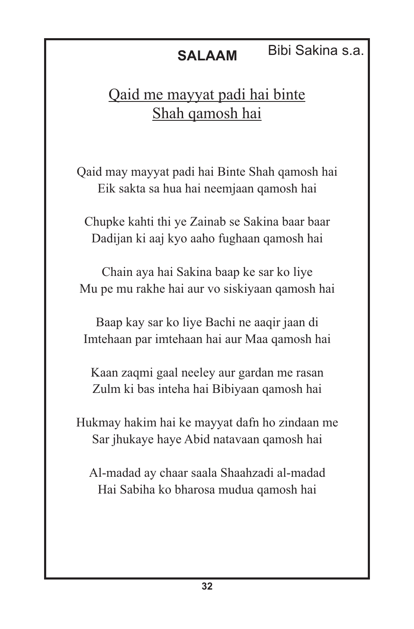### Qaid me mayyat padi hai binte Shah qamosh hai

Qaid may mayyat padi hai Binte Shah qamosh hai Eik sakta sa hua hai neemjaan qamosh hai

Chupke kahti thi ye Zainab se Sakina baar baar Dadijan ki aaj kyo aaho fughaan qamosh hai

Chain aya hai Sakina baap ke sar ko liye Mu pe mu rakhe hai aur vo siskiyaan qamosh hai

Baap kay sar ko liye Bachi ne aaqir jaan di Imtehaan par imtehaan hai aur Maa qamosh hai

Kaan zaqmi gaal neeley aur gardan me rasan Zulm ki bas inteha hai Bibiyaan qamosh hai

Hukmay hakim hai ke mayyat dafn ho zindaan me Sar jhukaye haye Abid natavaan qamosh hai

Al-madad ay chaar saala Shaahzadi al-madad Hai Sabiha ko bharosa mudua qamosh hai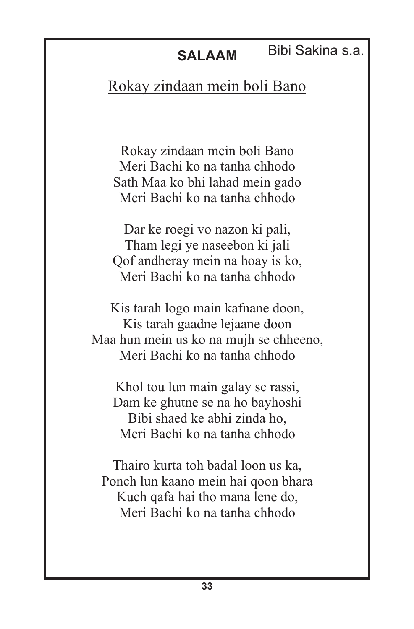Bibi Sakina s.a.

### Rokay zindaan mein boli Bano

Rokay zindaan mein boli Bano Meri Bachi ko na tanha chhodo Sath Maa ko bhi lahad mein gado Meri Bachi ko na tanha chhodo

Dar ke roegi vo nazon ki pali, Tham legi ye naseebon ki jali Qof andheray mein na hoay is ko, Meri Bachi ko na tanha chhodo

Kis tarah logo main kafnane doon, Kis tarah gaadne lejaane doon Maa hun mein us ko na mujh se chheeno, Meri Bachi ko na tanha chhodo

Khol tou lun main galay se rassi, Dam ke ghutne se na ho bayhoshi Bibi shaed ke abhi zinda ho, Meri Bachi ko na tanha chhodo

Thairo kurta toh badal loon us ka, Ponch lun kaano mein hai qoon bhara Kuch qafa hai tho mana lene do, Meri Bachi ko na tanha chhodo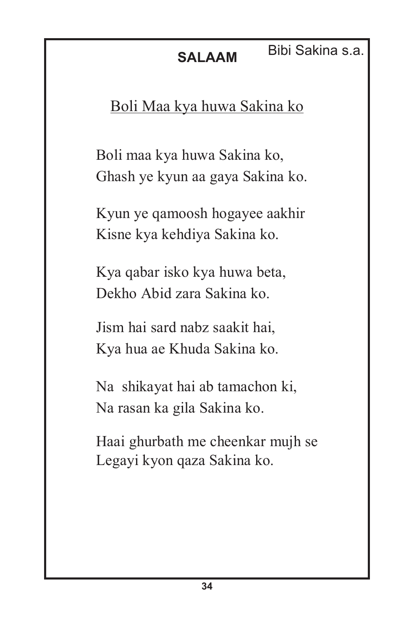### **SALAAM** Bibi Sakina s.a.

### Boli Maa kya huwa Sakina ko

Boli maa kya huwa Sakina ko, Ghash ye kyun aa gaya Sakina ko.

Kyun ye qamoosh hogayee aakhir Kisne kya kehdiya Sakina ko.

Kya qabar isko kya huwa beta, Dekho Abid zara Sakina ko.

Jism hai sard nabz saakit hai, Kya hua ae Khuda Sakina ko.

Na shikayat hai ab tamachon ki, Na rasan ka gila Sakina ko.

Haai ghurbath me cheenkar mujh se Legayi kyon qaza Sakina ko.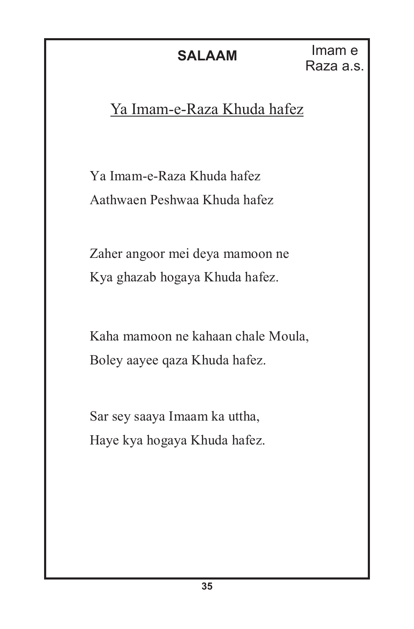### Ya Imam-e-Raza Khuda hafez

Ya Imam-e-Raza Khuda hafez Aathwaen Peshwaa Khuda hafez

Zaher angoor mei deya mamoon ne Kya ghazab hogaya Khuda hafez.

Kaha mamoon ne kahaan chale Moula, Boley aayee qaza Khuda hafez.

Sar sey saaya Imaam ka uttha, Haye kya hogaya Khuda hafez.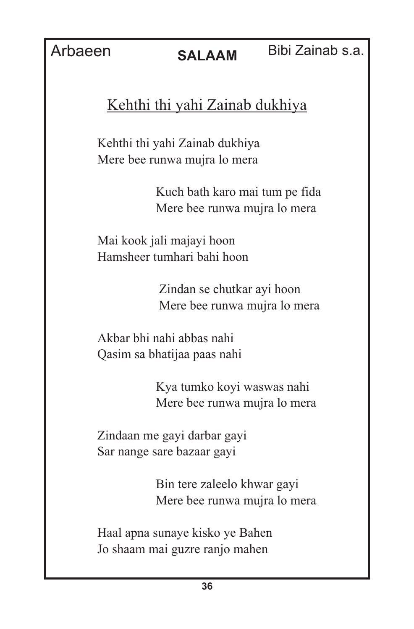### Bibi Zainab s.a.

### Kehthi thi yahi Zainab dukhiya

Kehthi thi yahi Zainab dukhiya Mere bee runwa mujra lo mera

> Kuch bath karo mai tum pe fida Mere bee runwa mujra lo mera

Mai kook jali majayi hoon Hamsheer tumhari bahi hoon

> Zindan se chutkar ayi hoon Mere bee runwa mujra lo mera

Akbar bhi nahi abbas nahi Qasim sa bhatijaa paas nahi

> Kya tumko koyi waswas nahi Mere bee runwa mujra lo mera

Zindaan me gayi darbar gayi Sar nange sare bazaar gayi

> Bin tere zaleelo khwar gayi Mere bee runwa mujra lo mera

Haal apna sunaye kisko ye Bahen Jo shaam mai guzre ranjo mahen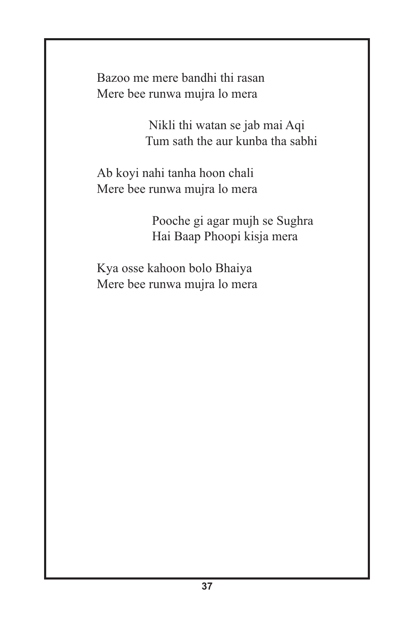Bazoo me mere bandhi thi rasan Mere bee runwa mujra lo mera

> Nikli thi watan se jab mai Aqi Tum sath the aur kunba tha sabhi

Ab koyi nahi tanha hoon chali Mere bee runwa mujra lo mera

> Pooche gi agar mujh se Sughra Hai Baap Phoopi kisja mera

Kya osse kahoon bolo Bhaiya Mere bee runwa mujra lo mera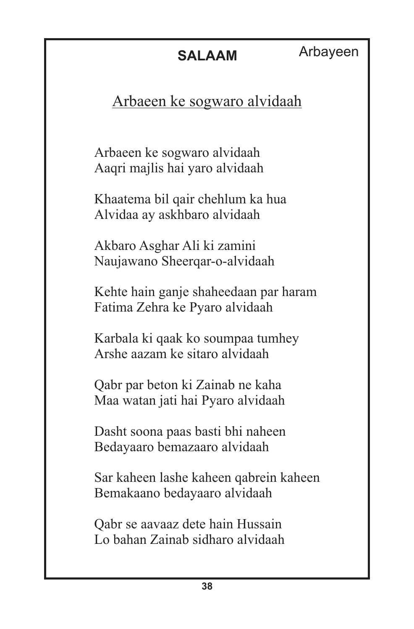### Arbaeen ke sogwaro alvidaah

Arbaeen ke sogwaro alvidaah Aaqri majlis hai yaro alvidaah

Khaatema bil qair chehlum ka hua Alvidaa ay askhbaro alvidaah

Akbaro Asghar Ali ki zamini Naujawano Sheerqar-o-alvidaah

Kehte hain ganje shaheedaan par haram Fatima Zehra ke Pyaro alvidaah

Karbala ki qaak ko soumpaa tumhey Arshe aazam ke sitaro alvidaah

Qabr par beton ki Zainab ne kaha Maa watan jati hai Pyaro alvidaah

Dasht soona paas basti bhi naheen Bedayaaro bemazaaro alvidaah

Sar kaheen lashe kaheen qabrein kaheen Bemakaano bedayaaro alvidaah

Qabr se aavaaz dete hain Hussain Lo bahan Zainab sidharo alvidaah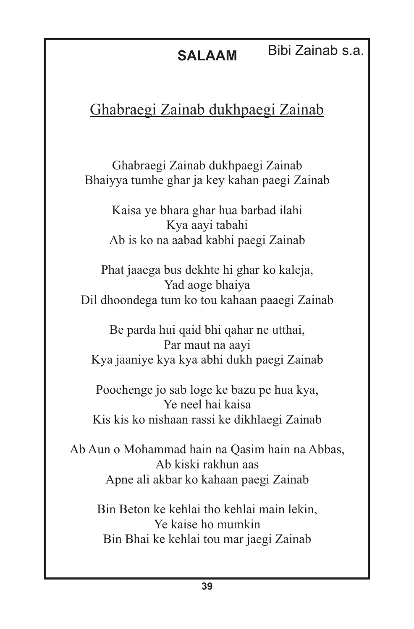Bibi Zainab s.a.

### Ghabraegi Zainab dukhpaegi Zainab

Ghabraegi Zainab dukhpaegi Zainab Bhaiyya tumhe ghar ja key kahan paegi Zainab

Kaisa ye bhara ghar hua barbad ilahi Kya aayi tabahi Ab is ko na aabad kabhi paegi Zainab

Phat jaaega bus dekhte hi ghar ko kaleja, Yad aoge bhaiya Dil dhoondega tum ko tou kahaan paaegi Zainab

Be parda hui qaid bhi qahar ne utthai, Par maut na aayi Kya jaaniye kya kya abhi dukh paegi Zainab

Poochenge jo sab loge ke bazu pe hua kya, Ye neel hai kaisa Kis kis ko nishaan rassi ke dikhlaegi Zainab

Ab Aun o Mohammad hain na Qasim hain na Abbas, Ab kiski rakhun aas Apne ali akbar ko kahaan paegi Zainab

Bin Beton ke kehlai tho kehlai main lekin, Ye kaise ho mumkin Bin Bhai ke kehlai tou mar jaegi Zainab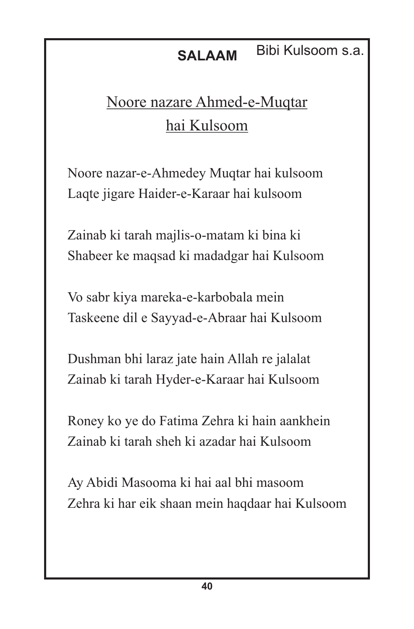### **SALAAM** Bibi Kulsoom s.a.

## Noore nazare Ahmed-e-Muqtar hai Kulsoom

Noore nazar-e-Ahmedey Muqtar hai kulsoom Laqte jigare Haider-e-Karaar hai kulsoom

Zainab ki tarah majlis-o-matam ki bina ki Shabeer ke maqsad ki madadgar hai Kulsoom

Vo sabr kiya mareka-e-karbobala mein Taskeene dil e Sayyad-e-Abraar hai Kulsoom

Dushman bhi laraz jate hain Allah re jalalat Zainab ki tarah Hyder-e-Karaar hai Kulsoom

Roney ko ye do Fatima Zehra ki hain aankhein Zainab ki tarah sheh ki azadar hai Kulsoom

Ay Abidi Masooma ki hai aal bhi masoom Zehra ki har eik shaan mein haqdaar hai Kulsoom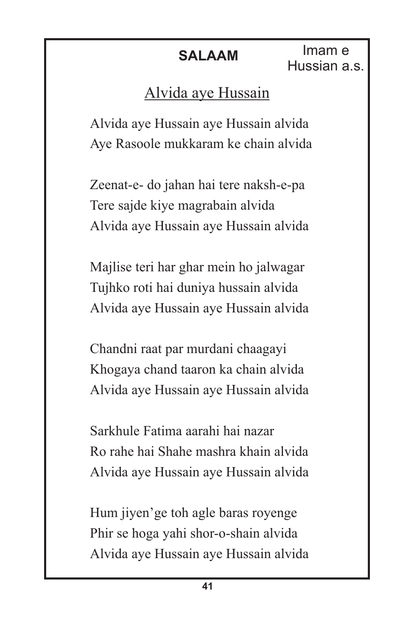**SALAAM** Imam e Hussian a.s.

### Alvida aye Hussain

Alvida aye Hussain aye Hussain alvida Aye Rasoole mukkaram ke chain alvida

Zeenat-e- do jahan hai tere naksh-e-pa Tere sajde kiye magrabain alvida Alvida aye Hussain aye Hussain alvida

Majlise teri har ghar mein ho jalwagar Tujhko roti hai duniya hussain alvida Alvida aye Hussain aye Hussain alvida

Chandni raat par murdani chaagayi Khogaya chand taaron ka chain alvida Alvida aye Hussain aye Hussain alvida

Sarkhule Fatima aarahi hai nazar Ro rahe hai Shahe mashra khain alvida Alvida aye Hussain aye Hussain alvida

Hum jiyen'ge toh agle baras royenge Phir se hoga yahi shor-o-shain alvida Alvida aye Hussain aye Hussain alvida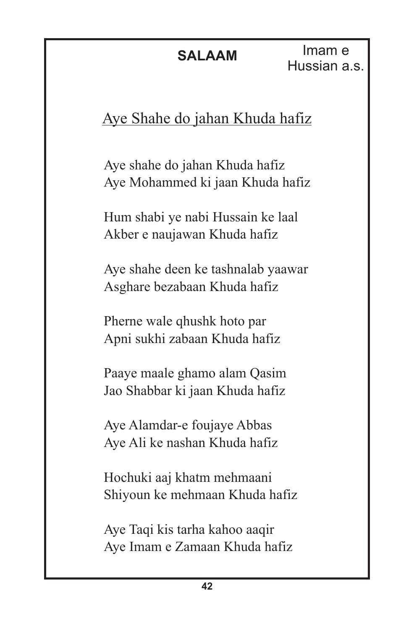Imam e Hussian a.s.

### Aye Shahe do jahan Khuda hafiz

Aye shahe do jahan Khuda hafiz Aye Mohammed ki jaan Khuda hafiz

Hum shabi ye nabi Hussain ke laal Akber e naujawan Khuda hafiz

Aye shahe deen ke tashnalab yaawar Asghare bezabaan Khuda hafiz

Pherne wale qhushk hoto par Apni sukhi zabaan Khuda hafiz

Paaye maale ghamo alam Qasim Jao Shabbar ki jaan Khuda hafiz

Aye Alamdar-e foujaye Abbas Aye Ali ke nashan Khuda hafiz

Hochuki aaj khatm mehmaani Shiyoun ke mehmaan Khuda hafiz

Aye Taqi kis tarha kahoo aaqir Aye Imam e Zamaan Khuda hafiz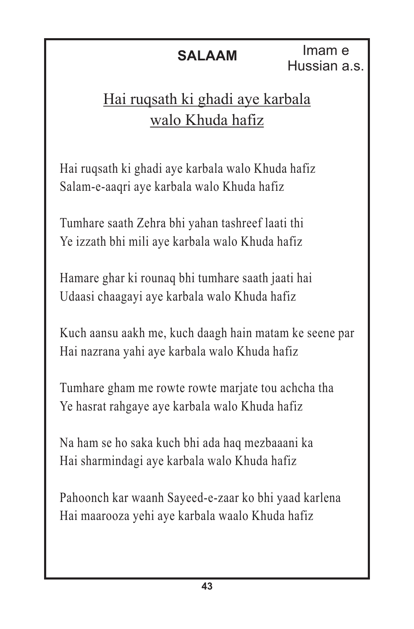Imam e Hussian a.s.

### Hai ruqsath ki ghadi aye karbala walo Khuda hafiz

Hai ruqsath ki ghadi aye karbala walo Khuda hafiz Salam-e-aaqri aye karbala walo Khuda hafiz

Tumhare saath Zehra bhi yahan tashreef laati thi Ye izzath bhi mili aye karbala walo Khuda hafiz

Hamare ghar ki rounaq bhi tumhare saath jaati hai Udaasi chaagayi aye karbala walo Khuda hafiz

Kuch aansu aakh me, kuch daagh hain matam ke seene par Hai nazrana yahi aye karbala walo Khuda hafiz

Tumhare gham me rowte rowte marjate tou achcha tha Ye hasrat rahgaye aye karbala walo Khuda hafiz

Na ham se ho saka kuch bhi ada haq mezbaaani ka Hai sharmindagi aye karbala walo Khuda hafiz

Pahoonch kar waanh Sayeed-e-zaar ko bhi yaad karlena Hai maarooza yehi aye karbala waalo Khuda hafiz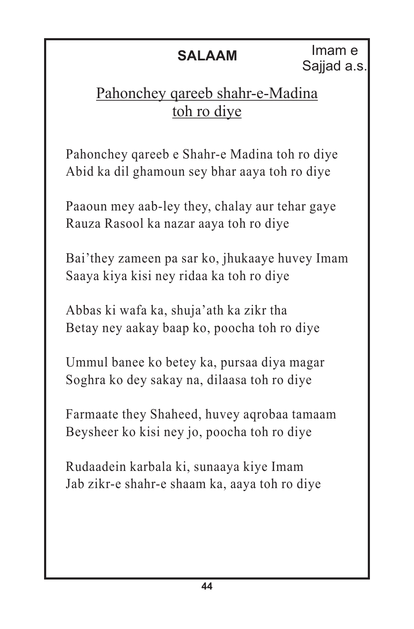Imam e Sajjad a.s.

### Pahonchey qareeb shahr-e-Madina toh ro diye

Pahonchey qareeb e Shahr-e Madina toh ro diye Abid ka dil ghamoun sey bhar aaya toh ro diye

Paaoun mey aab-ley they, chalay aur tehar gaye Rauza Rasool ka nazar aaya toh ro diye

Bai'they zameen pa sar ko, jhukaaye huvey Imam Saaya kiya kisi ney ridaa ka toh ro diye

Abbas ki wafa ka, shuja'ath ka zikr tha Betay ney aakay baap ko, poocha toh ro diye

Ummul banee ko betey ka, pursaa diya magar Soghra ko dey sakay na, dilaasa toh ro diye

Farmaate they Shaheed, huvey aqrobaa tamaam Beysheer ko kisi ney jo, poocha toh ro diye

Rudaadein karbala ki, sunaaya kiye Imam Jab zikr-e shahr-e shaam ka, aaya toh ro diye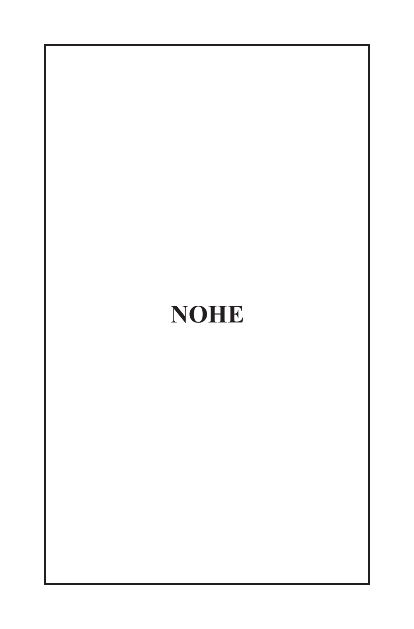# **NOHE**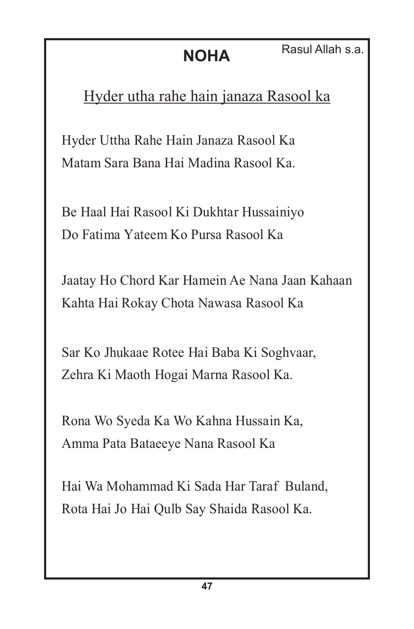### Hyder utha rahe hain janaza Rasool ka

Hyder Uttha Rahe Hain Janaza Rasool Ka Matam Sara Bana Hai Madina Rasool Ka.

Be Haal Hai Rasool Ki Dukhtar Hussainiyo Do Fatima Yateem Ko Pursa Rasool Ka

Jaatay Ho Chord Kar Hamein Ae Nana Jaan Kahaan Kahta Hai Rokay Chota Nawasa Rasool Ka

Sar Ko Jhukaae Rotee Hai Baba Ki Soghvaar, Zehra Ki Maoth Hogai Marna Rasool Ka.

Rona Wo Syeda Ka Wo Kahna Hussain Ka, Amma Pata Bataeeye Nana Rasool Ka

Hai Wa Mohammad Ki Sada Har Taraf Buland, Rota Hai Jo Hai Qulb Say Shaida Rasool Ka.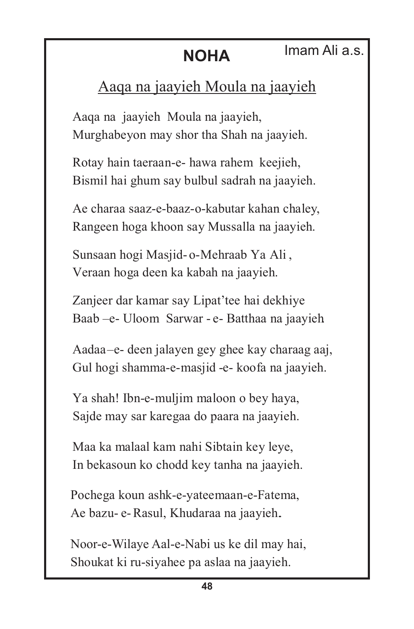### Imam Ali a.s.

### Aaqa na jaayieh Moula na jaayieh

Aaqa na jaayieh Moula na jaayieh, Murghabeyon may shor tha Shah na jaayieh.

Rotay hain taeraan-e- hawa rahem keejieh, Bismil hai ghum say bulbul sadrah na jaayieh.

Ae charaa saaz-e-baaz-o-kabutar kahan chaley, Rangeen hoga khoon say Mussalla na jaayieh.

Sunsaan hogi Masjid- o-Mehraab Ya Ali , Veraan hoga deen ka kabah na jaayieh.

Zanjeer dar kamar say Lipat'tee hai dekhiye Baab –e- Uloom Sarwar - e- Batthaa na jaayieh.

Aadaa –e- deen jalayen gey ghee kay charaag aaj, Gul hogi shamma-e-masjid -e- koofa na jaayieh.

Ya shah! Ibn-e-muljim maloon o bey haya, Sajde may sar karegaa do paara na jaayieh.

Maa ka malaal kam nahi Sibtain key leye, In bekasoun ko chodd key tanha na jaayieh.

Pochega koun ashk-e-yateemaan-e-Fatema, Ae bazu- e-Rasul, Khudaraa na jaayieh..

Noor-e-Wilaye Aal-e-Nabi us ke dil may hai, Shoukat ki ru-siyahee pa aslaa na jaayieh.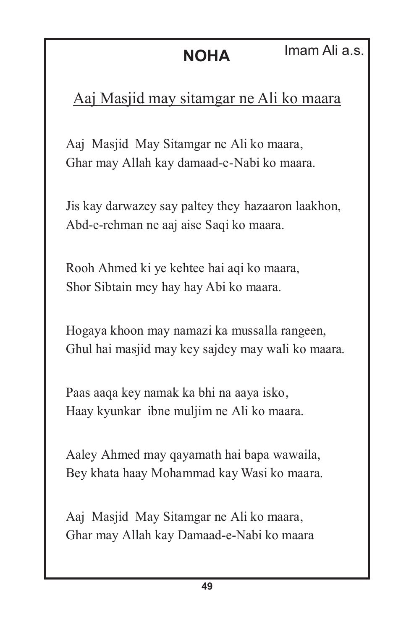### Aaj Masjid may sitamgar ne Ali ko maara

Aaj Masjid May Sitamgar ne Ali ko maara, Ghar may Allah kay damaad-e-Nabi ko maara.

Jis kay darwazey say paltey they hazaaron laakhon, Abd-e-rehman ne aaj aise Saqi ko maara.

Rooh Ahmed ki ye kehtee hai aqi ko maara, Shor Sibtain mey hay hay Abi ko maara.

Hogaya khoon may namazi ka mussalla rangeen, Ghul hai masjid may key sajdey may wali ko maara.

Paas aaqa key namak ka bhi na aaya isko, Haay kyunkar ibne muljim ne Ali ko maara.

Aaley Ahmed may qayamath hai bapa wawaila, Bey khata haay Mohammad kay Wasi ko maara.

Aaj Masjid May Sitamgar ne Ali ko maara, Ghar may Allah kay Damaad-e-Nabi ko maara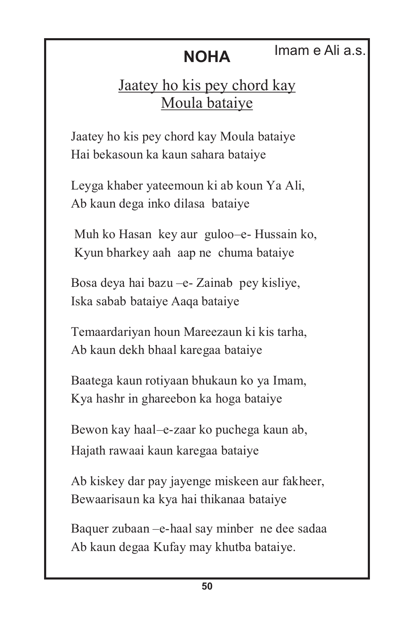### **NOHA** Imam e Ali a.s.

### Jaatey ho kis pey chord kay Moula bataiye

Jaatey ho kis pey chord kay Moula bataiye Hai bekasoun ka kaun sahara bataiye

Leyga khaber yateemoun ki ab koun Ya Ali, Ab kaun dega inko dilasa bataiye

Muh ko Hasan key aur guloo-e- Hussain ko, Kyun bharkey aah aap ne chuma bataiye

Bosa deya hai bazu –e- Zainab pey kisliye, Iska sabab bataiye Aaqa bataiye

Temaardariyan houn Mareezaun ki kis tarha, Ab kaun dekh bhaal karegaa bataiye

Baatega kaun rotiyaan bhukaun ko ya Imam, Kya hashr in ghareebon ka hoga bataiye

Bewon kay haal–e-zaar ko puchega kaun ab, Hajath rawaai kaun karegaa bataiye

Ab kiskey dar pay jayenge miskeen aur fakheer, Bewaarisaun ka kya hai thikanaa bataiye

Baquer zubaan –e-haal say minber ne dee sadaa Ab kaun degaa Kufay may khutba bataiye.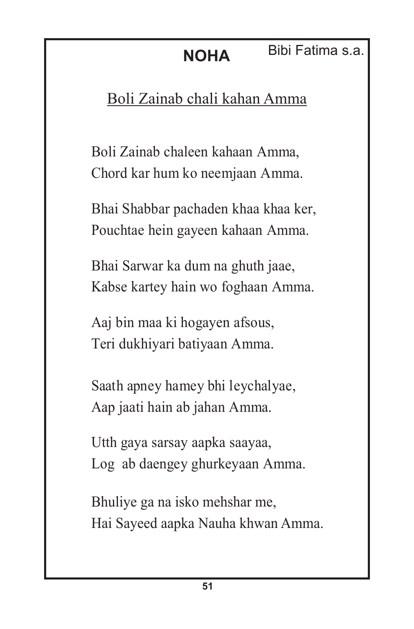### Boli Zainab chali kahan Amma

Boli Zainab chaleen kahaan Amma, Chord kar hum ko neemjaan Amma.

Bhai Shabbar pachaden khaa khaa ker, Pouchtae hein gayeen kahaan Amma.

Bhai Sarwar ka dum na ghuth jaae, Kabse kartey hain wo foghaan Amma.

Aaj bin maa ki hogayen afsous, Teri dukhiyari batiyaan Amma.

Saath apney hamey bhi leychalyae, Aap jaati hain ab jahan Amma.

Utth gaya sarsay aapka saayaa, Log ab daengey ghurkeyaan Amma.

Bhuliye ga na isko mehshar me, Hai Sayeed aapka Nauha khwan Amma.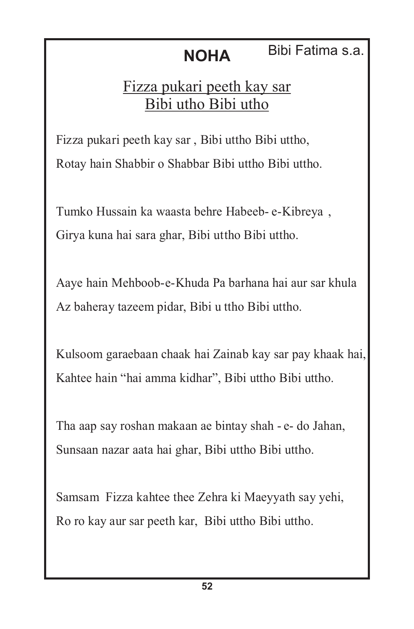### **NOHA** Bibi Fatima s.a.

### Fizza pukari peeth kay sar Bibi utho Bibi utho

Fizza pukari peeth kay sar , Bibi uttho Bibi uttho, Rotay hain Shabbir o Shabbar Bibi uttho Bibi uttho.

Tumko Hussain ka waasta behre Habeeb- e-Kibreya , Girya kuna hai sara ghar, Bibi uttho Bibi uttho.

Aaye hain Mehboob-e-Khuda Pa barhana hai aur sar khula Az baheray tazeem pidar, Bibi u ttho Bibi uttho.

Kulsoom garaebaan chaak hai Zainab kay sar pay khaak hai, Kahtee hain "hai amma kidhar", Bibi uttho Bibi uttho.

Tha aap say roshan makaan ae bintay shah - e- do Jahan, Sunsaan nazar aata hai ghar, Bibi uttho Bibi uttho.

Samsam Fizza kahtee thee Zehra ki Maeyyath say yehi, Ro ro kay aur sar peeth kar, Bibi uttho Bibi uttho.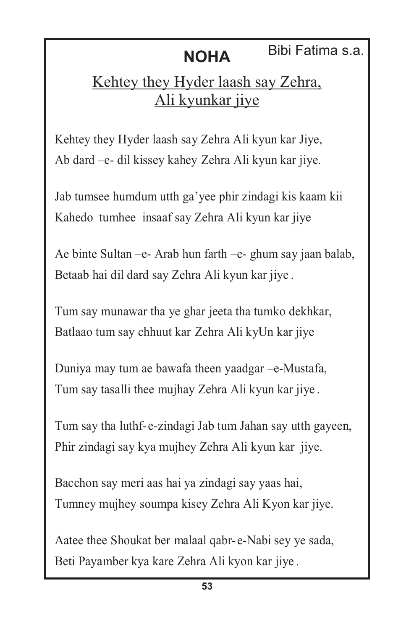### **NOHA** Bibi Fatima s.a.

### Kehtey they Hyder laash say Zehra, Ali kyunkar jiye

Kehtey they Hyder laash say Zehra Ali kyun kar Jiye, Ab dard –e- dil kissey kahey Zehra Ali kyun kar jiye.

Jab tumsee humdum utth ga'yee phir zindagi kis kaam kii Kahedo tumhee insaaf say Zehra Ali kyun kar jiye

Ae binte Sultan –e- Arab hun farth –e- ghum say jaan balab, Betaab hai dil dard say Zehra Ali kyun kar jiye .

Tum say munawar tha ye ghar jeeta tha tumko dekhkar, Batlaao tum say chhuut kar Zehra Ali kyUn kar jiye

Duniya may tum ae bawafa theen yaadgar –e-Mustafa, Tum say tasalli thee mujhay Zehra Ali kyun kar jiye .

Tum say tha luthf-e-zindagi Jab tum Jahan say utth gayeen, Phir zindagi say kya mujhey Zehra Ali kyun kar jiye.

Bacchon say meri aas hai ya zindagi say yaas hai, Tumney mujhey soumpa kisey Zehra Ali Kyon kar jiye.

Aatee thee Shoukat ber malaal qabr- e-Nabi sey ye sada, Beti Payamber kya kare Zehra Ali kyon kar jiye .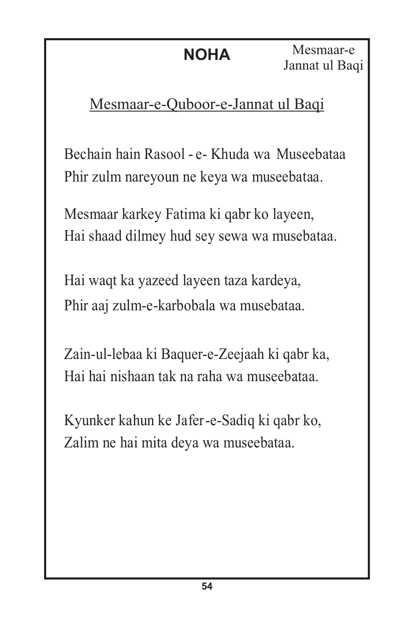### Mesmaar-e-Quboor-e-Jannat ul Baqi

Bechain hain Rasool - e- Khuda wa Museebataa Phir zulm nareyoun ne keya wa museebataa.

Mesmaar karkey Fatima ki qabr ko layeen, Hai shaad dilmey hud sey sewa wa musebataa.

Hai waqt ka yazeed layeen taza kardeya, Phir aaj zulm-e-karbobala wa musebataa.

Zain-ul-lebaa ki Baquer-e-Zeejaah ki qabr ka, Hai hai nishaan tak na raha wa museebataa.

Kyunker kahun ke Jafer-e-Sadiq ki qabr ko, Zalim ne hai mita deya wa museebataa.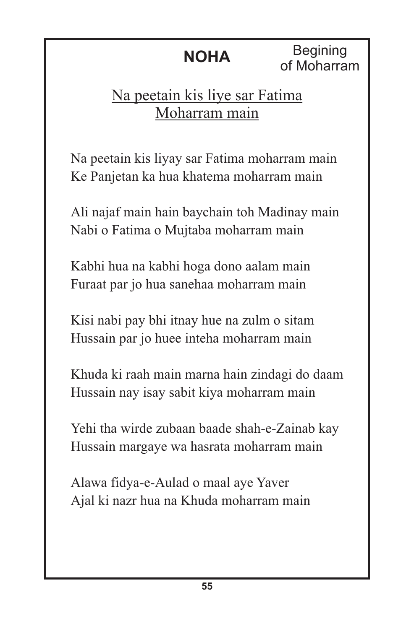**Begining** of Moharram

### Na peetain kis liye sar Fatima Moharram main

Na peetain kis liyay sar Fatima moharram main Ke Panjetan ka hua khatema moharram main

Ali najaf main hain baychain toh Madinay main Nabi o Fatima o Mujtaba moharram main

Kabhi hua na kabhi hoga dono aalam main Furaat par jo hua sanehaa moharram main

Kisi nabi pay bhi itnay hue na zulm o sitam Hussain par jo huee inteha moharram main

Khuda ki raah main marna hain zindagi do daam Hussain nay isay sabit kiya moharram main

Yehi tha wirde zubaan baade shah-e-Zainab kay Hussain margaye wa hasrata moharram main

Alawa fidya-e-Aulad o maal aye Yaver Ajal ki nazr hua na Khuda moharram main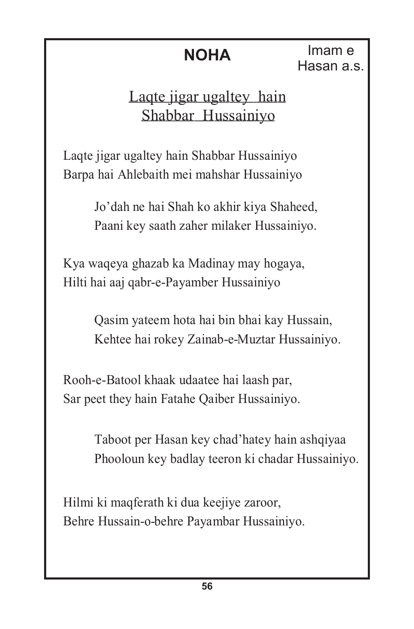Imam e Hasan a.s.

### Laqte jigar ugaltey hain Shabbar Hussainiyo

Laqte jigar ugaltey hain Shabbar Hussainiyo Barpa hai Ahlebaith mei mahshar Hussainiyo

> Jo'dah ne hai Shah ko akhir kiya Shaheed, Paani key saath zaher milaker Hussainiyo.

Kya waqeya ghazab ka Madinay may hogaya, Hilti hai aaj qabr-e-Payamber Hussainiyo

> Qasim yateem hota hai bin bhai kay Hussain, Kehtee hai rokey Zainab-e-Muztar Hussainiyo.

Rooh-e-Batool khaak udaatee hai laash par, Sar peet they hain Fatahe Qaiber Hussainiyo.

> Taboot per Hasan key chad'hatey hain ashqiyaa Phooloun key badlay teeron ki chadar Hussainiyo.

Hilmi ki maqferath ki dua keejiye zaroor, Behre Hussain-o-behre Payambar Hussainiyo.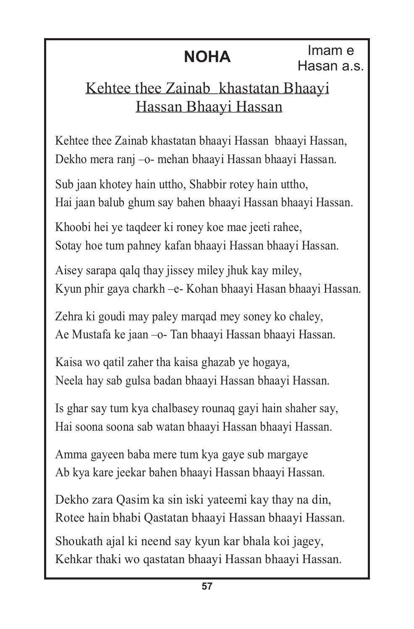### Kehtee thee Zainab khastatan Bhaayi Hassan Bhaayi Hassan

Kehtee thee Zainab khastatan bhaayi Hassan bhaayi Hassan, Dekho mera ranj –o- mehan bhaayi Hassan bhaayi Hassan.

Sub jaan khotey hain uttho, Shabbir rotey hain uttho, Hai jaan balub ghum say bahen bhaayi Hassan bhaayi Hassan.

Khoobi hei ye taqdeer ki roney koe mae jeeti rahee, Sotay hoe tum pahney kafan bhaayi Hassan bhaayi Hassan.

Aisey sarapa qalq thay jissey miley jhuk kay miley, Kyun phir gaya charkh –e- Kohan bhaayi Hasan bhaayi Hassan.

Zehra ki goudi may paley marqad mey soney ko chaley, Ae Mustafa ke jaan –o- Tan bhaayi Hassan bhaayi Hassan.

Kaisa wo qatil zaher tha kaisa ghazab ye hogaya, Neela hay sab gulsa badan bhaayi Hassan bhaayi Hassan.

Is ghar say tum kya chalbasey rounaq gayi hain shaher say, Hai soona soona sab watan bhaayi Hassan bhaayi Hassan.

Amma gayeen baba mere tum kya gaye sub margaye Ab kya kare jeekar bahen bhaayi Hassan bhaayi Hassan.

Dekho zara Qasim ka sin iski yateemi kay thay na din, Rotee hain bhabi Qastatan bhaayi Hassan bhaayi Hassan.

Shoukath ajal ki neend say kyun kar bhala koi jagey, Kehkar thaki wo qastatan bhaayi Hassan bhaayi Hassan.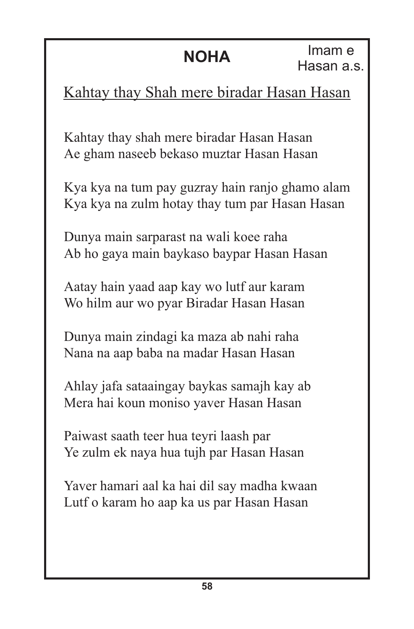### Kahtay thay Shah mere biradar Hasan Hasan

Kahtay thay shah mere biradar Hasan Hasan Ae gham naseeb bekaso muztar Hasan Hasan

Kya kya na tum pay guzray hain ranjo ghamo alam Kya kya na zulm hotay thay tum par Hasan Hasan

Dunya main sarparast na wali koee raha Ab ho gaya main baykaso baypar Hasan Hasan

Aatay hain yaad aap kay wo lutf aur karam Wo hilm aur wo pyar Biradar Hasan Hasan

Dunya main zindagi ka maza ab nahi raha Nana na aap baba na madar Hasan Hasan

Ahlay jafa sataaingay baykas samajh kay ab Mera hai koun moniso yaver Hasan Hasan

Paiwast saath teer hua teyri laash par Ye zulm ek naya hua tujh par Hasan Hasan

Yaver hamari aal ka hai dil say madha kwaan Lutf o karam ho aap ka us par Hasan Hasan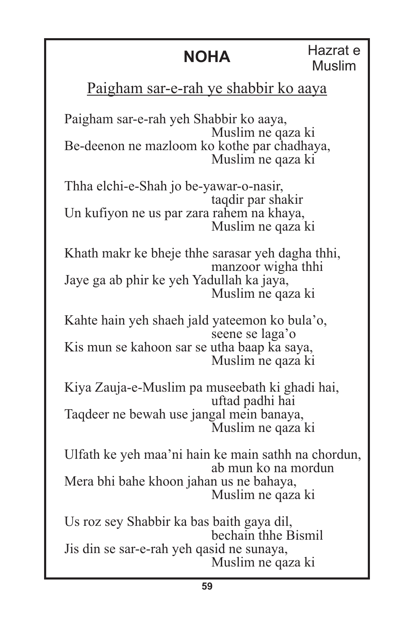**NOHA** Hazrat e Muslim

### Paigham sar-e-rah ye shabbir ko aaya

Paigham sar-e-rah yeh Shabbir ko aaya, Muslim ne qaza ki Be-deenon ne mazloom ko kothe par chadhaya, Muslim ne qaza ki

Thha elchi-e-Shah jo be-yawar-o-nasir, taqdir par shakir Un kufiyon ne us par zara rahem na khaya, Muslim ne qaza ki

Khath makr ke bheje thhe sarasar yeh dagha thhi, manzoor wigha thhi Jaye ga ab phir ke yeh Yadullah ka jaya, Muslim ne qaza ki

Kahte hain yeh shaeh jald yateemon ko bula'o, seene se laga'o Kis mun se kahoon sar se utha baap ka saya, Muslim ne qaza ki

Kiya Zauja-e-Muslim pa museebath ki ghadi hai, uftad padhi hai Taqdeer ne bewah use jangal mein banaya, Muslim ne qaza ki

Ulfath ke yeh maa'ni hain ke main sathh na chordun, ab mun ko na mordun Mera bhi bahe khoon jahan us ne bahaya, Muslim ne qaza ki

Us roz sey Shabbir ka bas baith gaya dil, bechain thhe Bismil Jis din se sar-e-rah yeh qasid ne sunaya, Muslim ne qaza ki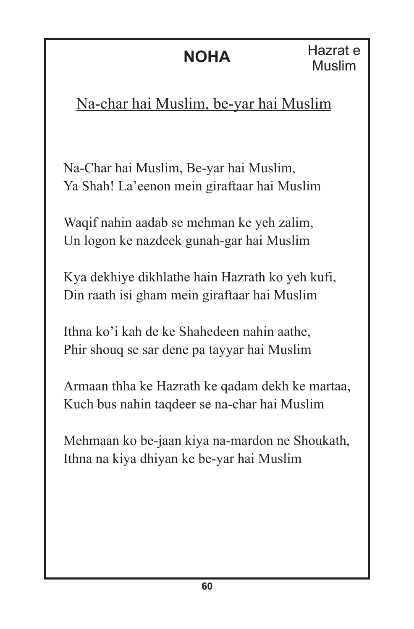### Na-char hai Muslim, be-yar hai Muslim

Na-Char hai Muslim, Be-yar hai Muslim, Ya Shah! La'eenon mein giraftaar hai Muslim

Waqif nahin aadab se mehman ke yeh zalim, Un logon ke nazdeek gunah-gar hai Muslim

Kya dekhiye dikhlathe hain Hazrath ko yeh kufi, Din raath isi gham mein giraftaar hai Muslim

Ithna ko'i kah de ke Shahedeen nahin aathe, Phir shouq se sar dene pa tayyar hai Muslim

Armaan thha ke Hazrath ke qadam dekh ke martaa, Kuch bus nahin taqdeer se na-char hai Muslim

Mehmaan ko be-jaan kiya na-mardon ne Shoukath, Ithna na kiya dhiyan ke be-yar hai Muslim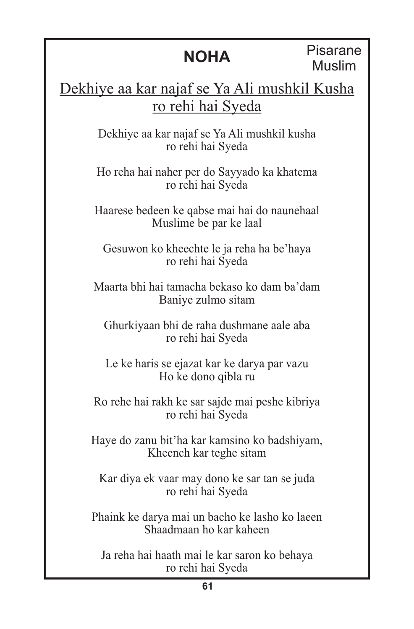Pisarane Muslim

Dekhiye aa kar najaf se Ya Ali mushkil Kusha ro rehi hai Syeda

> Dekhiye aa kar najaf se Ya Ali mushkil kusha ro rehi hai Syeda

> Ho reha hai naher per do Sayyado ka khatema ro rehi hai Syeda

Haarese bedeen ke qabse mai hai do naunehaal Muslime be par ke laal

Gesuwon ko kheechte le ja reha ha be'haya ro rehi hai Syeda

Maarta bhi hai tamacha bekaso ko dam ba'dam Baniye zulmo sitam

Ghurkiyaan bhi de raha dushmane aale aba ro rehi hai Syeda

Le ke haris se ejazat kar ke darya par vazu Ho ke dono qibla ru

Ro rehe hai rakh ke sar sajde mai peshe kibriya ro rehi hai Syeda

Haye do zanu bit'ha kar kamsino ko badshiyam, Kheench kar teghe sitam

Kar diya ek vaar may dono ke sar tan se juda ro rehi hai Syeda

Phaink ke darya mai un bacho ke lasho ko laeen Shaadmaan ho kar kaheen

Ja reha hai haath mai le kar saron ko behaya ro rehi hai Syeda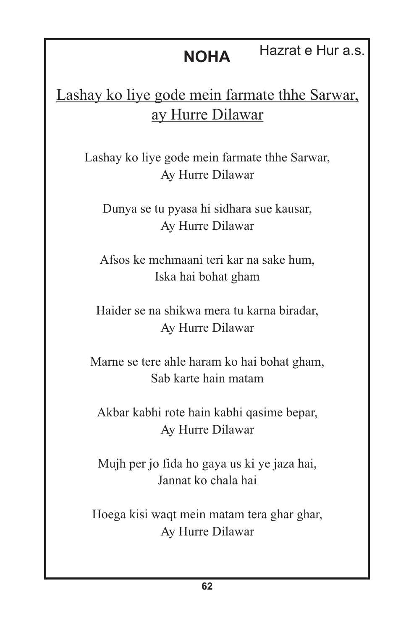### **NOHA** Hazrat e Hur a.s.

### Lashay ko liye gode mein farmate thhe Sarwar, ay Hurre Dilawar

Lashay ko liye gode mein farmate thhe Sarwar, Ay Hurre Dilawar

Dunya se tu pyasa hi sidhara sue kausar, Ay Hurre Dilawar

Afsos ke mehmaani teri kar na sake hum, Iska hai bohat gham

Haider se na shikwa mera tu karna biradar, Ay Hurre Dilawar

Marne se tere ahle haram ko hai bohat gham, Sab karte hain matam

Akbar kabhi rote hain kabhi qasime bepar, Ay Hurre Dilawar

Mujh per jo fida ho gaya us ki ye jaza hai, Jannat ko chala hai

Hoega kisi waqt mein matam tera ghar ghar, Ay Hurre Dilawar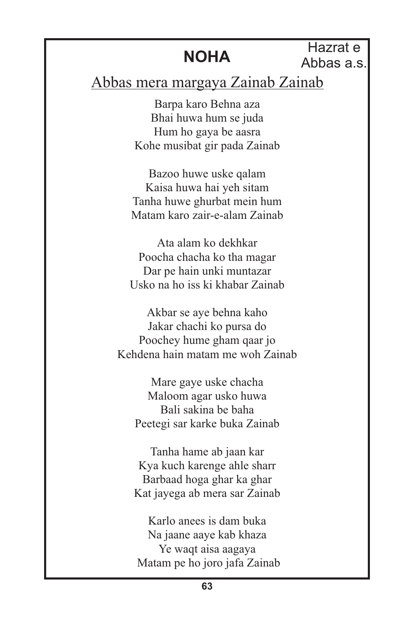Hazrat e Abbas a.s.

### Abbas mera margaya Zainab Zainab

Barpa karo Behna aza Bhai huwa hum se juda Hum ho gaya be aasra Kohe musibat gir pada Zainab

Bazoo huwe uske qalam Kaisa huwa hai yeh sitam Tanha huwe ghurbat mein hum Matam karo zair-e-alam Zainab

Ata alam ko dekhkar Poocha chacha ko tha magar Dar pe hain unki muntazar Usko na ho iss ki khabar Zainab

Akbar se aye behna kaho Jakar chachi ko pursa do Poochey hume gham qaar jo Kehdena hain matam me woh Zainab

Mare gaye uske chacha Maloom agar usko huwa Bali sakina be baha Peetegi sar karke buka Zainab

Tanha hame ab jaan kar Kya kuch karenge ahle sharr Barbaad hoga ghar ka ghar Kat jayega ab mera sar Zainab

Karlo anees is dam buka Na jaane aaye kab khaza Ye waqt aisa aagaya Matam pe ho joro jafa Zainab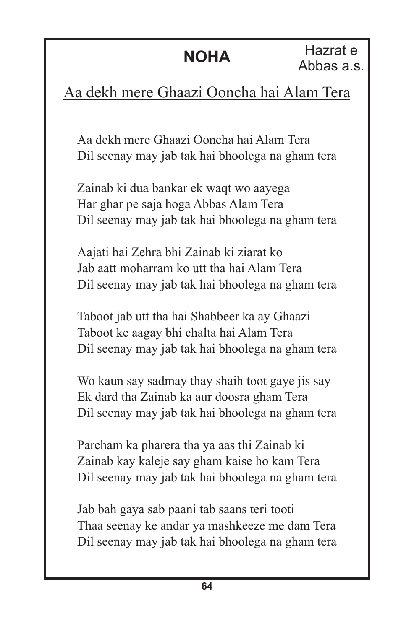### Aa dekh mere Ghaazi Ooncha hai Alam Tera

Aa dekh mere Ghaazi Ooncha hai Alam Tera Dil seenay may jab tak hai bhoolega na gham tera

Zainab ki dua bankar ek waqt wo aayega Har ghar pe saja hoga Abbas Alam Tera Dil seenay may jab tak hai bhoolega na gham tera

Aajati hai Zehra bhi Zainab ki ziarat ko Jab aatt moharram ko utt tha hai Alam Tera Dil seenay may jab tak hai bhoolega na gham tera

Taboot jab utt tha hai Shabbeer ka ay Ghaazi Taboot ke aagay bhi chalta hai Alam Tera Dil seenay may jab tak hai bhoolega na gham tera

Wo kaun say sadmay thay shaih toot gaye jis say Ek dard tha Zainab ka aur doosra gham Tera Dil seenay may jab tak hai bhoolega na gham tera

Parcham ka pharera tha ya aas thi Zainab ki Zainab kay kaleje say gham kaise ho kam Tera Dil seenay may jab tak hai bhoolega na gham tera

Jab bah gaya sab paani tab saans teri tooti Thaa seenay ke andar ya mashkeeze me dam Tera Dil seenay may jab tak hai bhoolega na gham tera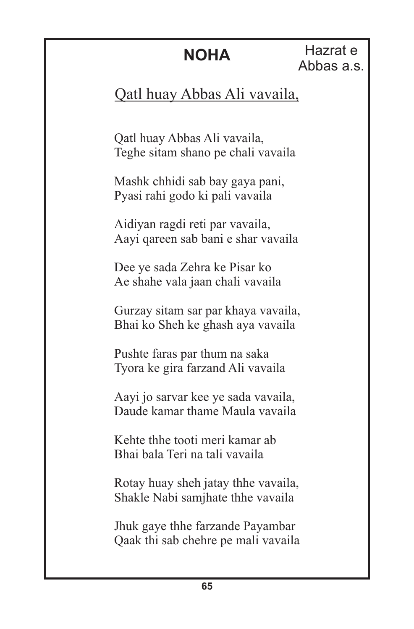Hazrat e Abbas a.s.

### Qatl huay Abbas Ali vavaila,

Qatl huay Abbas Ali vavaila, Teghe sitam shano pe chali vavaila

Mashk chhidi sab bay gaya pani, Pyasi rahi godo ki pali vavaila

Aidiyan ragdi reti par vavaila, Aayi qareen sab bani e shar vavaila

Dee ye sada Zehra ke Pisar ko Ae shahe vala jaan chali vavaila

Gurzay sitam sar par khaya vavaila, Bhai ko Sheh ke ghash aya vavaila

Pushte faras par thum na saka Tyora ke gira farzand Ali vavaila

Aayi jo sarvar kee ye sada vavaila, Daude kamar thame Maula vavaila

Kehte thhe tooti meri kamar ab Bhai bala Teri na tali vavaila

Rotay huay sheh jatay thhe vavaila, Shakle Nabi samjhate thhe vavaila

Jhuk gaye thhe farzande Payambar Qaak thi sab chehre pe mali vavaila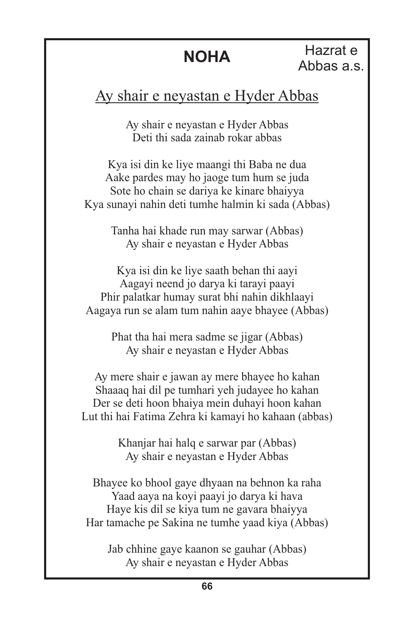#### Ay shair e neyastan e Hyder Abbas

Ay shair e neyastan e Hyder Abbas Deti thi sada zainab rokar abbas

Kya isi din ke liye maangi thi Baba ne dua Aake pardes may ho jaoge tum hum se juda Sote ho chain se dariya ke kinare bhaiyya Kya sunayi nahin deti tumhe halmin ki sada (Abbas)

> Tanha hai khade run may sarwar (Abbas) Ay shair e neyastan e Hyder Abbas

Kya isi din ke liye saath behan thi aayi Aagayi neend jo darya ki tarayi paayi Phir palatkar humay surat bhi nahin dikhlaayi Aagaya run se alam tum nahin aaye bhayee (Abbas)

> Phat tha hai mera sadme se jigar (Abbas) Ay shair e neyastan e Hyder Abbas

Ay mere shair e jawan ay mere bhayee ho kahan Shaaaq hai dil pe tumhari yeh judayee ho kahan Der se deti hoon bhaiya mein duhayi hoon kahan Lut thi hai Fatima Zehra ki kamayi ho kahaan (abbas)

> Khanjar hai halq e sarwar par (Abbas) Ay shair e neyastan e Hyder Abbas

Bhayee ko bhool gaye dhyaan na behnon ka raha Yaad aaya na koyi paayi jo darya ki hava Haye kis dil se kiya tum ne gavara bhaiyya Har tamache pe Sakina ne tumhe yaad kiya (Abbas)

Jab chhine gaye kaanon se gauhar (Abbas) Ay shair e neyastan e Hyder Abbas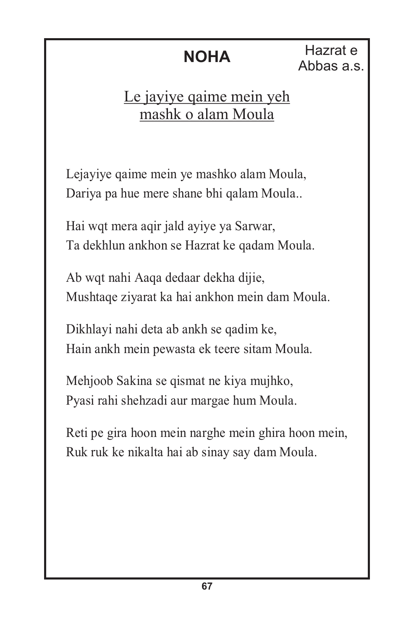**NOHA** Hazrat e Abbas a.s.

### Le jayiye qaime mein yeh mashk o alam Moula

Lejayiye qaime mein ye mashko alam Moula, Dariya pa hue mere shane bhi qalam Moula..

Hai wqt mera aqir jald ayiye ya Sarwar, Ta dekhlun ankhon se Hazrat ke qadam Moula.

Ab wqt nahi Aaqa dedaar dekha dijie, Mushtaqe ziyarat ka hai ankhon mein dam Moula.

Dikhlayi nahi deta ab ankh se qadim ke, Hain ankh mein pewasta ek teere sitam Moula.

Mehjoob Sakina se qismat ne kiya mujhko, Pyasi rahi shehzadi aur margae hum Moula.

Reti pe gira hoon mein narghe mein ghira hoon mein, Ruk ruk ke nikalta hai ab sinay say dam Moula.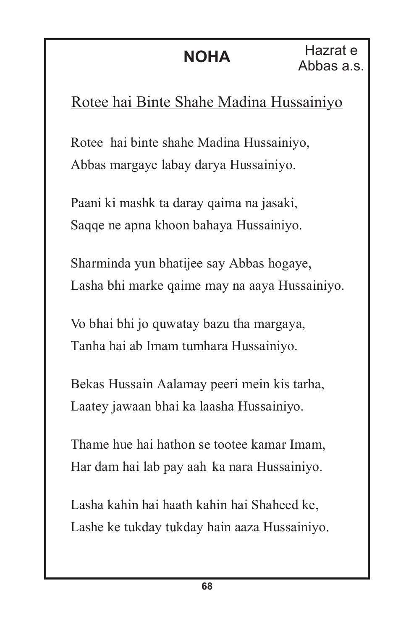## Rotee hai Binte Shahe Madina Hussainiyo

Rotee hai binte shahe Madina Hussainiyo, Abbas margaye labay darya Hussainiyo.

Paani ki mashk ta daray qaima na jasaki, Saqqe ne apna khoon bahaya Hussainiyo.

Sharminda yun bhatijee say Abbas hogaye, Lasha bhi marke qaime may na aaya Hussainiyo.

Vo bhai bhi jo quwatay bazu tha margaya, Tanha hai ab Imam tumhara Hussainiyo.

Bekas Hussain Aalamay peeri mein kis tarha, Laatey jawaan bhai ka laasha Hussainiyo.

Thame hue hai hathon se tootee kamar Imam, Har dam hai lab pay aah ka nara Hussainiyo.

Lasha kahin hai haath kahin hai Shaheed ke, Lashe ke tukday tukday hain aaza Hussainiyo.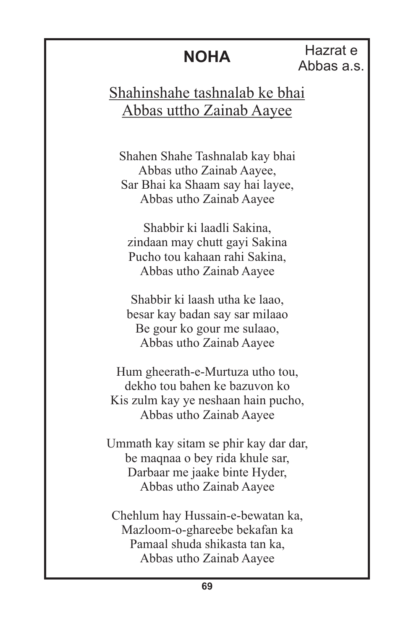**NOHA** Hazrat e Abbas a.s.

Shahinshahe tashnalab ke bhai Abbas uttho Zainab Aayee

Shahen Shahe Tashnalab kay bhai Abbas utho Zainab Aayee, Sar Bhai ka Shaam say hai layee, Abbas utho Zainab Aayee

Shabbir ki laadli Sakina, zindaan may chutt gayi Sakina Pucho tou kahaan rahi Sakina, Abbas utho Zainab Aayee

Shabbir ki laash utha ke laao, besar kay badan say sar milaao Be gour ko gour me sulaao, Abbas utho Zainab Aayee

Hum gheerath-e-Murtuza utho tou, dekho tou bahen ke bazuvon ko Kis zulm kay ye neshaan hain pucho, Abbas utho Zainab Aayee

Ummath kay sitam se phir kay dar dar, be maqnaa o bey rida khule sar, Darbaar me jaake binte Hyder, Abbas utho Zainab Aayee

Chehlum hay Hussain-e-bewatan ka, Mazloom-o-ghareebe bekafan ka Pamaal shuda shikasta tan ka, Abbas utho Zainab Aayee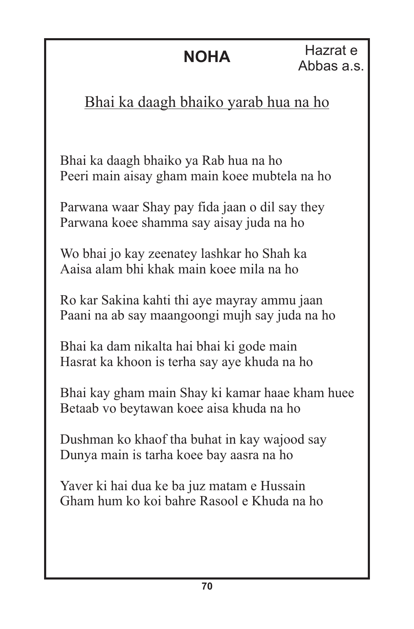## Bhai ka daagh bhaiko yarab hua na ho

Bhai ka daagh bhaiko ya Rab hua na ho Peeri main aisay gham main koee mubtela na ho

Parwana waar Shay pay fida jaan o dil say they Parwana koee shamma say aisay juda na ho

Wo bhai jo kay zeenatey lashkar ho Shah ka Aaisa alam bhi khak main koee mila na ho

Ro kar Sakina kahti thi aye mayray ammu jaan Paani na ab say maangoongi mujh say juda na ho

Bhai ka dam nikalta hai bhai ki gode main Hasrat ka khoon is terha say aye khuda na ho

Bhai kay gham main Shay ki kamar haae kham huee Betaab vo beytawan koee aisa khuda na ho

Dushman ko khaof tha buhat in kay wajood say Dunya main is tarha koee bay aasra na ho

Yaver ki hai dua ke ba juz matam e Hussain Gham hum ko koi bahre Rasool e Khuda na ho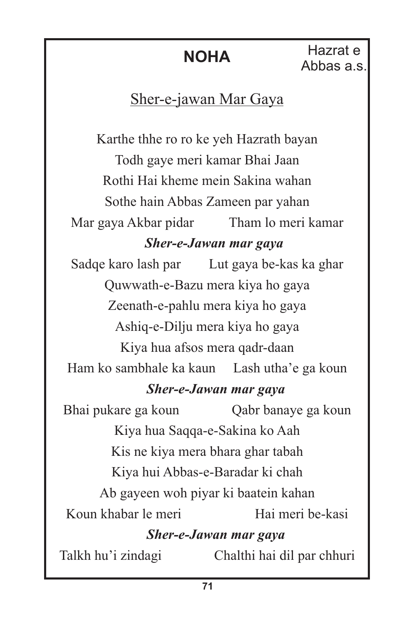### Sher-e-jawan Mar Gaya

Karthe thhe ro ro ke yeh Hazrath bayan Todh gaye meri kamar Bhai Jaan Rothi Hai kheme mein Sakina wahan Sothe hain Abbas Zameen par yahan Mar gaya Akbar pidar Tham lo meri kamar *Sher-e-Jawan mar gaya* Sadqe karo lash par Lut gaya be-kas ka ghar Quwwath-e-Bazu mera kiya ho gaya Zeenath-e-pahlu mera kiya ho gaya Ashiq-e-Dilju mera kiya ho gaya Kiya hua afsos mera qadr-daan Ham ko sambhale ka kaun Lash utha'e ga koun *Sher-e-Jawan mar gaya* Bhai pukare ga koun Qabr banaye ga koun Kiya hua Saqqa-e-Sakina ko Aah Kis ne kiya mera bhara ghar tabah Kiya hui Abbas-e-Baradar ki chah Ab gayeen woh piyar ki baatein kahan Koun khabar le meri Hai meri be-kasi *Sher-e-Jawan mar gaya* Talkh hu'i zindagi Chalthi hai dil par chhuri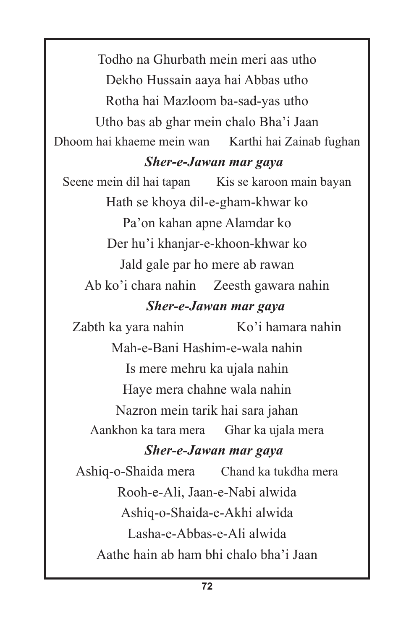Todho na Ghurbath mein meri aas utho Dekho Hussain aaya hai Abbas utho Rotha hai Mazloom ba-sad-yas utho Utho bas ab ghar mein chalo Bha'i Jaan Dhoom hai khaeme mein wan Karthi hai Zainab fughan

#### *Sher-e-Jawan mar gaya*

Seene mein dil hai tapan Kis se karoon main bayan Hath se khoya dil-e-gham-khwar ko Pa'on kahan apne Alamdar ko Der hu'i khanjar-e-khoon-khwar ko Jald gale par ho mere ab rawan Ab ko'i chara nahin Zeesth gawara nahin *Sher-e-Jawan mar gaya* Zabth ka yara nahin Ko'i hamara nahin

Mah-e-Bani Hashim-e-wala nahin Is mere mehru ka ujala nahin Haye mera chahne wala nahin Nazron mein tarik hai sara jahan Aankhon ka tara mera Ghar ka ujala mera

#### *Sher-e-Jawan mar gaya*

Ashiq-o-Shaida mera Chand ka tukdha mera Rooh-e-Ali, Jaan-e-Nabi alwida Ashiq-o-Shaida-e-Akhi alwida Lasha-e-Abbas-e-Ali alwida Aathe hain ab ham bhi chalo bha'i Jaan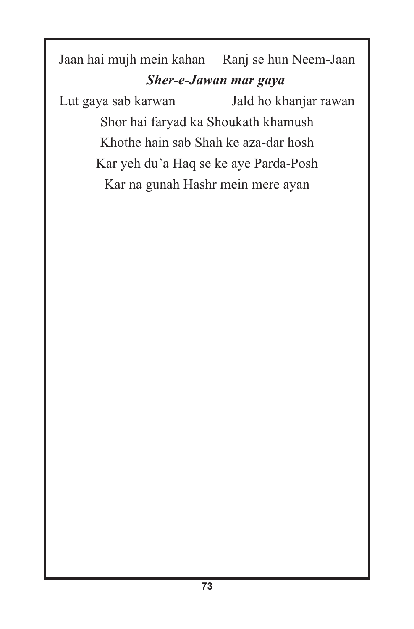Jaan hai mujh mein kahan Ranj se hun Neem-Jaan *Sher-e-Jawan mar gaya*

Lut gaya sab karwan Jald ho khanjar rawan Shor hai faryad ka Shoukath khamush Khothe hain sab Shah ke aza-dar hosh Kar yeh du'a Haq se ke aye Parda-Posh Kar na gunah Hashr mein mere ayan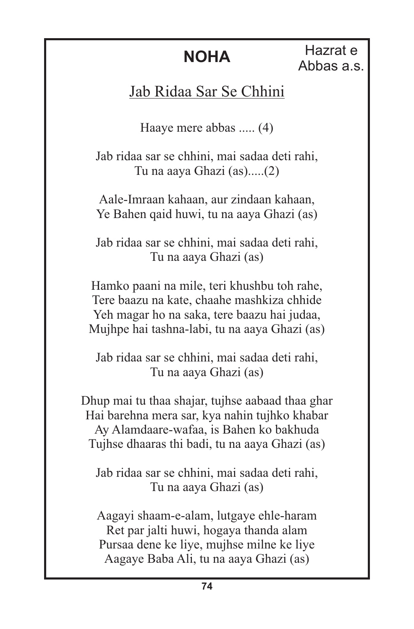**NOHA** Hazrat e Abbas a.s.

#### Jab Ridaa Sar Se Chhini

Haaye mere abbas ..... (4)

Jab ridaa sar se chhini, mai sadaa deti rahi, Tu na aaya Ghazi (as).....(2)

Aale-Imraan kahaan, aur zindaan kahaan, Ye Bahen qaid huwi, tu na aaya Ghazi (as)

Jab ridaa sar se chhini, mai sadaa deti rahi, Tu na aaya Ghazi (as)

Hamko paani na mile, teri khushbu toh rahe, Tere baazu na kate, chaahe mashkiza chhide Yeh magar ho na saka, tere baazu hai judaa, Mujhpe hai tashna-labi, tu na aaya Ghazi (as)

Jab ridaa sar se chhini, mai sadaa deti rahi, Tu na aaya Ghazi (as)

Dhup mai tu thaa shajar, tujhse aabaad thaa ghar Hai barehna mera sar, kya nahin tujhko khabar Ay Alamdaare-wafaa, is Bahen ko bakhuda Tujhse dhaaras thi badi, tu na aaya Ghazi (as)

Jab ridaa sar se chhini, mai sadaa deti rahi, Tu na aaya Ghazi (as)

Aagayi shaam-e-alam, lutgaye ehle-haram Ret par jalti huwi, hogaya thanda alam Pursaa dene ke liye, mujhse milne ke liye Aagaye Baba Ali, tu na aaya Ghazi (as)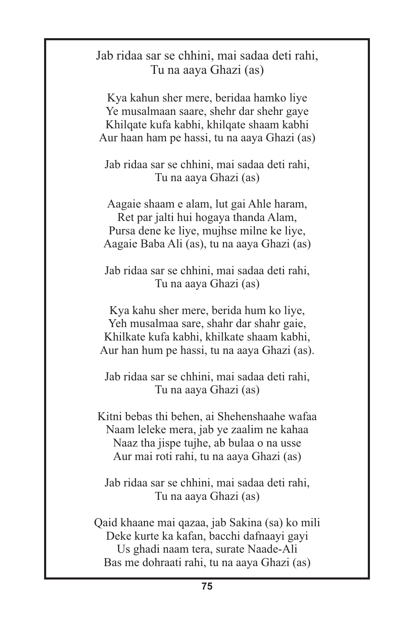#### Jab ridaa sar se chhini, mai sadaa deti rahi, Tu na aaya Ghazi (as)

Kya kahun sher mere, beridaa hamko liye Ye musalmaan saare, shehr dar shehr gaye Khilqate kufa kabhi, khilqate shaam kabhi Aur haan ham pe hassi, tu na aaya Ghazi (as)

Jab ridaa sar se chhini, mai sadaa deti rahi, Tu na aaya Ghazi (as)

Aagaie shaam e alam, lut gai Ahle haram, Ret par jalti hui hogaya thanda Alam, Pursa dene ke liye, mujhse milne ke liye, Aagaie Baba Ali (as), tu na aaya Ghazi (as)

Jab ridaa sar se chhini, mai sadaa deti rahi, Tu na aaya Ghazi (as)

Kya kahu sher mere, berida hum ko liye, Yeh musalmaa sare, shahr dar shahr gaie, Khilkate kufa kabhi, khilkate shaam kabhi, Aur han hum pe hassi, tu na aaya Ghazi (as).

Jab ridaa sar se chhini, mai sadaa deti rahi, Tu na aaya Ghazi (as)

Kitni bebas thi behen, ai Shehenshaahe wafaa Naam leleke mera, jab ye zaalim ne kahaa Naaz tha jispe tujhe, ab bulaa o na usse Aur mai roti rahi, tu na aaya Ghazi (as)

Jab ridaa sar se chhini, mai sadaa deti rahi, Tu na aaya Ghazi (as)

Qaid khaane mai qazaa, jab Sakina (sa) ko mili Deke kurte ka kafan, bacchi dafnaayi gayi Us ghadi naam tera, surate Naade-Ali Bas me dohraati rahi, tu na aaya Ghazi (as)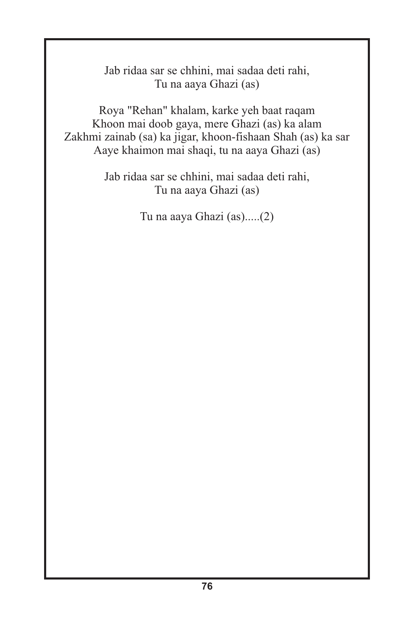Jab ridaa sar se chhini, mai sadaa deti rahi, Tu na aaya Ghazi (as)

Roya "Rehan" khalam, karke yeh baat raqam Khoon mai doob gaya, mere Ghazi (as) ka alam Zakhmi zainab (sa) ka jigar, khoon-fishaan Shah (as) ka sar Aaye khaimon mai shaqi, tu na aaya Ghazi (as)

> Jab ridaa sar se chhini, mai sadaa deti rahi, Tu na aaya Ghazi (as)

> > Tu na aaya Ghazi (as).....(2)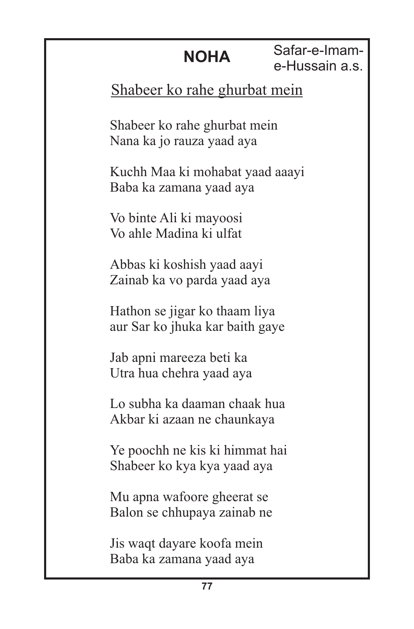Safar-e-Imame-Hussain a.s.

#### Shabeer ko rahe ghurbat mein

Shabeer ko rahe ghurbat mein Nana ka jo rauza yaad aya

Kuchh Maa ki mohabat yaad aaayi Baba ka zamana yaad aya

Vo binte Ali ki mayoosi Vo ahle Madina ki ulfat

Abbas ki koshish yaad aayi Zainab ka vo parda yaad aya

Hathon se jigar ko thaam liya aur Sar ko jhuka kar baith gaye

Jab apni mareeza beti ka Utra hua chehra yaad aya

Lo subha ka daaman chaak hua Akbar ki azaan ne chaunkaya

Ye poochh ne kis ki himmat hai Shabeer ko kya kya yaad aya

Mu apna wafoore gheerat se Balon se chhupaya zainab ne

Jis waqt dayare koofa mein Baba ka zamana yaad aya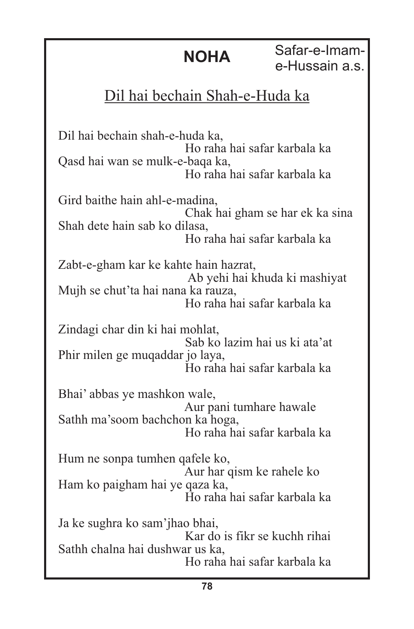**NOHA** Safar-e-Imame-Hussain a.s.

### Dil hai bechain Shah-e-Huda ka

Dil hai bechain shah-e-huda ka, Ho raha hai safar karbala ka Qasd hai wan se mulk-e-baqa ka, Ho raha hai safar karbala ka Gird baithe hain ahl-e-madina, Chak hai gham se har ek ka sina Shah dete hain sab ko dilasa, Ho raha hai safar karbala ka Zabt-e-gham kar ke kahte hain hazrat, Ab yehi hai khuda ki mashiyat Mujh se chut'ta hai nana ka rauza, Ho raha hai safar karbala ka Zindagi char din ki hai mohlat, Sab ko lazim hai us ki ata'at Phir milen ge muqaddar jo laya, Ho raha hai safar karbala ka Bhai' abbas ye mashkon wale, Aur pani tumhare hawale Sathh ma'soom bachchon ka hoga, Ho raha hai safar karbala ka Hum ne sonpa tumhen qafele ko, Aur har qism ke rahele ko Ham ko paigham hai ye qaza ka, Ho raha hai safar karbala ka Ja ke sughra ko sam'jhao bhai, Kar do is fikr se kuchh rihai Sathh chalna hai dushwar us ka, Ho raha hai safar karbala ka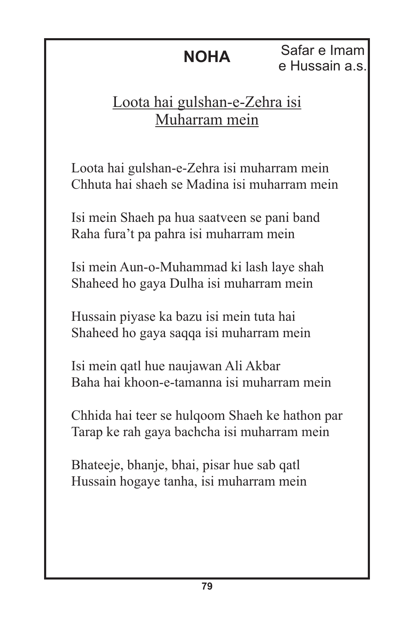**NOHA** Safar e Imam e Hussain a.s.

### Loota hai gulshan-e-Zehra isi Muharram mein

Loota hai gulshan-e-Zehra isi muharram mein Chhuta hai shaeh se Madina isi muharram mein

Isi mein Shaeh pa hua saatveen se pani band Raha fura't pa pahra isi muharram mein

Isi mein Aun-o-Muhammad ki lash laye shah Shaheed ho gaya Dulha isi muharram mein

Hussain piyase ka bazu isi mein tuta hai Shaheed ho gaya saqqa isi muharram mein

Isi mein qatl hue naujawan Ali Akbar Baha hai khoon-e-tamanna isi muharram mein

Chhida hai teer se hulqoom Shaeh ke hathon par Tarap ke rah gaya bachcha isi muharram mein

Bhateeje, bhanje, bhai, pisar hue sab qatl Hussain hogaye tanha, isi muharram mein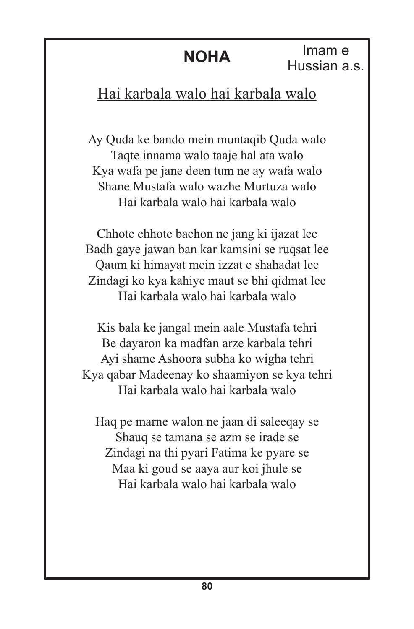Imam e Hussian a.s.

### Hai karbala walo hai karbala walo

Ay Quda ke bando mein muntaqib Quda walo Taqte innama walo taaje hal ata walo Kya wafa pe jane deen tum ne ay wafa walo Shane Mustafa walo wazhe Murtuza walo Hai karbala walo hai karbala walo

Chhote chhote bachon ne jang ki ijazat lee Badh gaye jawan ban kar kamsini se ruqsat lee Qaum ki himayat mein izzat e shahadat lee Zindagi ko kya kahiye maut se bhi qidmat lee Hai karbala walo hai karbala walo

Kis bala ke jangal mein aale Mustafa tehri Be dayaron ka madfan arze karbala tehri Ayi shame Ashoora subha ko wigha tehri Kya qabar Madeenay ko shaamiyon se kya tehri Hai karbala walo hai karbala walo

Haq pe marne walon ne jaan di saleeqay se Shauq se tamana se azm se irade se Zindagi na thi pyari Fatima ke pyare se Maa ki goud se aaya aur koi jhule se Hai karbala walo hai karbala walo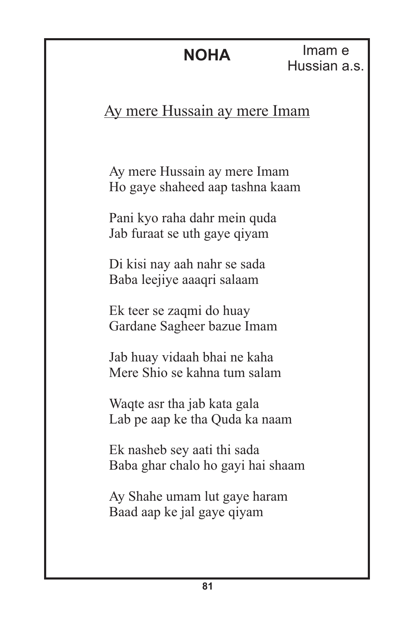#### Ay mere Hussain ay mere Imam

Ay mere Hussain ay mere Imam Ho gaye shaheed aap tashna kaam

Pani kyo raha dahr mein quda Jab furaat se uth gaye qiyam

Di kisi nay aah nahr se sada Baba leejiye aaaqri salaam

Ek teer se zaqmi do huay Gardane Sagheer bazue Imam

Jab huay vidaah bhai ne kaha Mere Shio se kahna tum salam

Waqte asr tha jab kata gala Lab pe aap ke tha Quda ka naam

Ek nasheb sey aati thi sada Baba ghar chalo ho gayi hai shaam

Ay Shahe umam lut gaye haram Baad aap ke jal gaye qiyam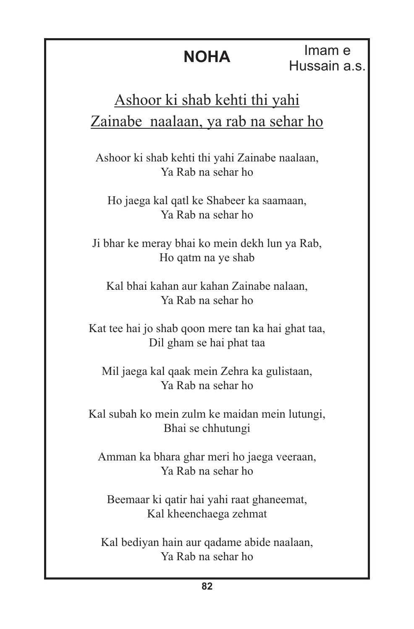Imam e Hussain a.s.

## Ashoor ki shab kehti thi yahi Zainabe naalaan, ya rab na sehar ho

Ashoor ki shab kehti thi yahi Zainabe naalaan, Ya Rab na sehar ho

Ho jaega kal qatl ke Shabeer ka saamaan, Ya Rab na sehar ho

Ji bhar ke meray bhai ko mein dekh lun ya Rab, Ho qatm na ye shab

Kal bhai kahan aur kahan Zainabe nalaan, Ya Rab na sehar ho

Kat tee hai jo shab qoon mere tan ka hai ghat taa, Dil gham se hai phat taa

Mil jaega kal qaak mein Zehra ka gulistaan, Ya Rab na sehar ho

Kal subah ko mein zulm ke maidan mein lutungi, Bhai se chhutungi

Amman ka bhara ghar meri ho jaega veeraan, Ya Rab na sehar ho

Beemaar ki qatir hai yahi raat ghaneemat, Kal kheenchaega zehmat

Kal bediyan hain aur qadame abide naalaan, Ya Rab na sehar ho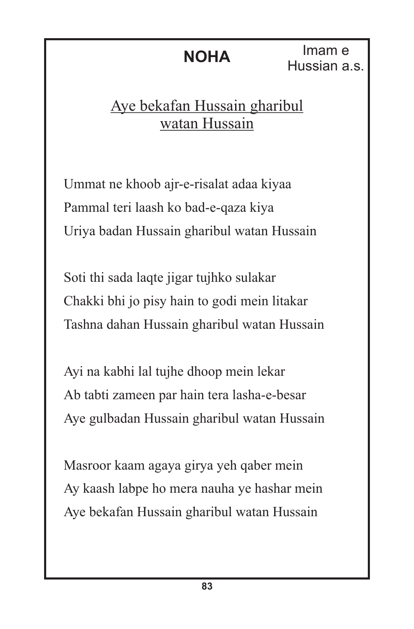**NOHA** Imam e Hussian a.s.

#### Aye bekafan Hussain gharibul watan Hussain

Ummat ne khoob ajr-e-risalat adaa kiyaa Pammal teri laash ko bad-e-qaza kiya Uriya badan Hussain gharibul watan Hussain

Soti thi sada laqte jigar tujhko sulakar Chakki bhi jo pisy hain to godi mein litakar Tashna dahan Hussain gharibul watan Hussain

Ayi na kabhi lal tujhe dhoop mein lekar Ab tabti zameen par hain tera lasha-e-besar Aye gulbadan Hussain gharibul watan Hussain

Masroor kaam agaya girya yeh qaber mein Ay kaash labpe ho mera nauha ye hashar mein Aye bekafan Hussain gharibul watan Hussain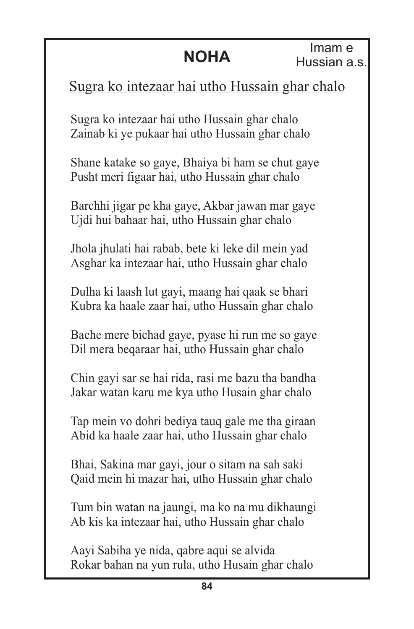#### Sugra ko intezaar hai utho Hussain ghar chalo

Sugra ko intezaar hai utho Hussain ghar chalo Zainab ki ye pukaar hai utho Hussain ghar chalo

Shane katake so gaye, Bhaiya bi ham se chut gaye Pusht meri figaar hai, utho Hussain ghar chalo

Barchhi jigar pe kha gaye, Akbar jawan mar gaye Ujdi hui bahaar hai, utho Hussain ghar chalo

Jhola jhulati hai rabab, bete ki leke dil mein yad Asghar ka intezaar hai, utho Hussain ghar chalo

Dulha ki laash lut gayi, maang hai qaak se bhari Kubra ka haale zaar hai, utho Hussain ghar chalo

Bache mere bichad gaye, pyase hi run me so gaye Dil mera beqaraar hai, utho Hussain ghar chalo

Chin gayi sar se hai rida, rasi me bazu tha bandha Jakar watan karu me kya utho Husain ghar chalo

Tap mein vo dohri bediya tauq gale me tha giraan Abid ka haale zaar hai, utho Hussain ghar chalo

Bhai, Sakina mar gayi, jour o sitam na sah saki Qaid mein hi mazar hai, utho Hussain ghar chalo

Tum bin watan na jaungi, ma ko na mu dikhaungi Ab kis ka intezaar hai, utho Hussain ghar chalo

Aayi Sabiha ye nida, qabre aqui se alvida Rokar bahan na yun rula, utho Husain ghar chalo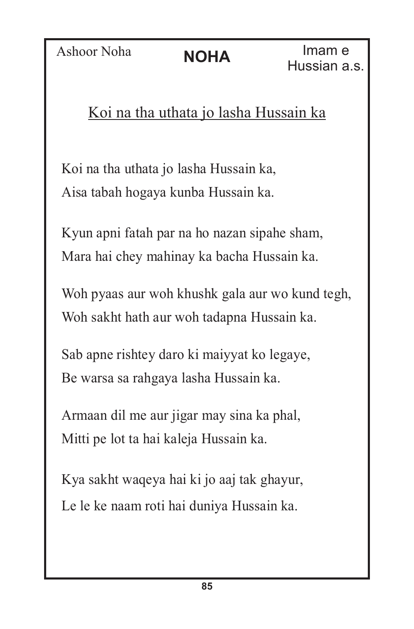Ashoor Noha **NOHA** Imam e

### Koi na tha uthata jo lasha Hussain ka

Koi na tha uthata jo lasha Hussain ka, Aisa tabah hogaya kunba Hussain ka.

Kyun apni fatah par na ho nazan sipahe sham, Mara hai chey mahinay ka bacha Hussain ka.

Woh pyaas aur woh khushk gala aur wo kund tegh, Woh sakht hath aur woh tadapna Hussain ka.

Sab apne rishtey daro ki maiyyat ko legaye, Be warsa sa rahgaya lasha Hussain ka.

Armaan dil me aur jigar may sina ka phal, Mitti pe lot ta hai kaleja Hussain ka.

Kya sakht waqeya hai ki jo aaj tak ghayur, Le le ke naam roti hai duniya Hussain ka.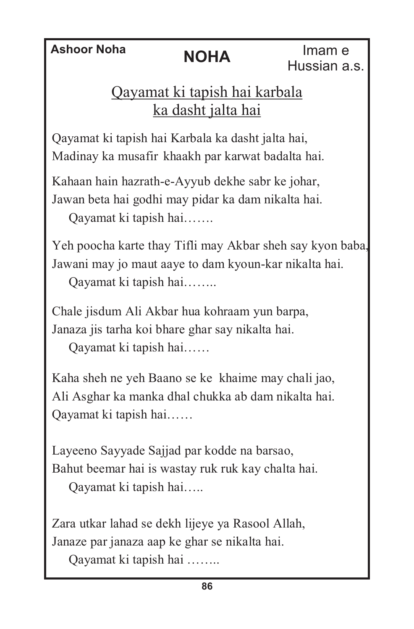**Ashoor Noha NOHA** Imam e Hussian a.s.

### Qayamat ki tapish hai karbala ka dasht jalta hai

Qayamat ki tapish hai Karbala ka dasht jalta hai, Madinay ka musafir khaakh par karwat badalta hai.

Kahaan hain hazrath-e-Ayyub dekhe sabr ke johar, Jawan beta hai godhi may pidar ka dam nikalta hai.

Qayamat ki tapish hai…….

Yeh poocha karte thay Tifli may Akbar sheh say kyon baba, Jawani may jo maut aaye to dam kyoun-kar nikalta hai.

Qayamat ki tapish hai……..

Chale jisdum Ali Akbar hua kohraam yun barpa, Janaza jis tarha koi bhare ghar say nikalta hai.

Qayamat ki tapish hai……

Kaha sheh ne yeh Baano se ke khaime may chali jao, Ali Asghar ka manka dhal chukka ab dam nikalta hai. Qayamat ki tapish hai……

Layeeno Sayyade Sajjad par kodde na barsao, Bahut beemar hai is wastay ruk ruk kay chalta hai. Qayamat ki tapish hai…..

Zara utkar lahad se dekh lijeye ya Rasool Allah, Janaze par janaza aap ke ghar se nikalta hai.

Qayamat ki tapish hai ……..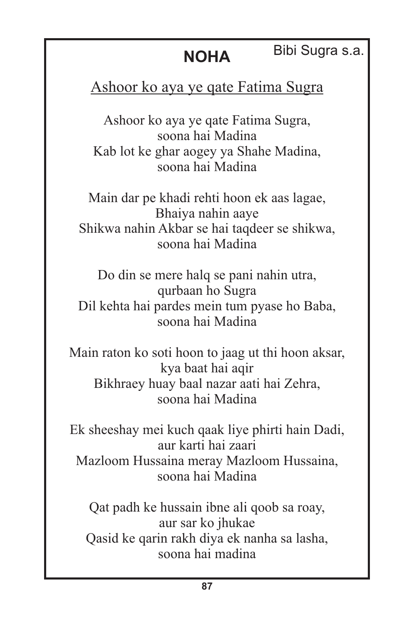#### Bibi Sugra s.a.

#### Ashoor ko aya ye qate Fatima Sugra

Ashoor ko aya ye qate Fatima Sugra, soona hai Madina Kab lot ke ghar aogey ya Shahe Madina, soona hai Madina

Main dar pe khadi rehti hoon ek aas lagae, Bhaiya nahin aaye Shikwa nahin Akbar se hai taqdeer se shikwa, soona hai Madina

Do din se mere halq se pani nahin utra, qurbaan ho Sugra Dil kehta hai pardes mein tum pyase ho Baba, soona hai Madina

Main raton ko soti hoon to jaag ut thi hoon aksar, kya baat hai aqir Bikhraey huay baal nazar aati hai Zehra, soona hai Madina

Ek sheeshay mei kuch qaak liye phirti hain Dadi, aur karti hai zaari Mazloom Hussaina meray Mazloom Hussaina, soona hai Madina

Qat padh ke hussain ibne ali qoob sa roay, aur sar ko jhukae Qasid ke qarin rakh diya ek nanha sa lasha, soona hai madina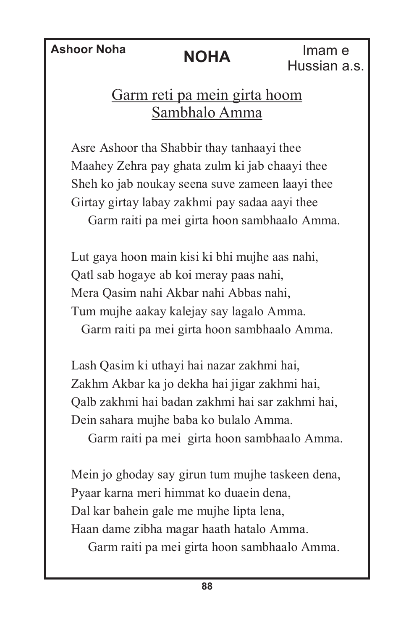**Ashoor Noha NOHA** Imam e Hussian a.s.

#### Garm reti pa mein girta hoom Sambhalo Amma

Asre Ashoor tha Shabbir thay tanhaayi thee Maahey Zehra pay ghata zulm ki jab chaayi thee Sheh ko jab noukay seena suve zameen laayi thee Girtay girtay labay zakhmi pay sadaa aayi thee Garm raiti pa mei girta hoon sambhaalo Amma.

Lut gaya hoon main kisi ki bhi mujhe aas nahi, Qatl sab hogaye ab koi meray paas nahi, Mera Qasim nahi Akbar nahi Abbas nahi, Tum mujhe aakay kalejay say lagalo Amma. Garm raiti pa mei girta hoon sambhaalo Amma.

Lash Qasim ki uthayi hai nazar zakhmi hai, Zakhm Akbar ka jo dekha hai jigar zakhmi hai, Qalb zakhmi hai badan zakhmi hai sar zakhmi hai, Dein sahara mujhe baba ko bulalo Amma.

Garm raiti pa mei girta hoon sambhaalo Amma.

Mein jo ghoday say girun tum mujhe taskeen dena, Pyaar karna meri himmat ko duaein dena, Dal kar bahein gale me mujhe lipta lena, Haan dame zibha magar haath hatalo Amma.

Garm raiti pa mei girta hoon sambhaalo Amma.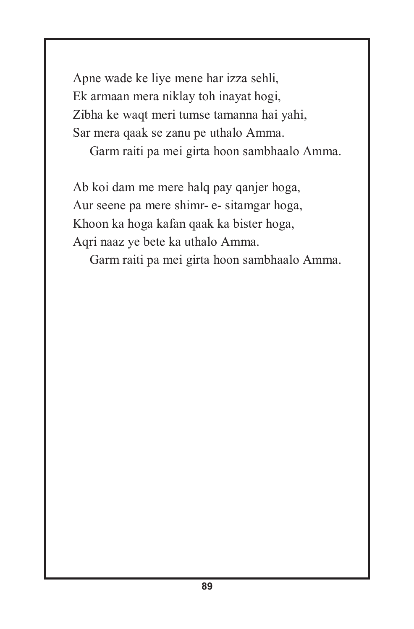Apne wade ke liye mene har izza sehli, Ek armaan mera niklay toh inayat hogi, Zibha ke waqt meri tumse tamanna hai yahi, Sar mera qaak se zanu pe uthalo Amma.

Garm raiti pa mei girta hoon sambhaalo Amma.

Ab koi dam me mere halq pay qanjer hoga, Aur seene pa mere shimr- e- sitamgar hoga, Khoon ka hoga kafan qaak ka bister hoga, Aqri naaz ye bete ka uthalo Amma.

Garm raiti pa mei girta hoon sambhaalo Amma.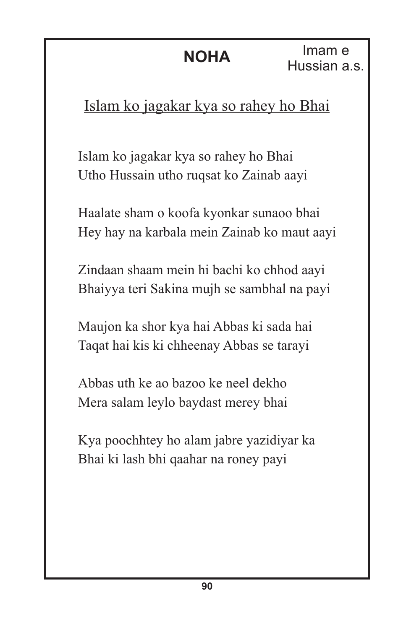Islam ko jagakar kya so rahey ho Bhai

Islam ko jagakar kya so rahey ho Bhai Utho Hussain utho ruqsat ko Zainab aayi

Haalate sham o koofa kyonkar sunaoo bhai Hey hay na karbala mein Zainab ko maut aayi

Zindaan shaam mein hi bachi ko chhod aayi Bhaiyya teri Sakina mujh se sambhal na payi

Maujon ka shor kya hai Abbas ki sada hai Taqat hai kis ki chheenay Abbas se tarayi

Abbas uth ke ao bazoo ke neel dekho Mera salam leylo baydast merey bhai

Kya poochhtey ho alam jabre yazidiyar ka Bhai ki lash bhi qaahar na roney payi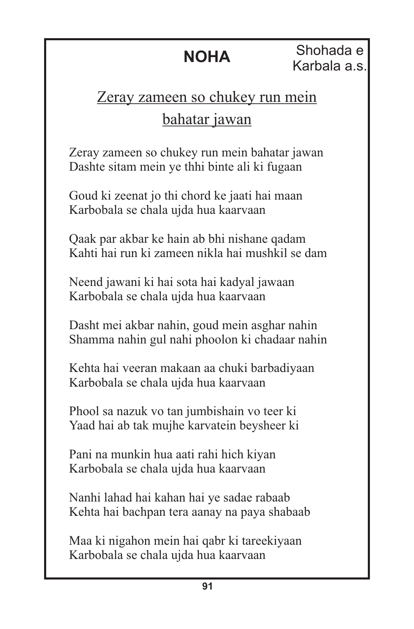Shohada e Karbala a.s.

## Zeray zameen so chukey run mein bahatar jawan

Zeray zameen so chukey run mein bahatar jawan Dashte sitam mein ye thhi binte ali ki fugaan

Goud ki zeenat jo thi chord ke jaati hai maan Karbobala se chala ujda hua kaarvaan

Qaak par akbar ke hain ab bhi nishane qadam Kahti hai run ki zameen nikla hai mushkil se dam

Neend jawani ki hai sota hai kadyal jawaan Karbobala se chala ujda hua kaarvaan

Dasht mei akbar nahin, goud mein asghar nahin Shamma nahin gul nahi phoolon ki chadaar nahin

Kehta hai veeran makaan aa chuki barbadiyaan Karbobala se chala ujda hua kaarvaan

Phool sa nazuk vo tan jumbishain vo teer ki Yaad hai ab tak mujhe karvatein beysheer ki

Pani na munkin hua aati rahi hich kiyan Karbobala se chala ujda hua kaarvaan

Nanhi lahad hai kahan hai ye sadae rabaab Kehta hai bachpan tera aanay na paya shabaab

Maa ki nigahon mein hai qabr ki tareekiyaan Karbobala se chala ujda hua kaarvaan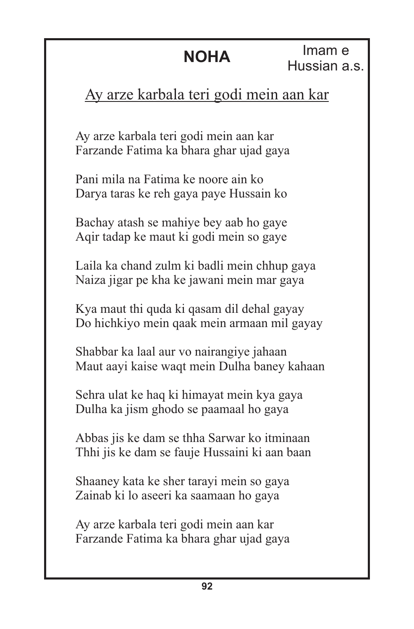Imam e Hussian a.s.

### Ay arze karbala teri godi mein aan kar

Ay arze karbala teri godi mein aan kar Farzande Fatima ka bhara ghar ujad gaya

Pani mila na Fatima ke noore ain ko Darya taras ke reh gaya paye Hussain ko

Bachay atash se mahiye bey aab ho gaye Aqir tadap ke maut ki godi mein so gaye

Laila ka chand zulm ki badli mein chhup gaya Naiza jigar pe kha ke jawani mein mar gaya

Kya maut thi quda ki qasam dil dehal gayay Do hichkiyo mein qaak mein armaan mil gayay

Shabbar ka laal aur vo nairangiye jahaan Maut aayi kaise waqt mein Dulha baney kahaan

Sehra ulat ke haq ki himayat mein kya gaya Dulha ka jism ghodo se paamaal ho gaya

Abbas jis ke dam se thha Sarwar ko itminaan Thhi jis ke dam se fauje Hussaini ki aan baan

Shaaney kata ke sher tarayi mein so gaya Zainab ki lo aseeri ka saamaan ho gaya

Ay arze karbala teri godi mein aan kar Farzande Fatima ka bhara ghar ujad gaya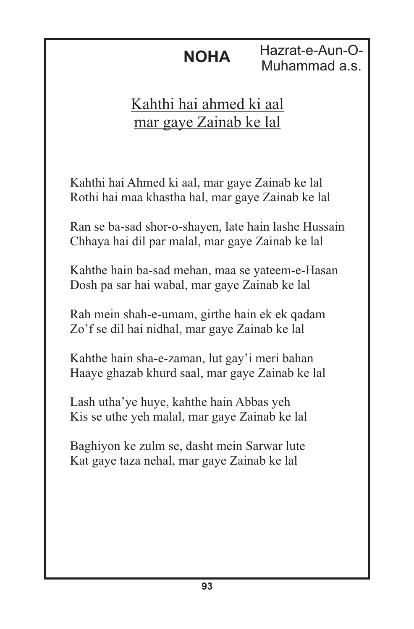**NOHA** Hazrat-e-Aun-O-Muhammad a.s.

### Kahthi hai ahmed ki aal mar gaye Zainab ke lal

Kahthi hai Ahmed ki aal, mar gaye Zainab ke lal Rothi hai maa khastha hal, mar gaye Zainab ke lal

Ran se ba-sad shor-o-shayen, late hain lashe Hussain Chhaya hai dil par malal, mar gaye Zainab ke lal

Kahthe hain ba-sad mehan, maa se yateem-e-Hasan Dosh pa sar hai wabal, mar gaye Zainab ke lal

Rah mein shah-e-umam, girthe hain ek ek qadam Zo'f se dil hai nidhal, mar gaye Zainab ke lal

Kahthe hain sha-e-zaman, lut gay'i meri bahan Haaye ghazab khurd saal, mar gaye Zainab ke lal

Lash utha'ye huye, kahthe hain Abbas yeh Kis se uthe yeh malal, mar gaye Zainab ke lal

Baghiyon ke zulm se, dasht mein Sarwar lute Kat gaye taza nehal, mar gaye Zainab ke lal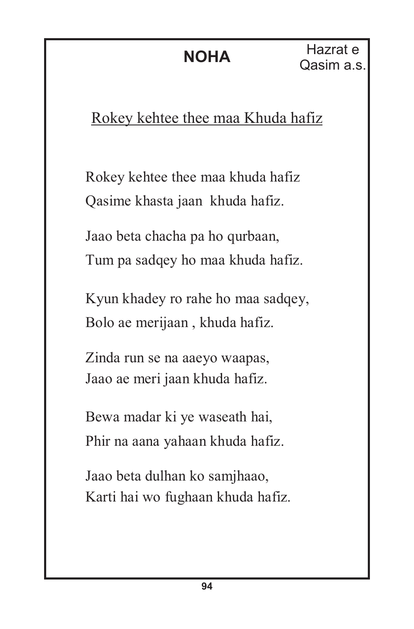### Rokey kehtee thee maa Khuda hafiz

Rokey kehtee thee maa khuda hafiz Qasime khasta jaan khuda hafiz.

Jaao beta chacha pa ho qurbaan, Tum pa sadqey ho maa khuda hafiz.

Kyun khadey ro rahe ho maa sadqey, Bolo ae merijaan , khuda hafiz.

Zinda run se na aaeyo waapas, Jaao ae meri jaan khuda hafiz.

Bewa madar ki ye waseath hai, Phir na aana yahaan khuda hafiz.

Jaao beta dulhan ko samjhaao, Karti hai wo fughaan khuda hafiz.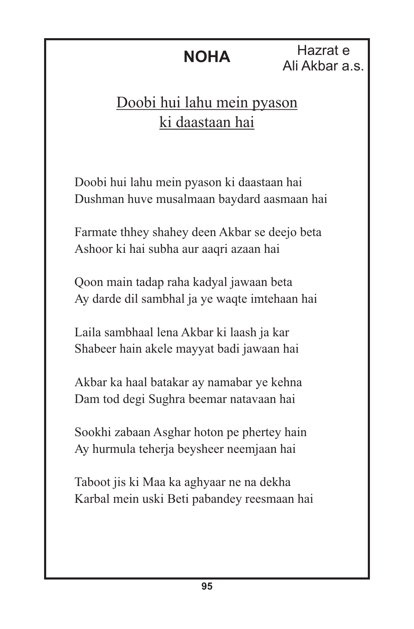Hazrat e Ali Akbar a.s.

### Doobi hui lahu mein pyason ki daastaan hai

Doobi hui lahu mein pyason ki daastaan hai Dushman huve musalmaan baydard aasmaan hai

Farmate thhey shahey deen Akbar se deejo beta Ashoor ki hai subha aur aaqri azaan hai

Qoon main tadap raha kadyal jawaan beta Ay darde dil sambhal ja ye waqte imtehaan hai

Laila sambhaal lena Akbar ki laash ja kar Shabeer hain akele mayyat badi jawaan hai

Akbar ka haal batakar ay namabar ye kehna Dam tod degi Sughra beemar natavaan hai

Sookhi zabaan Asghar hoton pe phertey hain Ay hurmula teherja beysheer neemjaan hai

Taboot jis ki Maa ka aghyaar ne na dekha Karbal mein uski Beti pabandey reesmaan hai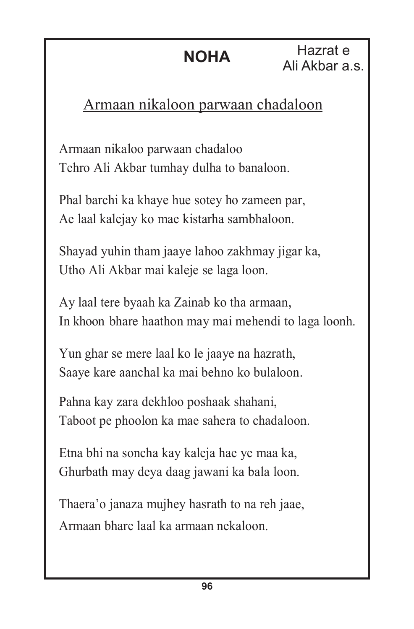**NOHA** Hazrat e Ali Akbar a.s.

### Armaan nikaloon parwaan chadaloon

Armaan nikaloo parwaan chadaloo Tehro Ali Akbar tumhay dulha to banaloon.

Phal barchi ka khaye hue sotey ho zameen par, Ae laal kalejay ko mae kistarha sambhaloon.

Shayad yuhin tham jaaye lahoo zakhmay jigar ka, Utho Ali Akbar mai kaleje se laga loon.

Ay laal tere byaah ka Zainab ko tha armaan, In khoon bhare haathon may mai mehendi to laga loonh.

Yun ghar se mere laal ko le jaaye na hazrath, Saaye kare aanchal ka mai behno ko bulaloon.

Pahna kay zara dekhloo poshaak shahani, Taboot pe phoolon ka mae sahera to chadaloon.

Etna bhi na soncha kay kaleja hae ye maa ka, Ghurbath may deya daag jawani ka bala loon.

Thaera'o janaza mujhey hasrath to na reh jaae, Armaan bhare laal ka armaan nekaloon.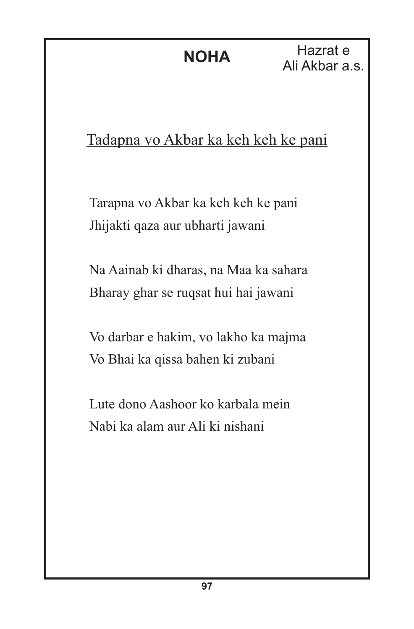Hazrat e Ali Akbar a.s.

### Tadapna vo Akbar ka keh keh ke pani

Tarapna vo Akbar ka keh keh ke pani Jhijakti qaza aur ubharti jawani

Na Aainab ki dharas, na Maa ka sahara Bharay ghar se ruqsat hui hai jawani

Vo darbar e hakim, vo lakho ka majma Vo Bhai ka qissa bahen ki zubani

Lute dono Aashoor ko karbala mein Nabi ka alam aur Ali ki nishani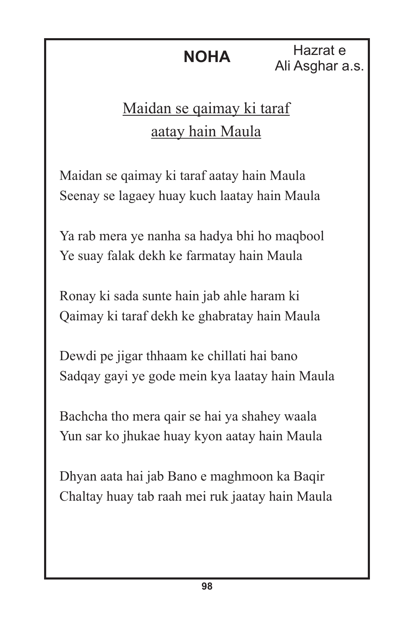**NOHA** Hazrat e Ali Asghar a.s.

## Maidan se qaimay ki taraf aatay hain Maula

Maidan se qaimay ki taraf aatay hain Maula Seenay se lagaey huay kuch laatay hain Maula

Ya rab mera ye nanha sa hadya bhi ho maqbool Ye suay falak dekh ke farmatay hain Maula

Ronay ki sada sunte hain jab ahle haram ki Qaimay ki taraf dekh ke ghabratay hain Maula

Dewdi pe jigar thhaam ke chillati hai bano Sadqay gayi ye gode mein kya laatay hain Maula

Bachcha tho mera qair se hai ya shahey waala Yun sar ko jhukae huay kyon aatay hain Maula

Dhyan aata hai jab Bano e maghmoon ka Baqir Chaltay huay tab raah mei ruk jaatay hain Maula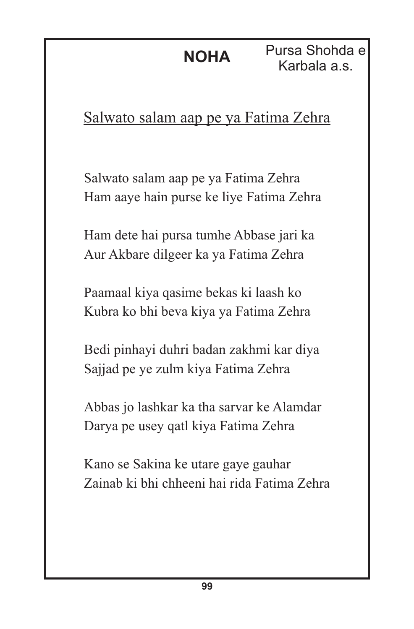Pursa Shohda e Karbala a.s.

### Salwato salam aap pe ya Fatima Zehra

Salwato salam aap pe ya Fatima Zehra Ham aaye hain purse ke liye Fatima Zehra

Ham dete hai pursa tumhe Abbase jari ka Aur Akbare dilgeer ka ya Fatima Zehra

Paamaal kiya qasime bekas ki laash ko Kubra ko bhi beva kiya ya Fatima Zehra

Bedi pinhayi duhri badan zakhmi kar diya Sajjad pe ye zulm kiya Fatima Zehra

Abbas jo lashkar ka tha sarvar ke Alamdar Darya pe usey qatl kiya Fatima Zehra

Kano se Sakina ke utare gaye gauhar Zainab ki bhi chheeni hai rida Fatima Zehra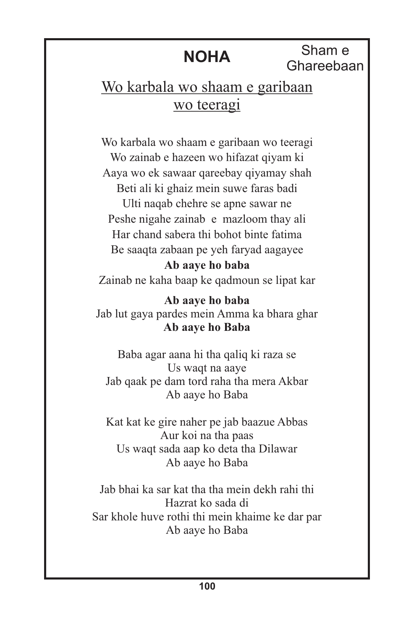Sham e Ghareebaan

#### Wo karbala wo shaam e garibaan wo teeragi

Wo karbala wo shaam e garibaan wo teeragi Wo zainab e hazeen wo hifazat qiyam ki Aaya wo ek sawaar qareebay qiyamay shah Beti ali ki ghaiz mein suwe faras badi Ulti naqab chehre se apne sawar ne Peshe nigahe zainab e mazloom thay ali Har chand sabera thi bohot binte fatima Be saaqta zabaan pe yeh faryad aagayee **Ab aaye ho baba**

Zainab ne kaha baap ke qadmoun se lipat kar

**Ab aaye ho baba** Jab lut gaya pardes mein Amma ka bhara ghar **Ab aaye ho Baba**

Baba agar aana hi tha qaliq ki raza se Us waqt na aaye Jab qaak pe dam tord raha tha mera Akbar Ab aaye ho Baba

Kat kat ke gire naher pe jab baazue Abbas Aur koi na tha paas Us waqt sada aap ko deta tha Dilawar Ab aaye ho Baba

Jab bhai ka sar kat tha tha mein dekh rahi thi Hazrat ko sada di Sar khole huve rothi thi mein khaime ke dar par Ab aaye ho Baba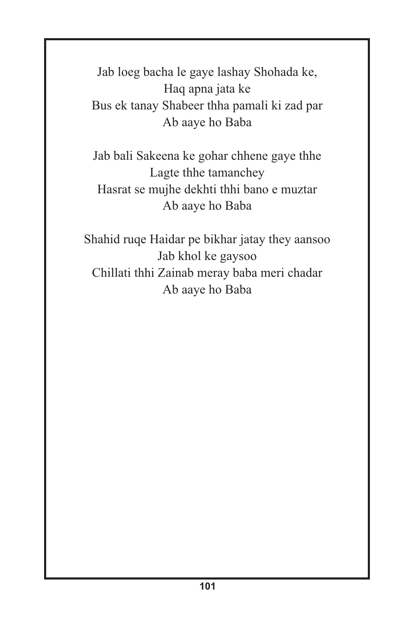Jab loeg bacha le gaye lashay Shohada ke, Haq apna jata ke Bus ek tanay Shabeer thha pamali ki zad par Ab aaye ho Baba

Jab bali Sakeena ke gohar chhene gaye thhe Lagte thhe tamanchey Hasrat se mujhe dekhti thhi bano e muztar Ab aaye ho Baba

Shahid ruqe Haidar pe bikhar jatay they aansoo Jab khol ke gaysoo Chillati thhi Zainab meray baba meri chadar Ab aaye ho Baba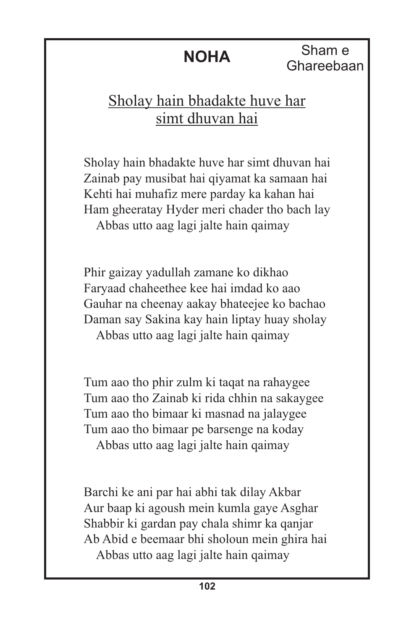Sham e Ghareebaan

# Sholay hain bhadakte huve har simt dhuvan hai

Sholay hain bhadakte huve har simt dhuvan hai Zainab pay musibat hai qiyamat ka samaan hai Kehti hai muhafiz mere parday ka kahan hai Ham gheeratay Hyder meri chader tho bach lay Abbas utto aag lagi jalte hain qaimay

Phir gaizay yadullah zamane ko dikhao Faryaad chaheethee kee hai imdad ko aao Gauhar na cheenay aakay bhateejee ko bachao Daman say Sakina kay hain liptay huay sholay Abbas utto aag lagi jalte hain qaimay

Tum aao tho phir zulm ki taqat na rahaygee Tum aao tho Zainab ki rida chhin na sakaygee Tum aao tho bimaar ki masnad na jalaygee Tum aao tho bimaar pe barsenge na koday Abbas utto aag lagi jalte hain qaimay

Barchi ke ani par hai abhi tak dilay Akbar Aur baap ki agoush mein kumla gaye Asghar Shabbir ki gardan pay chala shimr ka qanjar Ab Abid e beemaar bhi sholoun mein ghira hai Abbas utto aag lagi jalte hain qaimay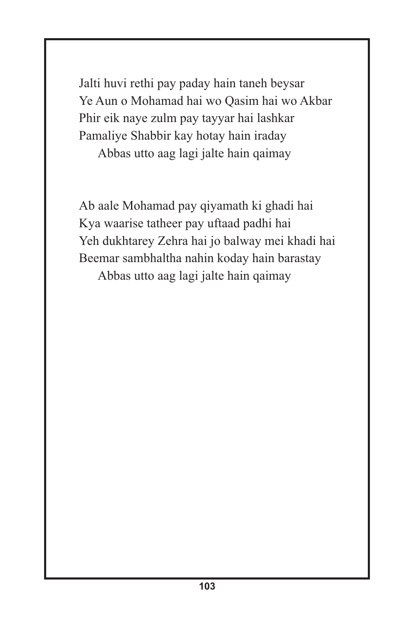Jalti huvi rethi pay paday hain taneh beysar Ye Aun o Mohamad hai wo Qasim hai wo Akbar Phir eik naye zulm pay tayyar hai lashkar Pamaliye Shabbir kay hotay hain iraday

Abbas utto aag lagi jalte hain qaimay

Ab aale Mohamad pay qiyamath ki ghadi hai Kya waarise tatheer pay uftaad padhi hai Yeh dukhtarey Zehra hai jo balway mei khadi hai Beemar sambhaltha nahin koday hain barastay Abbas utto aag lagi jalte hain qaimay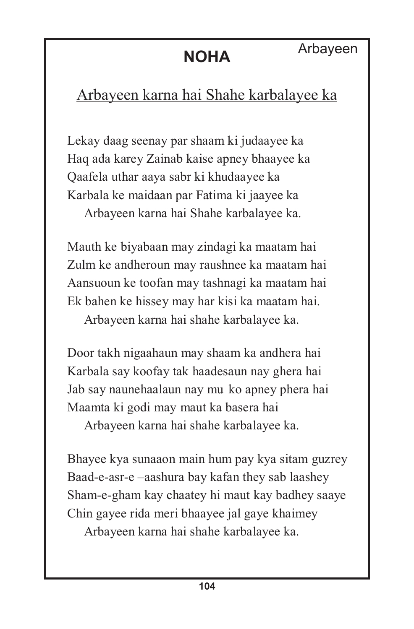# Arbayeen karna hai Shahe karbalayee ka

Lekay daag seenay par shaam ki judaayee ka Haq ada karey Zainab kaise apney bhaayee ka Qaafela uthar aaya sabr ki khudaayee ka Karbala ke maidaan par Fatima ki jaayee ka Arbayeen karna hai Shahe karbalayee ka.

Mauth ke biyabaan may zindagi ka maatam hai Zulm ke andheroun may raushnee ka maatam hai Aansuoun ke toofan may tashnagi ka maatam hai Ek bahen ke hissey may har kisi ka maatam hai. Arbayeen karna hai shahe karbalayee ka.

Door takh nigaahaun may shaam ka andhera hai Karbala say koofay tak haadesaun nay ghera hai Jab say naunehaalaun nay mu ko apney phera hai Maamta ki godi may maut ka basera hai

Arbayeen karna hai shahe karbalayee ka.

Bhayee kya sunaaon main hum pay kya sitam guzrey Baad-e-asr-e –aashura bay kafan they sab laashey Sham-e-gham kay chaatey hi maut kay badhey saaye Chin gayee rida meri bhaayee jal gaye khaimey

Arbayeen karna hai shahe karbalayee ka.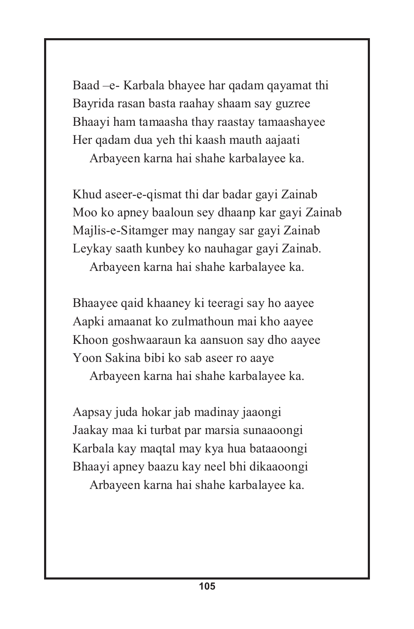Baad –e- Karbala bhayee har qadam qayamat thi Bayrida rasan basta raahay shaam say guzree Bhaayi ham tamaasha thay raastay tamaashayee Her qadam dua yeh thi kaash mauth aajaati

Arbayeen karna hai shahe karbalayee ka.

Khud aseer-e-qismat thi dar badar gayi Zainab Moo ko apney baaloun sey dhaanp kar gayi Zainab Majlis-e-Sitamger may nangay sar gayi Zainab Leykay saath kunbey ko nauhagar gayi Zainab. Arbayeen karna hai shahe karbalayee ka.

Bhaayee qaid khaaney ki teeragi say ho aayee Aapki amaanat ko zulmathoun mai kho aayee Khoon goshwaaraun ka aansuon say dho aayee Yoon Sakina bibi ko sab aseer ro aaye

Arbayeen karna hai shahe karbalayee ka.

Aapsay juda hokar jab madinay jaaongi Jaakay maa ki turbat par marsia sunaaoongi Karbala kay maqtal may kya hua bataaoongi Bhaayi apney baazu kay neel bhi dikaaoongi Arbayeen karna hai shahe karbalayee ka.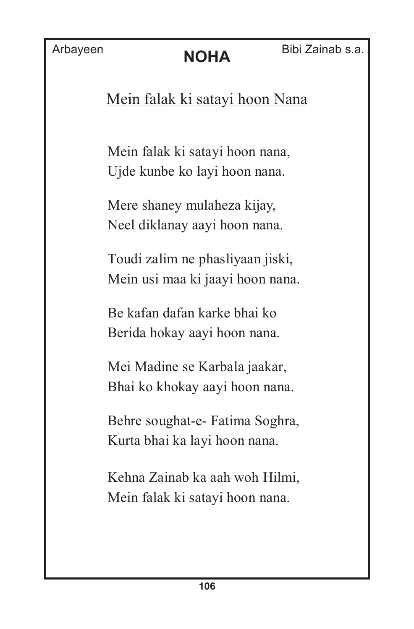Mein falak ki satayi hoon Nana

Mein falak ki satayi hoon nana, Ujde kunbe ko layi hoon nana.

Mere shaney mulaheza kijay, Neel diklanay aayi hoon nana.

Toudi zalim ne phasliyaan jiski, Mein usi maa ki jaayi hoon nana.

Be kafan dafan karke bhai ko Berida hokay aayi hoon nana.

Mei Madine se Karbala jaakar, Bhai ko khokay aayi hoon nana.

Behre soughat-e- Fatima Soghra, Kurta bhai ka layi hoon nana.

Kehna Zainab ka aah woh Hilmi, Mein falak ki satayi hoon nana.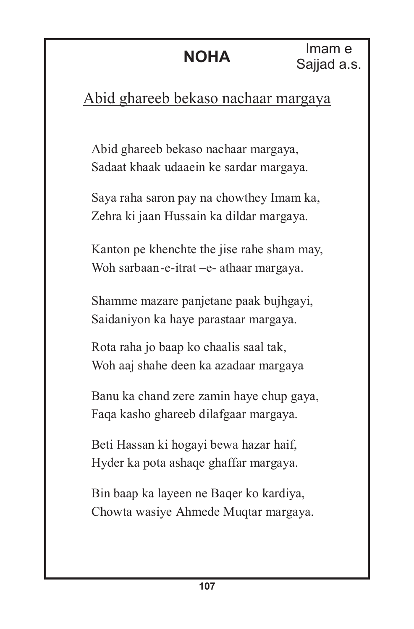# Abid ghareeb bekaso nachaar margaya

Abid ghareeb bekaso nachaar margaya, Sadaat khaak udaaein ke sardar margaya.

Saya raha saron pay na chowthey Imam ka, Zehra ki jaan Hussain ka dildar margaya.

Kanton pe khenchte the jise rahe sham may, Woh sarbaan-e-itrat –e- athaar margaya.

Shamme mazare panjetane paak bujhgayi, Saidaniyon ka haye parastaar margaya.

Rota raha jo baap ko chaalis saal tak, Woh aaj shahe deen ka azadaar margaya

Banu ka chand zere zamin haye chup gaya, Faqa kasho ghareeb dilafgaar margaya.

Beti Hassan ki hogayi bewa hazar haif, Hyder ka pota ashaqe ghaffar margaya.

Bin baap ka layeen ne Baqer ko kardiya, Chowta wasiye Ahmede Muqtar margaya.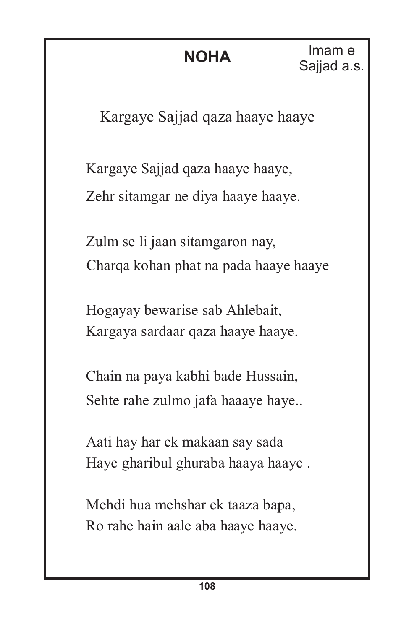Kargaye Sajjad qaza haaye haaye

Kargaye Sajjad qaza haaye haaye, Zehr sitamgar ne diya haaye haaye.

Zulm se li jaan sitamgaron nay, Charqa kohan phat na pada haaye haaye

Hogayay bewarise sab Ahlebait, Kargaya sardaar qaza haaye haaye.

Chain na paya kabhi bade Hussain, Sehte rahe zulmo jafa haaaye haye..

Aati hay har ek makaan say sada Haye gharibul ghuraba haaya haaye .

Mehdi hua mehshar ek taaza bapa, Ro rahe hain aale aba haaye haaye.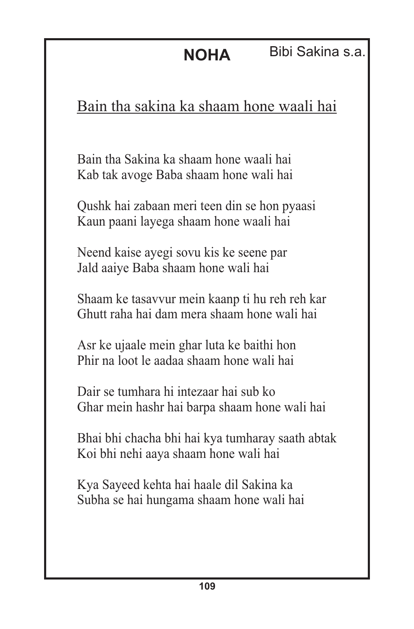Bain tha sakina ka shaam hone waali hai

Bain tha Sakina ka shaam hone waali hai Kab tak avoge Baba shaam hone wali hai

Qushk hai zabaan meri teen din se hon pyaasi Kaun paani layega shaam hone waali hai

Neend kaise ayegi sovu kis ke seene par Jald aaiye Baba shaam hone wali hai

Shaam ke tasavvur mein kaanp ti hu reh reh kar Ghutt raha hai dam mera shaam hone wali hai

Asr ke ujaale mein ghar luta ke baithi hon Phir na loot le aadaa shaam hone wali hai

Dair se tumhara hi intezaar hai sub ko Ghar mein hashr hai barpa shaam hone wali hai

Bhai bhi chacha bhi hai kya tumharay saath abtak Koi bhi nehi aaya shaam hone wali hai

Kya Sayeed kehta hai haale dil Sakina ka Subha se hai hungama shaam hone wali hai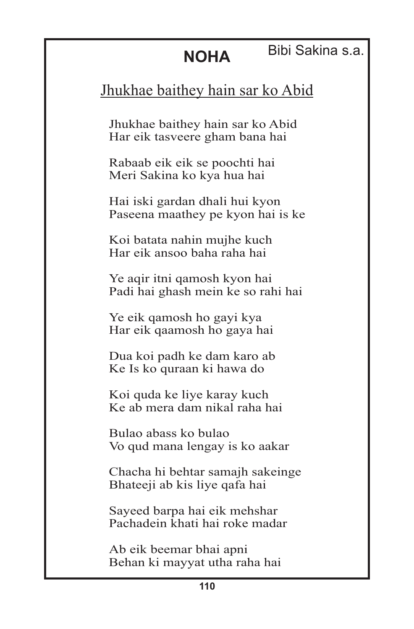### Bibi Sakina s.a.

# Jhukhae baithey hain sar ko Abid

Jhukhae baithey hain sar ko Abid Har eik tasveere gham bana hai

Rabaab eik eik se poochti hai Meri Sakina ko kya hua hai

Hai iski gardan dhali hui kyon Paseena maathey pe kyon hai is ke

Koi batata nahin mujhe kuch Har eik ansoo baha raha hai

Ye aqir itni qamosh kyon hai Padi hai ghash mein ke so rahi hai

Ye eik qamosh ho gayi kya Har eik qaamosh ho gaya hai

Dua koi padh ke dam karo ab Ke Is ko quraan ki hawa do

Koi quda ke liye karay kuch Ke ab mera dam nikal raha hai

Bulao abass ko bulao Vo qud mana lengay is ko aakar

Chacha hi behtar samajh sakeinge Bhateeji ab kis liye qafa hai

Sayeed barpa hai eik mehshar Pachadein khati hai roke madar

Ab eik beemar bhai apni Behan ki mayyat utha raha hai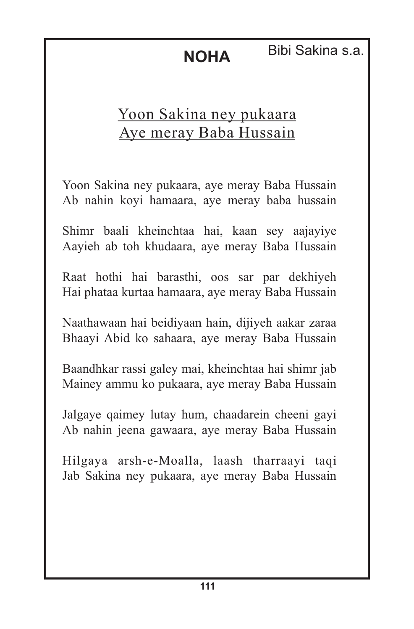**NOHA** Bibi Sakina s.a.

# Yoon Sakina ney pukaara Aye meray Baba Hussain

Yoon Sakina ney pukaara, aye meray Baba Hussain Ab nahin koyi hamaara, aye meray baba hussain

Shimr baali kheinchtaa hai, kaan sey aajayiye Aayieh ab toh khudaara, aye meray Baba Hussain

Raat hothi hai barasthi, oos sar par dekhiyeh Hai phataa kurtaa hamaara, aye meray Baba Hussain

Naathawaan hai beidiyaan hain, dijiyeh aakar zaraa Bhaayi Abid ko sahaara, aye meray Baba Hussain

Baandhkar rassi galey mai, kheinchtaa hai shimr jab Mainey ammu ko pukaara, aye meray Baba Hussain

Jalgaye qaimey lutay hum, chaadarein cheeni gayi Ab nahin jeena gawaara, aye meray Baba Hussain

Hilgaya arsh-e-Moalla, laash tharraayi taqi Jab Sakina ney pukaara, aye meray Baba Hussain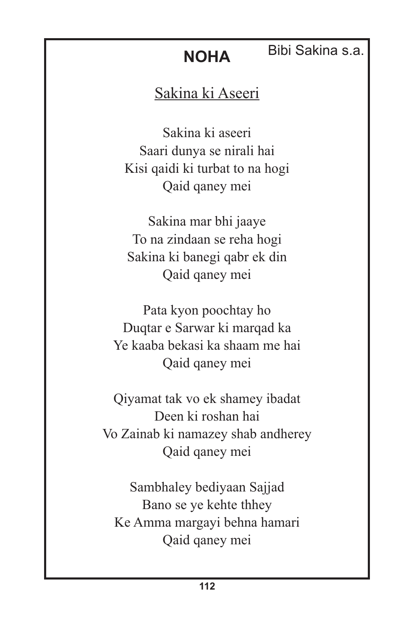### Bibi Sakina s.a.

# Sakina ki Aseeri

Sakina ki aseeri Saari dunya se nirali hai Kisi qaidi ki turbat to na hogi Qaid qaney mei

Sakina mar bhi jaaye To na zindaan se reha hogi Sakina ki banegi qabr ek din Qaid qaney mei

Pata kyon poochtay ho Duqtar e Sarwar ki marqad ka Ye kaaba bekasi ka shaam me hai Qaid qaney mei

Qiyamat tak vo ek shamey ibadat Deen ki roshan hai Vo Zainab ki namazey shab andherey Qaid qaney mei

Sambhaley bediyaan Sajjad Bano se ye kehte thhey Ke Amma margayi behna hamari Qaid qaney mei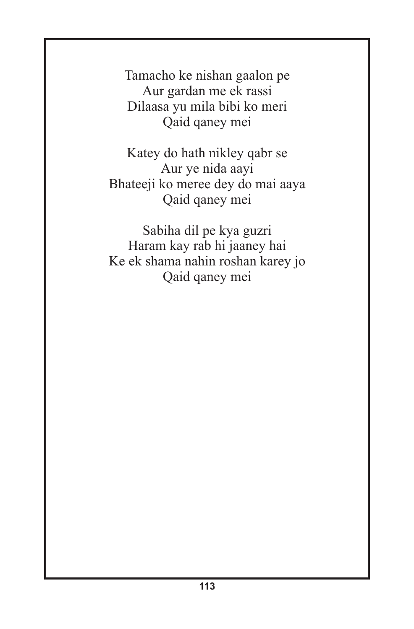Tamacho ke nishan gaalon pe Aur gardan me ek rassi Dilaasa yu mila bibi ko meri Qaid qaney mei

Katey do hath nikley qabr se Aur ye nida aayi Bhateeji ko meree dey do mai aaya Qaid qaney mei

Sabiha dil pe kya guzri Haram kay rab hi jaaney hai Ke ek shama nahin roshan karey jo Qaid qaney mei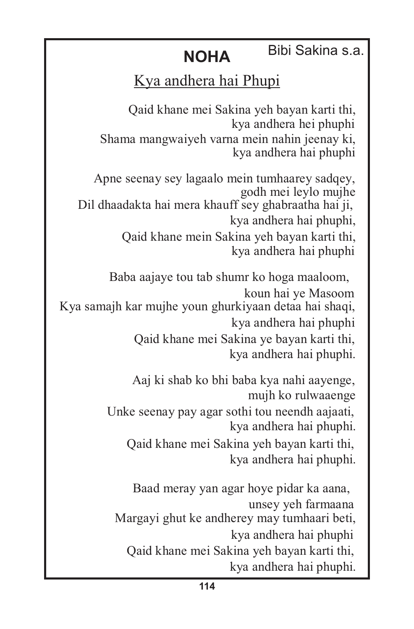### **NOHA** Bibi Sakina s.a.

### Kya andhera hai Phupi

Qaid khane mei Sakina yeh bayan karti thi, kya andhera hei phuphi Shama mangwaiyeh varna mein nahin jeenay ki, kya andhera hai phuphi

Apne seenay sey lagaalo mein tumhaarey sadqey, godh mei leylo mujhe Dil dhaadakta hai mera khauff sey ghabraatha hai ji, kya andhera hai phuphi, Qaid khane mein Sakina yeh bayan karti thi, kya andhera hai phuphi

Baba aajaye tou tab shumr ko hoga maaloom, koun hai ye Masoom Kya samajh kar mujhe youn ghurkiyaan detaa hai shaqi, kya andhera hai phuphi Qaid khane mei Sakina ye bayan karti thi, kya andhera hai phuphi.

> Aaj ki shab ko bhi baba kya nahi aayenge, mujh ko rulwaaenge Unke seenay pay agar sothi tou neendh aajaati, kya andhera hai phuphi. Qaid khane mei Sakina yeh bayan karti thi, kya andhera hai phuphi.

Baad meray yan agar hoye pidar ka aana, unsey yeh farmaana Margayi ghut ke andherey may tumhaari beti, kya andhera hai phuphi Qaid khane mei Sakina yeh bayan karti thi, kya andhera hai phuphi.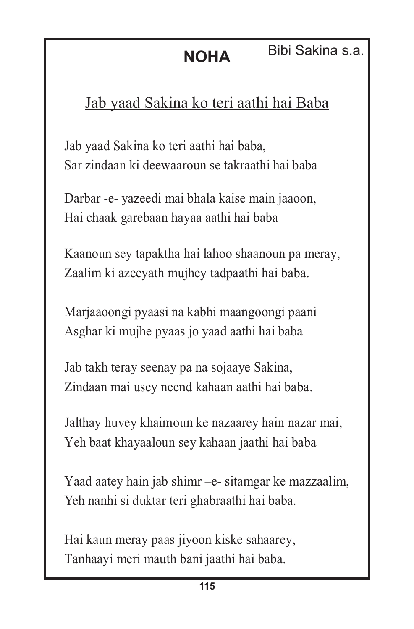**NOHA** Bibi Sakina s.a.

# Jab yaad Sakina ko teri aathi hai Baba

Jab yaad Sakina ko teri aathi hai baba, Sar zindaan ki deewaaroun se takraathi hai baba

Darbar -e- yazeedi mai bhala kaise main jaaoon, Hai chaak garebaan hayaa aathi hai baba

Kaanoun sey tapaktha hai lahoo shaanoun pa meray, Zaalim ki azeeyath mujhey tadpaathi hai baba.

Marjaaoongi pyaasi na kabhi maangoongi paani Asghar ki mujhe pyaas jo yaad aathi hai baba

Jab takh teray seenay pa na sojaaye Sakina, Zindaan mai usey neend kahaan aathi hai baba.

Jalthay huvey khaimoun ke nazaarey hain nazar mai, Yeh baat khayaaloun sey kahaan jaathi hai baba

Yaad aatey hain jab shimr –e- sitamgar ke mazzaalim, Yeh nanhi si duktar teri ghabraathi hai baba.

Hai kaun meray paas jiyoon kiske sahaarey, Tanhaayi meri mauth bani jaathi hai baba.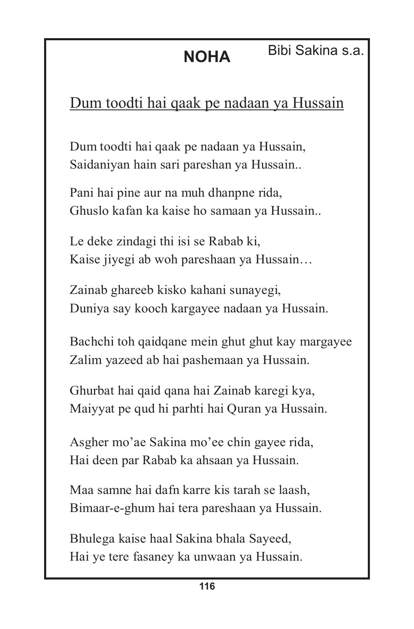# Dum toodti hai qaak pe nadaan ya Hussain

Dum toodti hai qaak pe nadaan ya Hussain, Saidaniyan hain sari pareshan ya Hussain..

Pani hai pine aur na muh dhanpne rida, Ghuslo kafan ka kaise ho samaan ya Hussain..

Le deke zindagi thi isi se Rabab ki, Kaise jiyegi ab woh pareshaan ya Hussain…

Zainab ghareeb kisko kahani sunayegi, Duniya say kooch kargayee nadaan ya Hussain.

Bachchi toh qaidqane mein ghut ghut kay margayee Zalim yazeed ab hai pashemaan ya Hussain.

Ghurbat hai qaid qana hai Zainab karegi kya, Maiyyat pe qud hi parhti hai Quran ya Hussain.

Asgher mo'ae Sakina mo'ee chin gayee rida, Hai deen par Rabab ka ahsaan ya Hussain.

Maa samne hai dafn karre kis tarah se laash, Bimaar-e-ghum hai tera pareshaan ya Hussain.

Bhulega kaise haal Sakina bhala Sayeed, Hai ye tere fasaney ka unwaan ya Hussain.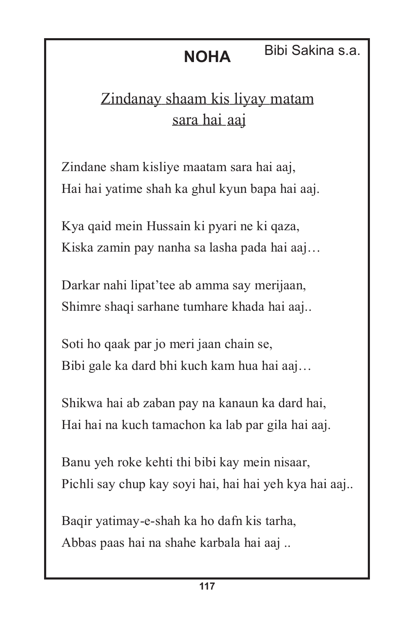#### **NOHA** Bibi Sakina s.a.

# Zindanay shaam kis liyay matam sara hai aaj

Zindane sham kisliye maatam sara hai aaj, Hai hai yatime shah ka ghul kyun bapa hai aaj.

Kya qaid mein Hussain ki pyari ne ki qaza, Kiska zamin pay nanha sa lasha pada hai aaj…

Darkar nahi lipat'tee ab amma say merijaan, Shimre shaqi sarhane tumhare khada hai aaj..

Soti ho qaak par jo meri jaan chain se, Bibi gale ka dard bhi kuch kam hua hai aaj…

Shikwa hai ab zaban pay na kanaun ka dard hai, Hai hai na kuch tamachon ka lab par gila hai aaj.

Banu yeh roke kehti thi bibi kay mein nisaar, Pichli say chup kay soyi hai, hai hai yeh kya hai aaj..

Baqir yatimay-e-shah ka ho dafn kis tarha, Abbas paas hai na shahe karbala hai aaj ..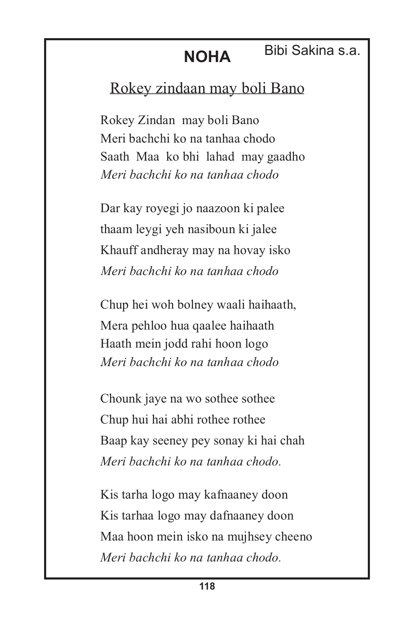#### **NOHA** Bibi Sakina s.a.

# Rokey zindaan may boli Bano

Rokey Zindan may boli Bano Meri bachchi ko na tanhaa chodo Saath Maa ko bhi lahad may gaadho *Meri bachchi ko na tanhaa chodo*

Dar kay royegi jo naazoon ki palee thaam leygi yeh nasiboun ki jalee Khauff andheray may na hovay isko *Meri bachchi ko na tanhaa chodo*

Chup hei woh bolney waali haihaath, Mera pehloo hua qaalee haihaath Haath mein jodd rahi hoon logo *.Meri bachchi ko na tanhaa chodo*

Chounk jaye na wo sothee sothee Chup hui hai abhi rothee rothee Baap kay seeney pey sonay ki hai chah *Meri bachchi ko na tanhaa chodo .*

Kis tarha logo may kafnaaney doon Kis tarhaa logo may dafnaaney doon Maa hoon mein isko na mujhsey cheeno *Meri bachchi ko na tanhaa chodo .*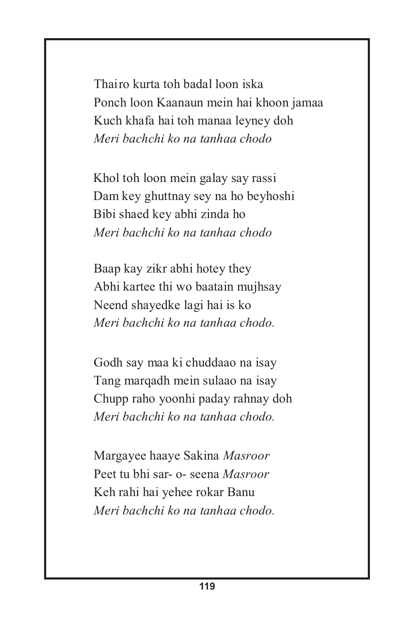Thairo kurta toh badal loon iska Ponch loon Kaanaun mein hai khoon jamaa Kuch khafa hai toh manaa leyney doh *Meri bachchi ko na tanhaa chodo*

Khol toh loon mein galay say rassi Dam key ghuttnay sey na ho beyhoshi Bibi shaed key abhi zinda ho  *Meri bachchi ko na tanhaa chodo*

Baap kay zikr abhi hotey they Abhi kartee thi wo baatain mujhsay Neend shayedke lagi hai is ko *Meri bachchi ko na tanhaa chodo.*

Godh say maa ki chuddaao na isay Tang marqadh mein sulaao na isay Chupp raho yoonhi paday rahnay doh *Meri bachchi ko na tanhaa chodo.*

Margayee haaye Sakina *Masroor* Peet tu bhi sar- o- seena *Masroor* Keh rahi hai yehee rokar Banu *Meri bachchi ko na tanhaa chodo.*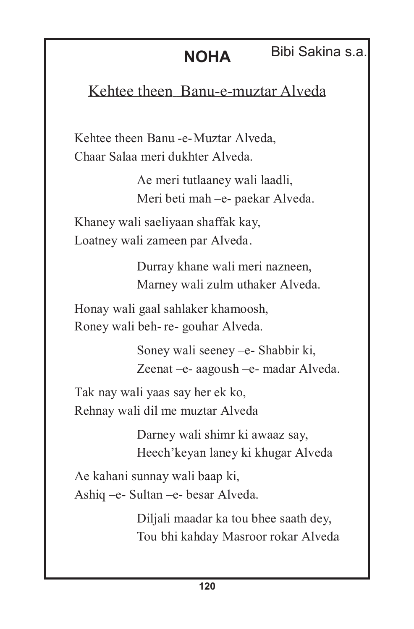# **NOHA** Bibi Sakina s.a.

# Kehtee theen Banu-e-muztar Alveda

Kehtee theen Banu -e- Muztar Alveda, Chaar Salaa meri dukhter Alveda.

> Ae meri tutlaaney wali laadli, Meri beti mah –e- paekar Alveda.

Khaney wali saeliyaan shaffak kay, Loatney wali zameen par Alveda.

> Durray khane wali meri nazneen, Marney wali zulm uthaker Alveda.

Honay wali gaal sahlaker khamoosh, Roney wali beh- re- gouhar Alveda.

> Soney wali seeney –e- Shabbir ki, Zeenat –e- aagoush –e- madar Alveda.

Tak nay wali yaas say her ek ko, Rehnay wali dil me muztar Alveda.

> Darney wali shimr ki awaaz say, Heech'keyan laney ki khugar Alveda.

Ae kahani sunnay wali baap ki, Ashiq –e- Sultan –e- besar Alveda.

> Diljali maadar ka tou bhee saath dey, Tou bhi kahday Masroor rokar Alveda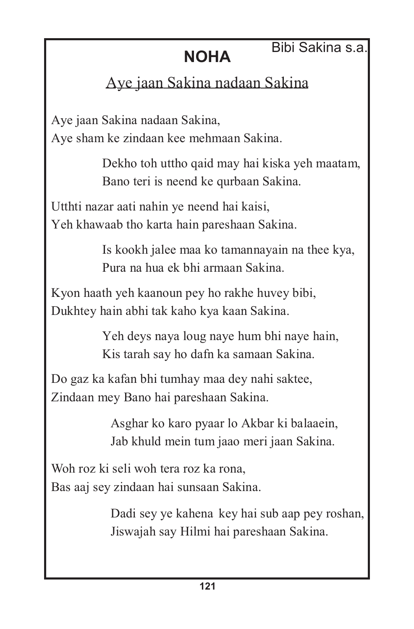#### Bibi Sakina s.a.

# **NOHA**

# Aye jaan Sakina nadaan Sakina

Aye jaan Sakina nadaan Sakina, Aye sham ke zindaan kee mehmaan Sakina.

> Dekho toh uttho qaid may hai kiska yeh maatam, Bano teri is neend ke qurbaan Sakina.

Utthti nazar aati nahin ye neend hai kaisi, Yeh khawaab tho karta hain pareshaan Sakina.

> Is kookh jalee maa ko tamannayain na thee kya, Pura na hua ek bhi armaan Sakina.

Kyon haath yeh kaanoun pey ho rakhe huvey bibi, Dukhtey hain abhi tak kaho kya kaan Sakina.

> Yeh deys naya loug naye hum bhi naye hain, Kis tarah say ho dafn ka samaan Sakina.

Do gaz ka kafan bhi tumhay maa dey nahi saktee, Zindaan mey Bano hai pareshaan Sakina.

> Asghar ko karo pyaar lo Akbar ki balaaein, Jab khuld mein tum jaao meri jaan Sakina.

Woh roz ki seli woh tera roz ka rona, Bas aaj sey zindaan hai sunsaan Sakina.

> Dadi sey ye kahena key hai sub aap pey roshan, Jiswajah say Hilmi hai pareshaan Sakina.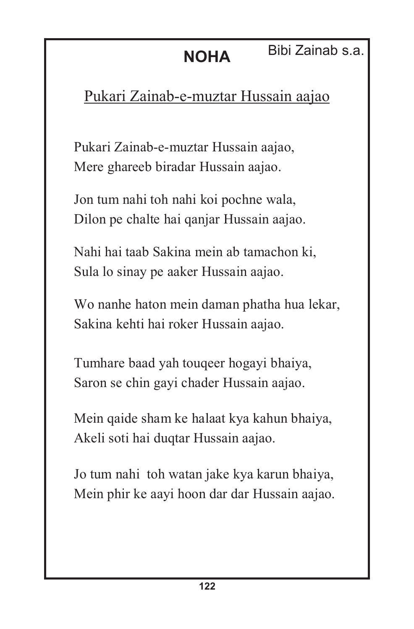# **NOHA** Bibi Zainab s.a.

# Pukari Zainab-e-muztar Hussain aajao

Pukari Zainab-e-muztar Hussain aajao, Mere ghareeb biradar Hussain aajao.

Jon tum nahi toh nahi koi pochne wala, Dilon pe chalte hai qanjar Hussain aajao.

Nahi hai taab Sakina mein ab tamachon ki, Sula lo sinay pe aaker Hussain aajao.

Wo nanhe haton mein daman phatha hua lekar, Sakina kehti hai roker Hussain aajao.

Tumhare baad yah touqeer hogayi bhaiya, Saron se chin gayi chader Hussain aajao.

Mein qaide sham ke halaat kya kahun bhaiya, Akeli soti hai duqtar Hussain aajao.

Jo tum nahi toh watan jake kya karun bhaiya, Mein phir ke aayi hoon dar dar Hussain aajao.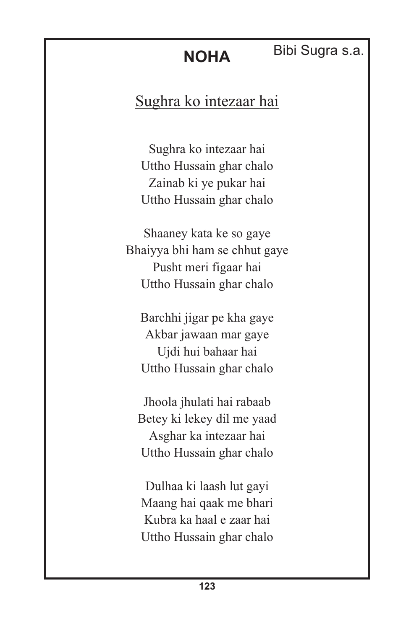# Bibi Sugra s.a.

# Sughra ko intezaar hai

**NOHA**

Sughra ko intezaar hai Uttho Hussain ghar chalo Zainab ki ye pukar hai Uttho Hussain ghar chalo

Shaaney kata ke so gaye Bhaiyya bhi ham se chhut gaye Pusht meri figaar hai Uttho Hussain ghar chalo

Barchhi jigar pe kha gaye Akbar jawaan mar gaye Ujdi hui bahaar hai Uttho Hussain ghar chalo

Jhoola jhulati hai rabaab Betey ki lekey dil me yaad Asghar ka intezaar hai Uttho Hussain ghar chalo

Dulhaa ki laash lut gayi Maang hai qaak me bhari Kubra ka haal e zaar hai Uttho Hussain ghar chalo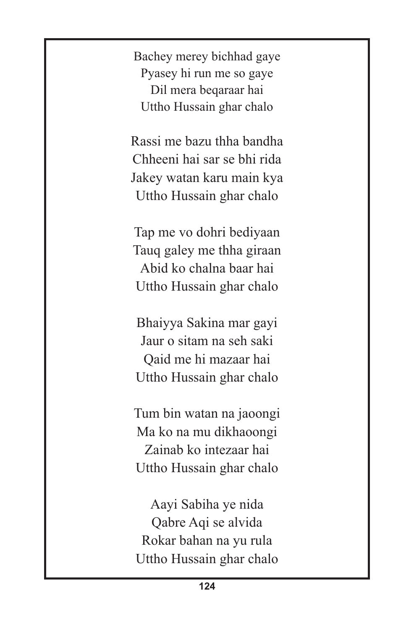Bachey merey bichhad gaye Pyasey hi run me so gaye Dil mera beqaraar hai Uttho Hussain ghar chalo

Rassi me bazu thha bandha Chheeni hai sar se bhi rida Jakey watan karu main kya Uttho Hussain ghar chalo

Tap me vo dohri bediyaan Tauq galey me thha giraan Abid ko chalna baar hai Uttho Hussain ghar chalo

Bhaiyya Sakina mar gayi Jaur o sitam na seh saki Qaid me hi mazaar hai Uttho Hussain ghar chalo

Tum bin watan na jaoongi Ma ko na mu dikhaoongi Zainab ko intezaar hai Uttho Hussain ghar chalo

Aayi Sabiha ye nida Qabre Aqi se alvida Rokar bahan na yu rula Uttho Hussain ghar chalo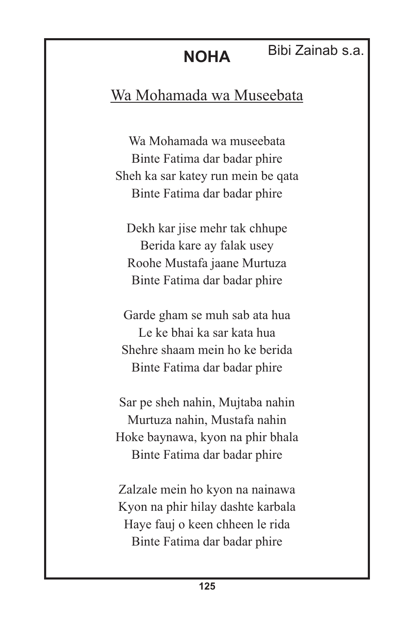#### Bibi Zainab s.a.

# Wa Mohamada wa Museebata

Wa Mohamada wa museebata Binte Fatima dar badar phire Sheh ka sar katey run mein be qata Binte Fatima dar badar phire

Dekh kar jise mehr tak chhupe Berida kare ay falak usey Roohe Mustafa jaane Murtuza Binte Fatima dar badar phire

Garde gham se muh sab ata hua Le ke bhai ka sar kata hua Shehre shaam mein ho ke berida Binte Fatima dar badar phire

Sar pe sheh nahin, Mujtaba nahin Murtuza nahin, Mustafa nahin Hoke baynawa, kyon na phir bhala Binte Fatima dar badar phire

Zalzale mein ho kyon na nainawa Kyon na phir hilay dashte karbala Haye fauj o keen chheen le rida Binte Fatima dar badar phire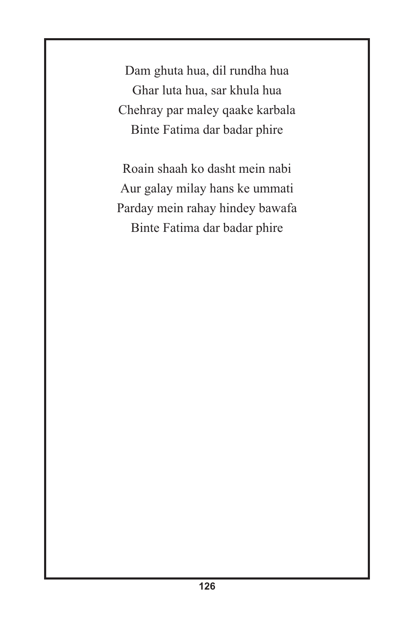Dam ghuta hua, dil rundha hua Ghar luta hua, sar khula hua Chehray par maley qaake karbala Binte Fatima dar badar phire

Roain shaah ko dasht mein nabi Aur galay milay hans ke ummati Parday mein rahay hindey bawafa Binte Fatima dar badar phire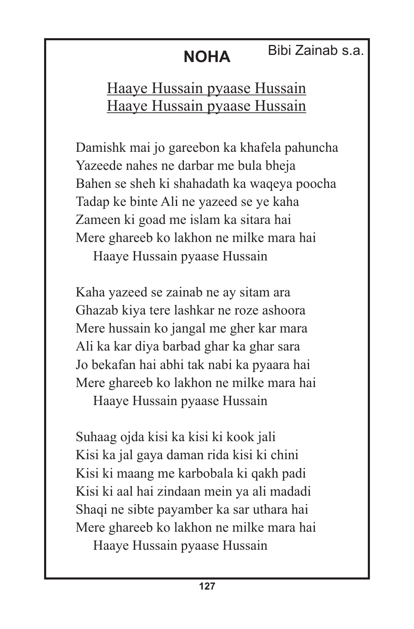### Bibi Zainab s.a.

# **NOHA**

# Haaye Hussain pyaase Hussain Haaye Hussain pyaase Hussain

Damishk mai jo gareebon ka khafela pahuncha Yazeede nahes ne darbar me bula bheja Bahen se sheh ki shahadath ka waqeya poocha Tadap ke binte Ali ne yazeed se ye kaha Zameen ki goad me islam ka sitara hai Mere ghareeb ko lakhon ne milke mara hai

Haaye Hussain pyaase Hussain

Kaha yazeed se zainab ne ay sitam ara Ghazab kiya tere lashkar ne roze ashoora Mere hussain ko jangal me gher kar mara Ali ka kar diya barbad ghar ka ghar sara Jo bekafan hai abhi tak nabi ka pyaara hai Mere ghareeb ko lakhon ne milke mara hai

Haaye Hussain pyaase Hussain

Suhaag ojda kisi ka kisi ki kook jali Kisi ka jal gaya daman rida kisi ki chini Kisi ki maang me karbobala ki qakh padi Kisi ki aal hai zindaan mein ya ali madadi Shaqi ne sibte payamber ka sar uthara hai Mere ghareeb ko lakhon ne milke mara hai

Haaye Hussain pyaase Hussain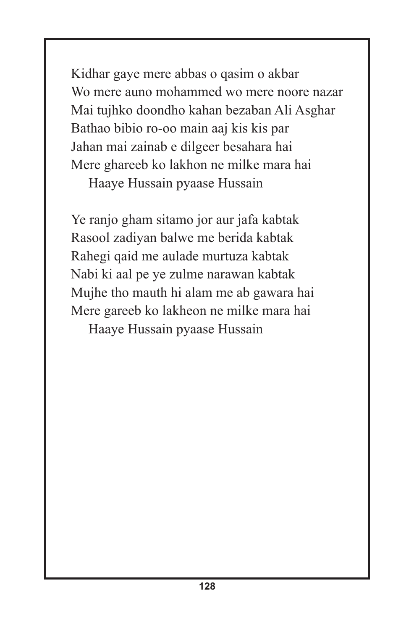Kidhar gaye mere abbas o qasim o akbar Wo mere auno mohammed wo mere noore nazar Mai tujhko doondho kahan bezaban Ali Asghar Bathao bibio ro-oo main aaj kis kis par Jahan mai zainab e dilgeer besahara hai Mere ghareeb ko lakhon ne milke mara hai

Haaye Hussain pyaase Hussain

Ye ranjo gham sitamo jor aur jafa kabtak Rasool zadiyan balwe me berida kabtak Rahegi qaid me aulade murtuza kabtak Nabi ki aal pe ye zulme narawan kabtak Mujhe tho mauth hi alam me ab gawara hai Mere gareeb ko lakheon ne milke mara hai Haaye Hussain pyaase Hussain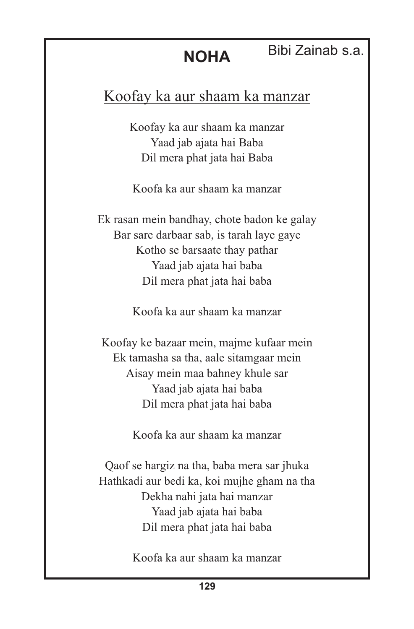### Bibi Zainab s.a.

# Koofay ka aur shaam ka manzar

Koofay ka aur shaam ka manzar Yaad jab ajata hai Baba Dil mera phat jata hai Baba

Koofa ka aur shaam ka manzar

Ek rasan mein bandhay, chote badon ke galay Bar sare darbaar sab, is tarah laye gaye Kotho se barsaate thay pathar Yaad jab ajata hai baba Dil mera phat jata hai baba

Koofa ka aur shaam ka manzar

Koofay ke bazaar mein, majme kufaar mein Ek tamasha sa tha, aale sitamgaar mein Aisay mein maa bahney khule sar Yaad jab ajata hai baba Dil mera phat jata hai baba

Koofa ka aur shaam ka manzar

Qaof se hargiz na tha, baba mera sar jhuka Hathkadi aur bedi ka, koi mujhe gham na tha Dekha nahi jata hai manzar Yaad jab ajata hai baba Dil mera phat jata hai baba

Koofa ka aur shaam ka manzar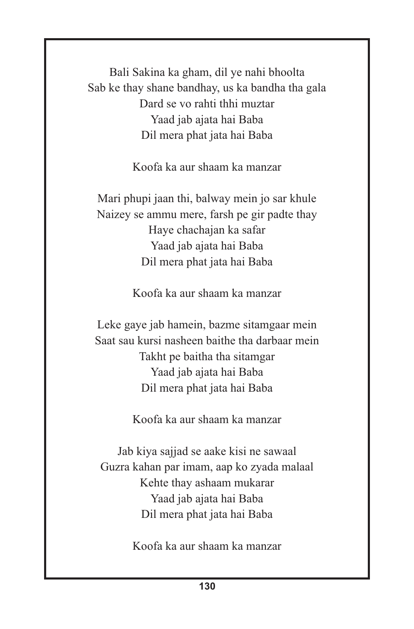Bali Sakina ka gham, dil ye nahi bhoolta Sab ke thay shane bandhay, us ka bandha tha gala Dard se vo rahti thhi muztar Yaad jab ajata hai Baba Dil mera phat jata hai Baba

Koofa ka aur shaam ka manzar

Mari phupi jaan thi, balway mein jo sar khule Naizey se ammu mere, farsh pe gir padte thay Haye chachajan ka safar Yaad jab ajata hai Baba Dil mera phat jata hai Baba

Koofa ka aur shaam ka manzar

Leke gaye jab hamein, bazme sitamgaar mein Saat sau kursi nasheen baithe tha darbaar mein Takht pe baitha tha sitamgar Yaad jab ajata hai Baba Dil mera phat jata hai Baba

Koofa ka aur shaam ka manzar

Jab kiya sajjad se aake kisi ne sawaal Guzra kahan par imam, aap ko zyada malaal Kehte thay ashaam mukarar Yaad jab ajata hai Baba Dil mera phat jata hai Baba

Koofa ka aur shaam ka manzar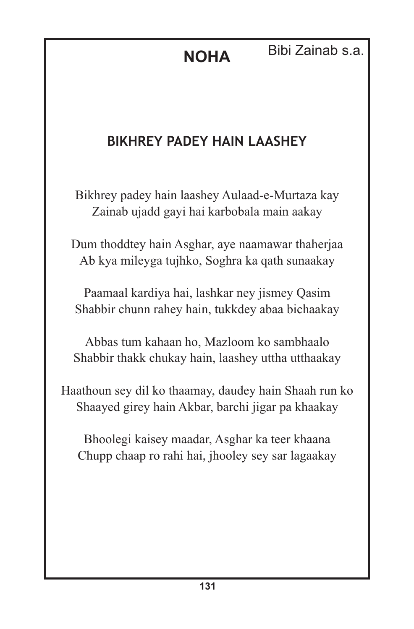**NOHA** Bibi Zainab s.a.

## **BIKHREY PADEY HAIN LAASHEY**

Bikhrey padey hain laashey Aulaad-e-Murtaza kay Zainab ujadd gayi hai karbobala main aakay

Dum thoddtey hain Asghar, aye naamawar thaherjaa Ab kya mileyga tujhko, Soghra ka qath sunaakay

Paamaal kardiya hai, lashkar ney jismey Qasim Shabbir chunn rahey hain, tukkdey abaa bichaakay

Abbas tum kahaan ho, Mazloom ko sambhaalo Shabbir thakk chukay hain, laashey uttha utthaakay

Haathoun sey dil ko thaamay, daudey hain Shaah run ko Shaayed girey hain Akbar, barchi jigar pa khaakay

Bhoolegi kaisey maadar, Asghar ka teer khaana Chupp chaap ro rahi hai, jhooley sey sar lagaakay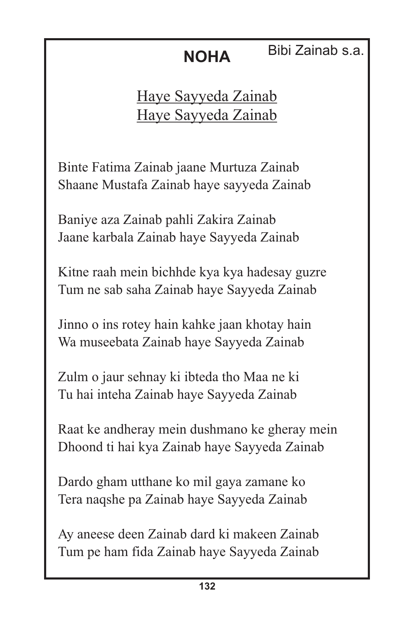# Bibi Zainab s.a.

Haye Sayyeda Zainab Haye Sayyeda Zainab

Binte Fatima Zainab jaane Murtuza Zainab Shaane Mustafa Zainab haye sayyeda Zainab

Baniye aza Zainab pahli Zakira Zainab Jaane karbala Zainab haye Sayyeda Zainab

Kitne raah mein bichhde kya kya hadesay guzre Tum ne sab saha Zainab haye Sayyeda Zainab

Jinno o ins rotey hain kahke jaan khotay hain Wa museebata Zainab haye Sayyeda Zainab

Zulm o jaur sehnay ki ibteda tho Maa ne ki Tu hai inteha Zainab haye Sayyeda Zainab

Raat ke andheray mein dushmano ke gheray mein Dhoond ti hai kya Zainab haye Sayyeda Zainab

Dardo gham utthane ko mil gaya zamane ko Tera naqshe pa Zainab haye Sayyeda Zainab

Ay aneese deen Zainab dard ki makeen Zainab Tum pe ham fida Zainab haye Sayyeda Zainab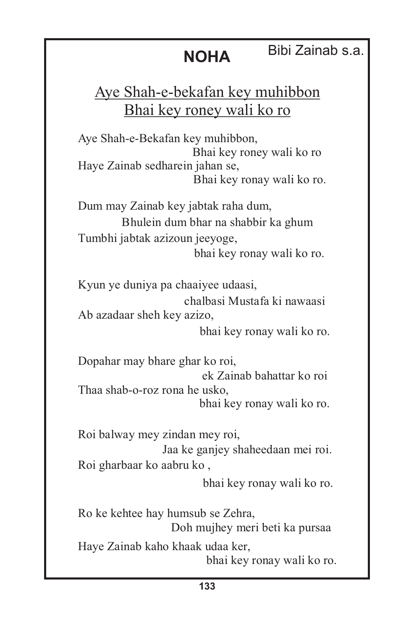# Bibi Zainab s.a.

# Aye Shah-e-bekafan key muhibbon Bhai key roney wali ko ro

**NOHA**

Haye Zainab sedharein jahan se, Bhai key ronay wali ko ro. Aye Shah-e-Bekafan key muhibbon, Bhai key roney wali ko ro

Dum may Zainab key jabtak raha dum, Bhulein dum bhar na shabbir ka ghum Tumbhi jabtak azizoun jeeyoge, bhai key ronay wali ko ro.

Kyun ye duniya pa chaaiyee udaasi, chalbasi Mustafa ki nawaasi Ab azadaar sheh key azizo,

bhai key ronay wali ko ro.

Dopahar may bhare ghar ko roi, ek Zainab bahattar ko roi Thaa shab-o-roz rona he usko, bhai key ronay wali ko ro.

Roi balway mey zindan mey roi, Jaa ke ganjey shaheedaan mei roi. Roi gharbaar ko aabru ko ,

bhai key ronay wali ko ro.

Ro ke kehtee hay humsub se Zehra, Doh mujhey meri beti ka pursaa Haye Zainab kaho khaak udaa ker, bhai key ronay wali ko ro.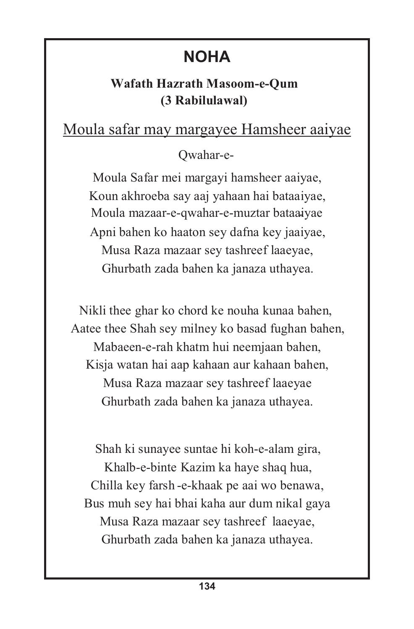#### **Wafath Hazrath Masoom-e-Qum (3 Rabilulawal)**

# Moula safar may margayee Hamsheer aaiyae

#### Qwahar-e-

Moula Safar mei margayi hamsheer aaiyae, Koun akhroeba say aaj yahaan hai bataaiyae, Moula mazaar-e-qwahar-e-muztar bataaiyae - Apni bahen ko haaton sey dafna key jaaiyae, Musa Raza mazaar sey tashreef laaeyae, Ghurbath zada bahen ka janaza uthayea.

Nikli thee ghar ko chord ke nouha kunaa bahen, Aatee thee Shah sey milney ko basad fughan bahen, Mabaeen-e-rah khatm hui neemjaan bahen, Kisja watan hai aap kahaan aur kahaan bahen, Musa Raza mazaar sey tashreef laaeyae Ghurbath zada bahen ka janaza uthayea.

Shah ki sunayee suntae hi koh-e-alam gira, Khalb-e-binte Kazim ka haye shaq hua, Chilla key farsh -e-khaak pe aai wo benawa, Bus muh sey hai bhai kaha aur dum nikal gaya Musa Raza mazaar sey tashreef laaeyae, Ghurbath zada bahen ka janaza uthayea.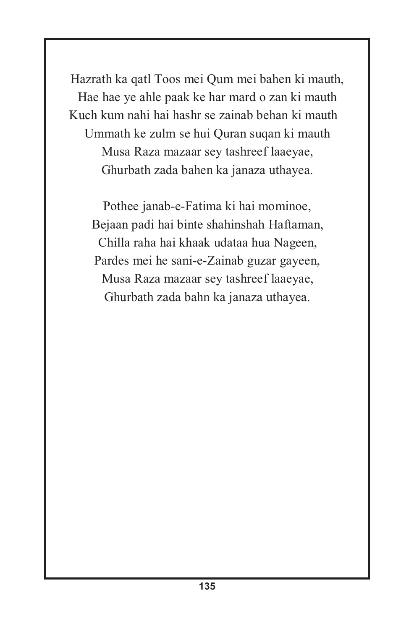Hazrath ka qatl Toos mei Qum mei bahen ki mauth, Hae hae ye ahle paak ke har mard o zan ki mauth Kuch kum nahi hai hashr se zainab behan ki mauth Ummath ke zulm se hui Quran suqan ki mauth Musa Raza mazaar sey tashreef laaeyae, Ghurbath zada bahen ka janaza uthayea.

Pothee janab-e-Fatima ki hai mominoe, Bejaan padi hai binte shahinshah Haftaman, Chilla raha hai khaak udataa hua Nageen, Pardes mei he sani-e-Zainab guzar gayeen, Ghurbath zada bahn ka janaza uthayea. Musa Raza mazaar sey tashreef laaeyae,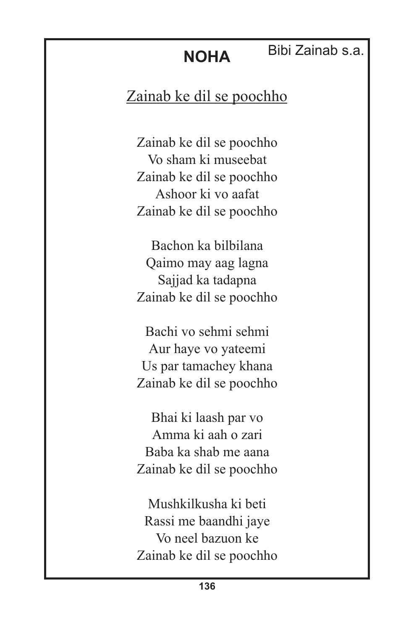#### Bibi Zainab s.a.

# Zainab ke dil se poochho

Zainab ke dil se poochho Vo sham ki museebat Zainab ke dil se poochho Ashoor ki vo aafat Zainab ke dil se poochho

Bachon ka bilbilana Qaimo may aag lagna Sajjad ka tadapna Zainab ke dil se poochho

Bachi vo sehmi sehmi Aur haye vo yateemi Us par tamachey khana Zainab ke dil se poochho

Bhai ki laash par vo Amma ki aah o zari Baba ka shab me aana Zainab ke dil se poochho

Mushkilkusha ki beti Rassi me baandhi jaye Vo neel bazuon ke Zainab ke dil se poochho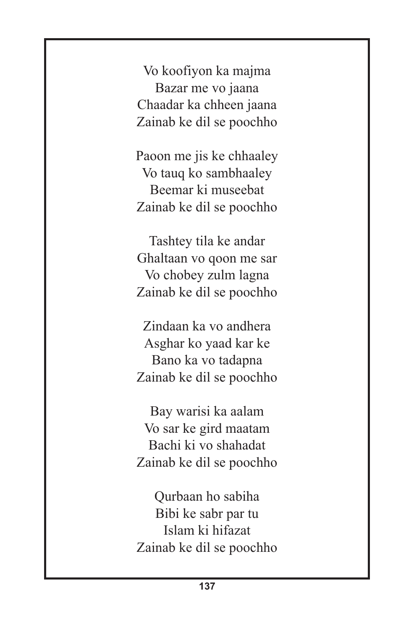Vo koofiyon ka majma Bazar me vo jaana Chaadar ka chheen jaana Zainab ke dil se poochho

Paoon me jis ke chhaaley Vo tauq ko sambhaaley Beemar ki museebat Zainab ke dil se poochho

Tashtey tila ke andar Ghaltaan vo qoon me sar Vo chobey zulm lagna Zainab ke dil se poochho

Zindaan ka vo andhera Asghar ko yaad kar ke Bano ka vo tadapna Zainab ke dil se poochho

Bay warisi ka aalam Vo sar ke gird maatam Bachi ki vo shahadat Zainab ke dil se poochho

Qurbaan ho sabiha Bibi ke sabr par tu Islam ki hifazat Zainab ke dil se poochho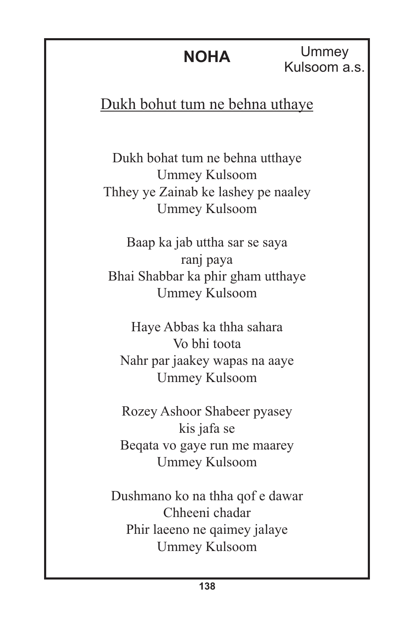**Ummey** Kulsoom a.s.

Dukh bohut tum ne behna uthaye

Dukh bohat tum ne behna utthaye Ummey Kulsoom Thhey ye Zainab ke lashey pe naaley Ummey Kulsoom

Baap ka jab uttha sar se saya ranj paya Bhai Shabbar ka phir gham utthaye Ummey Kulsoom

Haye Abbas ka thha sahara Vo bhi toota Nahr par jaakey wapas na aaye Ummey Kulsoom

Rozey Ashoor Shabeer pyasey kis jafa se Beqata vo gaye run me maarey Ummey Kulsoom

Dushmano ko na thha qof e dawar Chheeni chadar Phir laeeno ne qaimey jalaye Ummey Kulsoom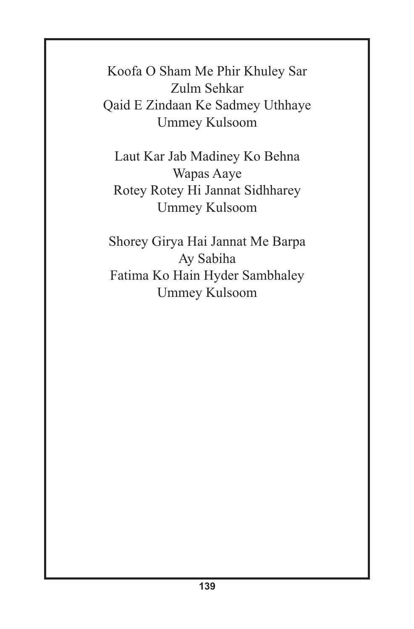Koofa O Sham Me Phir Khuley Sar Zulm Sehkar Qaid E Zindaan Ke Sadmey Uthhaye Ummey Kulsoom

Laut Kar Jab Madiney Ko Behna Wapas Aaye Rotey Rotey Hi Jannat Sidhharey Ummey Kulsoom

Shorey Girya Hai Jannat Me Barpa Ay Sabiha Fatima Ko Hain Hyder Sambhaley Ummey Kulsoom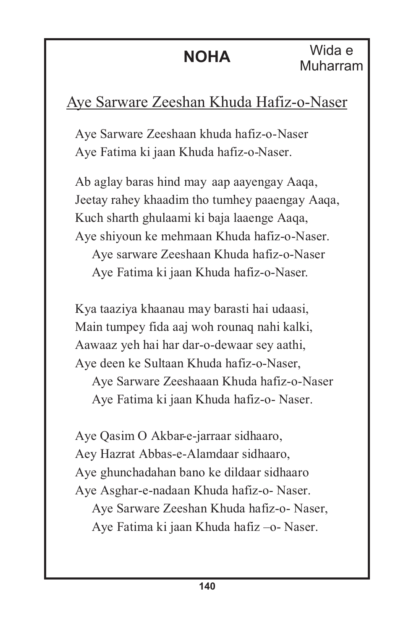#### Aye Sarware Zeeshan Khuda Hafiz-o-Naser

Aye Sarware Zeeshaan khuda hafiz-o-Naser Aye Fatima ki jaan Khuda hafiz-o-Naser.

Ab aglay baras hind may aap aayengay Aaqa, Jeetay rahey khaadim tho tumhey paaengay Aaqa, Kuch sharth ghulaami ki baja laaenge Aaqa, Aye shiyoun ke mehmaan Khuda hafiz-o-Naser. Aye sarware Zeeshaan Khuda hafiz-o-Naser Aye Fatima ki jaan Khuda hafiz-o-Naser.

Kya taaziya khaanau may barasti hai udaasi, Main tumpey fida aaj woh rounaq nahi kalki, Aawaaz yeh hai har dar-o-dewaar sey aathi, Aye deen ke Sultaan Khuda hafiz-o-Naser, Aye Sarware Zeeshaaan Khuda hafiz-o-Naser Aye Fatima ki jaan Khuda hafiz-o- Naser.

Aye Qasim O Akbar-e-jarraar sidhaaro, Aey Hazrat Abbas-e-Alamdaar sidhaaro, Aye ghunchadahan bano ke dildaar sidhaaro Aye Asghar-e-nadaan Khuda hafiz-o- Naser. Aye Sarware Zeeshan Khuda hafiz-o- Naser, Aye Fatima ki jaan Khuda hafiz –o- Naser.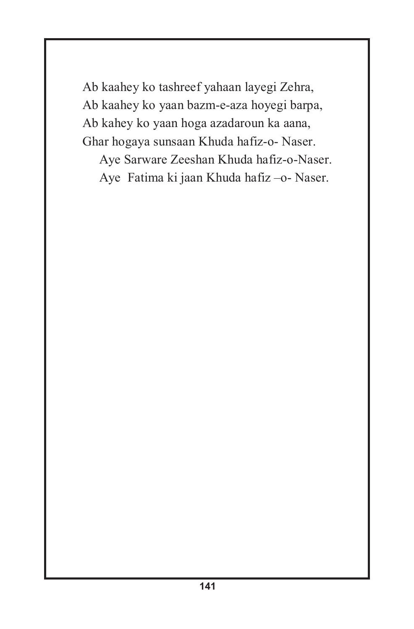Ab kaahey ko tashreef yahaan layegi Zehra, Ab kaahey ko yaan bazm-e-aza hoyegi barpa, Ab kahey ko yaan hoga azadaroun ka aana, Ghar hogaya sunsaan Khuda hafiz-o- Naser.

Aye Sarware Zeeshan Khuda hafiz-o-Naser. Aye Fatima ki jaan Khuda hafiz –o- Naser.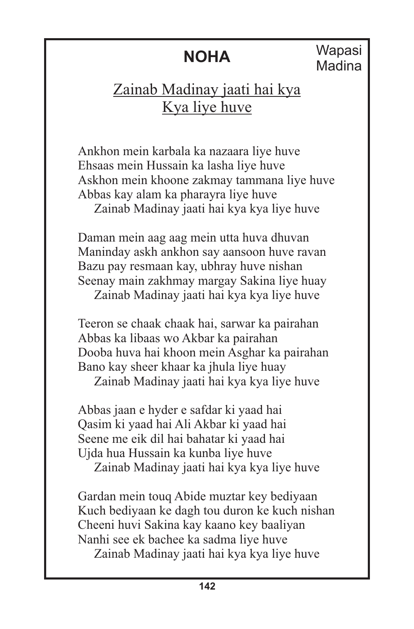#### Zainab Madinay jaati hai kya Kya liye huve

Ankhon mein karbala ka nazaara liye huve Ehsaas mein Hussain ka lasha liye huve Askhon mein khoone zakmay tammana liye huve Abbas kay alam ka pharayra liye huve Zainab Madinay jaati hai kya kya liye huve

Daman mein aag aag mein utta huva dhuvan Maninday askh ankhon say aansoon huve ravan Bazu pay resmaan kay, ubhray huve nishan Seenay main zakhmay margay Sakina liye huay Zainab Madinay jaati hai kya kya liye huve

Teeron se chaak chaak hai, sarwar ka pairahan Abbas ka libaas wo Akbar ka pairahan Dooba huva hai khoon mein Asghar ka pairahan Bano kay sheer khaar ka jhula liye huay

Zainab Madinay jaati hai kya kya liye huve

Abbas jaan e hyder e safdar ki yaad hai Qasim ki yaad hai Ali Akbar ki yaad hai Seene me eik dil hai bahatar ki yaad hai Ujda hua Hussain ka kunba liye huve

Zainab Madinay jaati hai kya kya liye huve

Gardan mein touq Abide muztar key bediyaan Kuch bediyaan ke dagh tou duron ke kuch nishan Cheeni huvi Sakina kay kaano key baaliyan Nanhi see ek bachee ka sadma liye huve Zainab Madinay jaati hai kya kya liye huve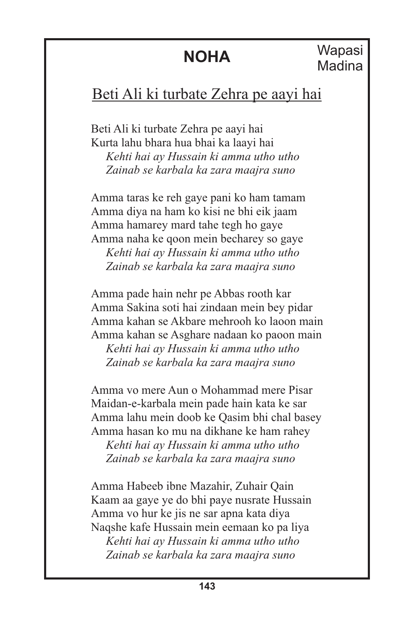#### Beti Ali ki turbate Zehra pe aayi hai

Beti Ali ki turbate Zehra pe aayi hai Kurta lahu bhara hua bhai ka laayi hai *Kehti hai ay Hussain ki amma utho utho Zainab se karbala ka zara maajra suno*

Amma taras ke reh gaye pani ko ham tamam Amma diya na ham ko kisi ne bhi eik jaam Amma hamarey mard tahe tegh ho gaye Amma naha ke qoon mein becharey so gaye *Kehti hai ay Hussain ki amma utho utho Zainab se karbala ka zara maajra suno*

Amma pade hain nehr pe Abbas rooth kar Amma Sakina soti hai zindaan mein bey pidar Amma kahan se Akbare mehrooh ko laoon main Amma kahan se Asghare nadaan ko paoon main *Kehti hai ay Hussain ki amma utho utho*

 *Zainab se karbala ka zara maajra suno*

Amma vo mere Aun o Mohammad mere Pisar Maidan-e-karbala mein pade hain kata ke sar Amma lahu mein doob ke Qasim bhi chal basey Amma hasan ko mu na dikhane ke ham rahey *Kehti hai ay Hussain ki amma utho utho Zainab se karbala ka zara maajra suno*

Amma Habeeb ibne Mazahir, Zuhair Qain Kaam aa gaye ye do bhi paye nusrate Hussain Amma vo hur ke jis ne sar apna kata diya Naqshe kafe Hussain mein eemaan ko pa liya *Kehti hai ay Hussain ki amma utho utho Zainab se karbala ka zara maajra suno*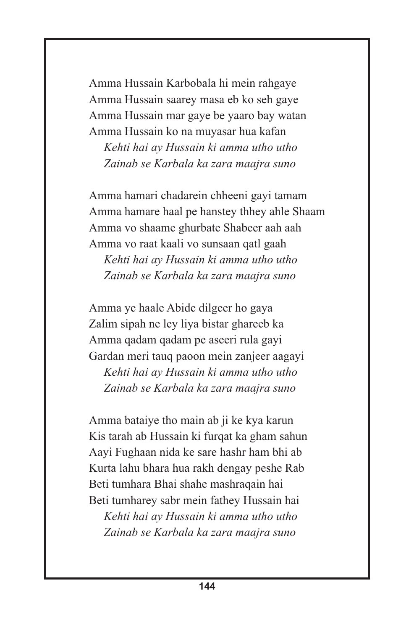Amma Hussain Karbobala hi mein rahgaye Amma Hussain saarey masa eb ko seh gaye Amma Hussain mar gaye be yaaro bay watan Amma Hussain ko na muyasar hua kafan *Kehti hai ay Hussain ki amma utho utho Zainab se Karbala ka zara maajra suno*

Amma hamari chadarein chheeni gayi tamam Amma hamare haal pe hanstey thhey ahle Shaam Amma vo shaame ghurbate Shabeer aah aah Amma vo raat kaali vo sunsaan qatl gaah *Kehti hai ay Hussain ki amma utho utho Zainab se Karbala ka zara maajra suno*

Amma ye haale Abide dilgeer ho gaya Zalim sipah ne ley liya bistar ghareeb ka Amma qadam qadam pe aseeri rula gayi Gardan meri tauq paoon mein zanjeer aagayi *Kehti hai ay Hussain ki amma utho utho Zainab se Karbala ka zara maajra suno*

Amma bataiye tho main ab ji ke kya karun Kis tarah ab Hussain ki furqat ka gham sahun Aayi Fughaan nida ke sare hashr ham bhi ab Kurta lahu bhara hua rakh dengay peshe Rab Beti tumhara Bhai shahe mashraqain hai Beti tumharey sabr mein fathey Hussain hai

 *Kehti hai ay Hussain ki amma utho utho Zainab se Karbala ka zara maajra suno*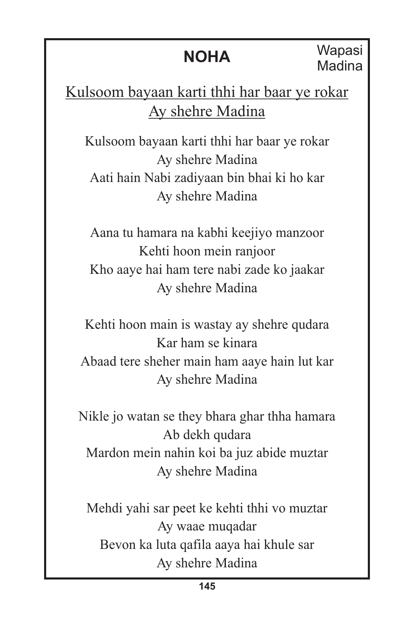**Wapasi** Madina

Kulsoom bayaan karti thhi har baar ye rokar Ay shehre Madina

Kulsoom bayaan karti thhi har baar ye rokar Ay shehre Madina Aati hain Nabi zadiyaan bin bhai ki ho kar Ay shehre Madina

Aana tu hamara na kabhi keejiyo manzoor Kehti hoon mein ranjoor Kho aaye hai ham tere nabi zade ko jaakar Ay shehre Madina

Kehti hoon main is wastay ay shehre qudara Kar ham se kinara Abaad tere sheher main ham aaye hain lut kar Ay shehre Madina

Nikle jo watan se they bhara ghar thha hamara Ab dekh qudara Mardon mein nahin koi ba juz abide muztar Ay shehre Madina

Mehdi yahi sar peet ke kehti thhi vo muztar Ay waae muqadar Bevon ka luta qafila aaya hai khule sar Ay shehre Madina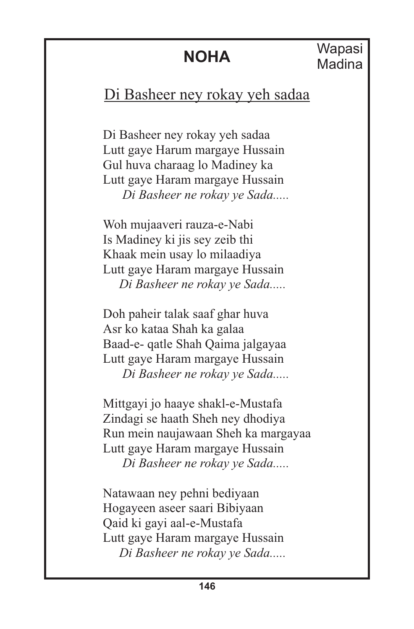#### Di Basheer ney rokay yeh sadaa

Di Basheer ney rokay yeh sadaa Lutt gaye Harum margaye Hussain Gul huva charaag lo Madiney ka Lutt gaye Haram margaye Hussain  *Di Basheer ne rokay ye Sada.....*

Woh mujaaveri rauza-e-Nabi Is Madiney ki jis sey zeib thi Khaak mein usay lo milaadiya Lutt gaye Haram margaye Hussain *Di Basheer ne rokay ye Sada.....*

Doh paheir talak saaf ghar huva Asr ko kataa Shah ka galaa Baad-e- qatle Shah Qaima jalgayaa Lutt gaye Haram margaye Hussain *Di Basheer ne rokay ye Sada.....*

Mittgayi jo haaye shakl-e-Mustafa Zindagi se haath Sheh ney dhodiya Run mein naujawaan Sheh ka margayaa Lutt gaye Haram margaye Hussain *Di Basheer ne rokay ye Sada.....*

Natawaan ney pehni bediyaan Hogayeen aseer saari Bibiyaan Qaid ki gayi aal-e-Mustafa Lutt gaye Haram margaye Hussain *Di Basheer ne rokay ye Sada.....*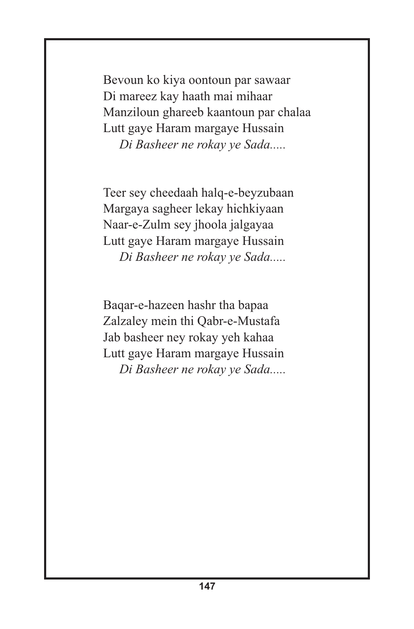Bevoun ko kiya oontoun par sawaar Di mareez kay haath mai mihaar Manziloun ghareeb kaantoun par chalaa Lutt gaye Haram margaye Hussain *Di Basheer ne rokay ye Sada.....*

Teer sey cheedaah halq-e-beyzubaan Margaya sagheer lekay hichkiyaan Naar-e-Zulm sey jhoola jalgayaa Lutt gaye Haram margaye Hussain *Di Basheer ne rokay ye Sada.....*

Baqar-e-hazeen hashr tha bapaa Zalzaley mein thi Qabr-e-Mustafa Jab basheer ney rokay yeh kahaa Lutt gaye Haram margaye Hussain *Di Basheer ne rokay ye Sada.....*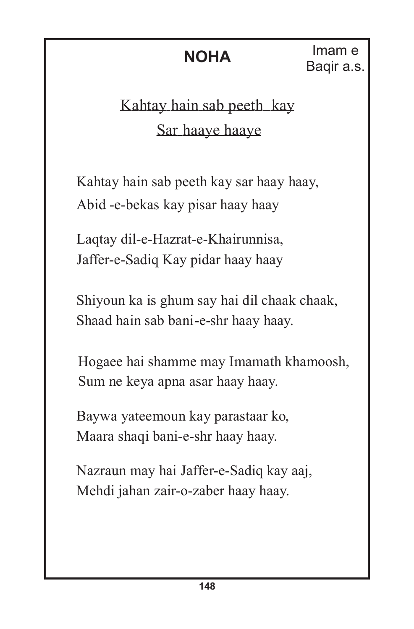**NOHA** Imam e Baqir a.s.

### Kahtay hain sab peeth kay Sar haaye haaye

Kahtay hain sab peeth kay sar haay haay, Abid -e-bekas kay pisar haay haay

Laqtay dil-e-Hazrat-e-Khairunnisa, Jaffer-e-Sadiq Kay pidar haay haay

Shiyoun ka is ghum say hai dil chaak chaak, Shaad hain sab bani-e-shr haay haay.

Hogaee hai shamme may Imamath khamoosh, Sum ne keya apna asar haay haay.

Baywa yateemoun kay parastaar ko, Maara shaqi bani-e-shr haay haay.

Nazraun may hai Jaffer-e-Sadiq kay aaj, Mehdi jahan zair-o-zaber haay haay.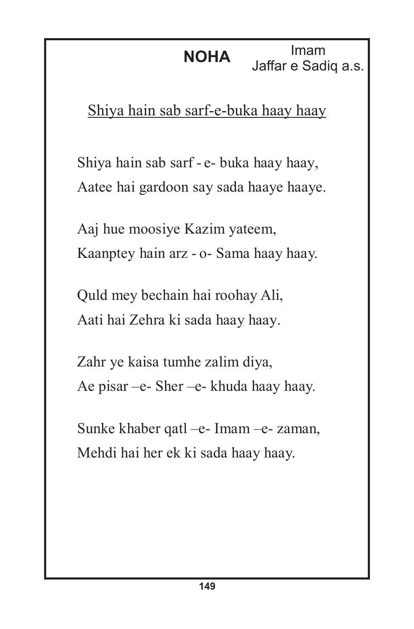Imam Jaffar e Sadiq a.s.

Shiya hain sab sarf-e-buka haay haay

Shiya hain sab sarf - e- buka haay haay, Aatee hai gardoon say sada haaye haaye.

Aaj hue moosiye Kazim yateem, Kaanptey hain arz - o- Sama haay haay.

Quld mey bechain hai roohay Ali, Aati hai Zehra ki sada haay haay.

Zahr ye kaisa tumhe zalim diya, Ae pisar –e- Sher –e- khuda haay haay.

Sunke khaber qatl –e- Imam –e- zaman, Mehdi hai her ek ki sada haay haay.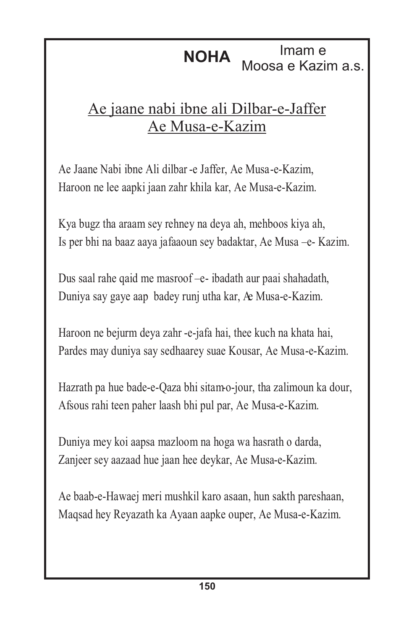#### **NOHA** Imam e Moosa e Kazim a.s.

#### Ae jaane nabi ibne ali Dilbar-e-Jaffer Ae Musa-e-Kazim

Ae Jaane Nabi ibne Ali dilbar -e Jaffer, Ae Musa-e-Kazim, Haroon ne lee aapki jaan zahr khila kar, Ae Musa-e-Kazim.

Kya bugz tha araam sey rehney na deya ah, mehboos kiya ah, Is per bhi na baaz aaya jafaaoun sey badaktar, Ae Musa –e- Kazim.

Dus saal rahe qaid me masroof –e- ibadath aur paai shahadath, Duniya say gaye aap badey runj utha kar, Ae Musa-e-Kazim.

Haroon ne bejurm deya zahr -e-jafa hai, thee kuch na khata hai, Pardes may duniya say sedhaarey suae Kousar, Ae Musa-e-Kazim.

Hazrath pa hue bade-e-Qaza bhi sitam-o-jour, tha zalimoun ka dour, Afsous rahi teen paher laash bhi pul par, Ae Musa-e-Kazim.

Duniya mey koi aapsa mazloom na hoga wa hasrath o darda, Zanjeer sey aazaad hue jaan hee deykar, Ae Musa-e-Kazim.

Ae baab-e-Hawaej meri mushkil karo asaan, hun sakth pareshaan, Maqsad hey Reyazath ka Ayaan aapke ouper, Ae Musa-e-Kazim.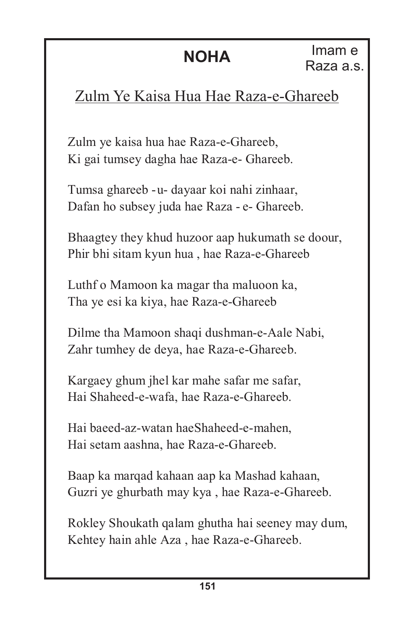#### Zulm Ye Kaisa Hua Hae Raza-e-Ghareeb

Zulm ye kaisa hua hae Raza-e-Ghareeb, Ki gai tumsey dagha hae Raza-e- Ghareeb.

Tumsa ghareeb -u- dayaar koi nahi zinhaar, Dafan ho subsey juda hae Raza - e- Ghareeb.

Bhaagtey they khud huzoor aap hukumath se doour, Phir bhi sitam kyun hua , hae Raza-e-Ghareeb

Luthf o Mamoon ka magar tha maluoon ka, Tha ye esi ka kiya, hae Raza-e-Ghareeb

Dilme tha Mamoon shaqi dushman-e-Aale Nabi, Zahr tumhey de deya, hae Raza-e-Ghareeb.

Kargaey ghum jhel kar mahe safar me safar, Hai Shaheed-e-wafa, hae Raza-e-Ghareeb.

Hai baeed-az-watan haeShaheed-e-mahen, Hai setam aashna, hae Raza-e-Ghareeb.

Baap ka marqad kahaan aap ka Mashad kahaan, Guzri ye ghurbath may kya , hae Raza-e-Ghareeb.

Rokley Shoukath qalam ghutha hai seeney may dum, Kehtey hain ahle Aza , hae Raza-e-Ghareeb.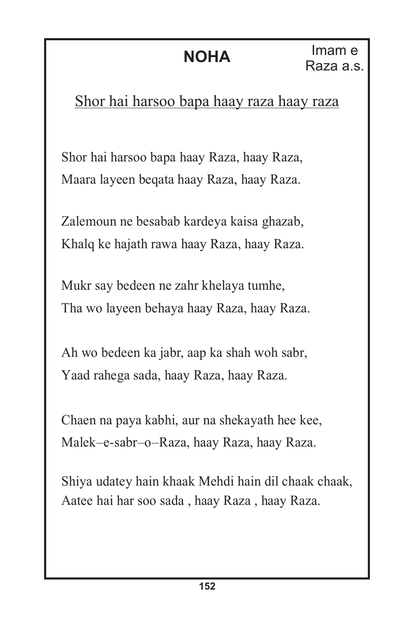#### Shor hai harsoo bapa haay raza haay raza

Shor hai harsoo bapa haay Raza, haay Raza, Maara layeen beqata haay Raza, haay Raza.

Zalemoun ne besabab kardeya kaisa ghazab, Khalq ke hajath rawa haay Raza, haay Raza.

Mukr say bedeen ne zahr khelaya tumhe, Tha wo layeen behaya haay Raza, haay Raza.

Ah wo bedeen ka jabr, aap ka shah woh sabr, Yaad rahega sada, haay Raza, haay Raza.

Chaen na paya kabhi, aur na shekayath hee kee, Malek–e-sabr–o–Raza, haay Raza, haay Raza.

Shiya udatey hain khaak Mehdi hain dil chaak chaak, Aatee hai har soo sada , haay Raza , haay Raza.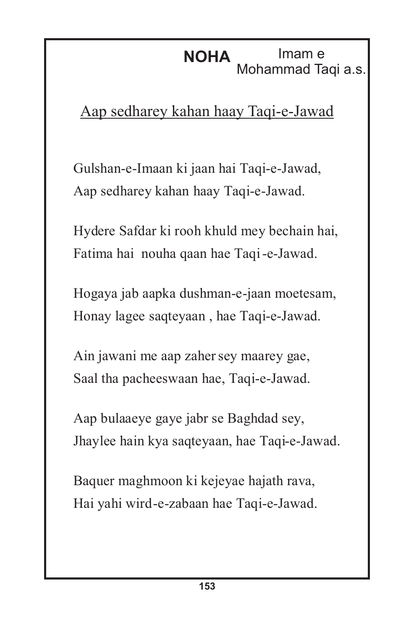#### **NOHA** Imam e Mohammad Taqi a.s.

#### Aap sedharey kahan haay Taqi-e-Jawad

Gulshan-e-Imaan ki jaan hai Taqi-e-Jawad, Aap sedharey kahan haay Taqi-e-Jawad.

Hydere Safdar ki rooh khuld mey bechain hai, Fatima hai nouha qaan hae Taqi-e-Jawad.

Hogaya jab aapka dushman-e-jaan moetesam, Honay lagee saqteyaan , hae Taqi-e-Jawad.

Ain jawani me aap zahersey maarey gae, Saal tha pacheeswaan hae, Taqi-e-Jawad.

Aap bulaaeye gaye jabr se Baghdad sey, Jhaylee hain kya saqteyaan, hae Taqi-e-Jawad.

Baquer maghmoon ki kejeyae hajath rava, Hai yahi wird-e-zabaan hae Taqi-e-Jawad.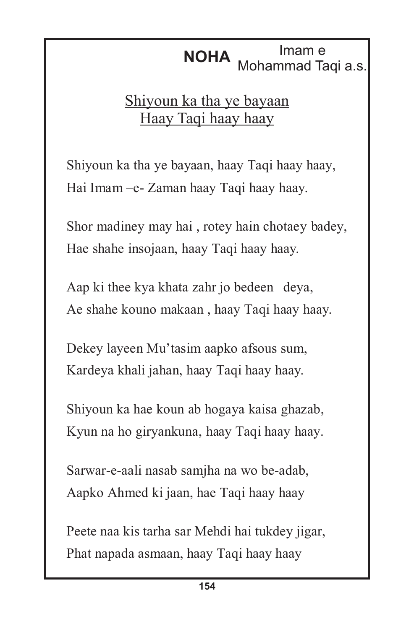# **NOHA** Mohammad Taqi a.s.

#### Shiyoun ka tha ye bayaan Haay Taqi haay haay

Shiyoun ka tha ye bayaan, haay Taqi haay haay, Hai Imam –e- Zaman haay Taqi haay haay.

Shor madiney may hai , rotey hain chotaey badey, Hae shahe insojaan, haay Taqi haay haay.

Aap ki thee kya khata zahr jo bedeen deya, Ae shahe kouno makaan , haay Taqi haay haay.

Dekey layeen Mu'tasim aapko afsous sum, Kardeya khali jahan, haay Taqi haay haay.

Shiyoun ka hae koun ab hogaya kaisa ghazab, Kyun na ho giryankuna, haay Taqi haay haay.

Sarwar-e-aali nasab samjha na wo be-adab, Aapko Ahmed ki jaan, hae Taqi haay haay

Peete naa kis tarha sar Mehdi hai tukdey jigar, Phat napada asmaan, haay Taqi haay haay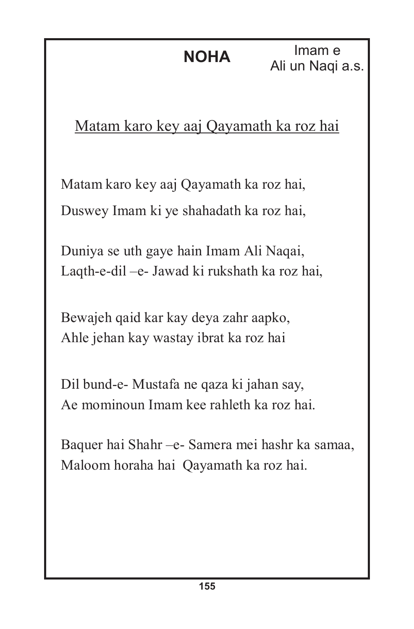Imam e Ali un Naqi a.s.

#### Matam karo key aaj Qayamath ka roz hai

Matam karo key aaj Qayamath ka roz hai, Duswey Imam ki ye shahadath ka roz hai,

Duniya se uth gaye hain Imam Ali Naqai, Laqth-e-dil –e- Jawad ki rukshath ka roz hai,

Bewajeh qaid kar kay deya zahr aapko, Ahle jehan kay wastay ibrat ka roz hai

Dil bund-e- Mustafa ne qaza ki jahan say, Ae mominoun Imam kee rahleth ka roz hai.

Baquer hai Shahr –e- Samera mei hashr ka samaa, Maloom horaha hai Qayamath ka roz hai.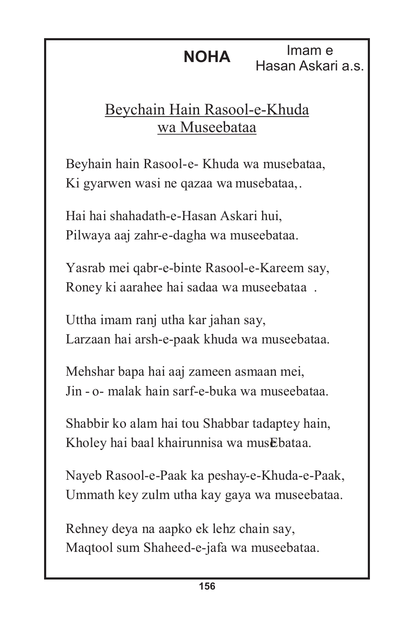**NOHA** Imam e<br>Hasan Askari a.s.

#### Beychain Hain Rasool-e-Khuda wa Museebataa

Beyhain hain Rasool-e- Khuda wa musebataa, Ki gyarwen wasi ne qazaa wa musebataa,.

Hai hai shahadath-e-Hasan Askari hui, Pilwaya aaj zahr-e-dagha wa museebataa.

Yasrab mei qabr-e-binte Rasool-e-Kareem say, Roney ki aarahee hai sadaa wa museebataa .

Uttha imam ranj utha kar jahan say, Larzaan hai arsh-e-paak khuda wa museebataa.

Mehshar bapa hai aaj zameen asmaan mei, Jin - o- malak hain sarf-e-buka wa museebataa.

Shabbir ko alam hai tou Shabbar tadaptey hain, Kholey hai baal khairunnisa wa musEbataa.

Nayeb Rasool-e-Paak ka peshay-e-Khuda-e-Paak, Ummath key zulm utha kay gaya wa museebataa.

Rehney deya na aapko ek lehz chain say, Maqtool sum Shaheed-e-jafa wa museebataa.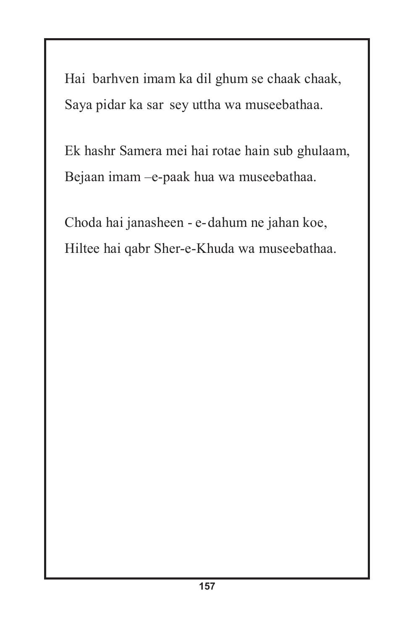Hai barhven imam ka dil ghum se chaak chaak, Saya pidar ka sar sey uttha wa museebathaa.

Ek hashr Samera mei hai rotae hain sub ghulaam, Bejaan imam –e-paak hua wa museebathaa.

Choda hai janasheen - e-dahum ne jahan koe, Hiltee hai qabr Sher-e-Khuda wa museebathaa.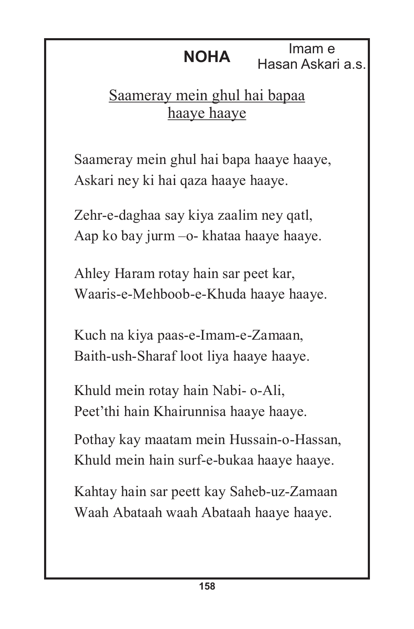**NOHA** Imam e<br>Hasan Askari a.s.

#### Saameray mein ghul hai bapaa haaye haaye

Saameray mein ghul hai bapa haaye haaye, Askari ney ki hai qaza haaye haaye.

Zehr-e-daghaa say kiya zaalim ney qatl, Aap ko bay jurm –o- khataa haaye haaye.

Ahley Haram rotay hain sar peet kar, Waaris-e-Mehboob-e-Khuda haaye haaye.

Kuch na kiya paas-e-Imam-e-Zamaan, Baith-ush-Sharaf loot liya haaye haaye.

Khuld mein rotay hain Nabi- o-Ali, Peet'thi hain Khairunnisa haaye haaye.

Pothay kay maatam mein Hussain-o-Hassan, Khuld mein hain surf-e-bukaa haaye haaye.

Kahtay hain sar peett kay Saheb-uz-Zamaan Waah Abataah waah Abataah haaye haaye.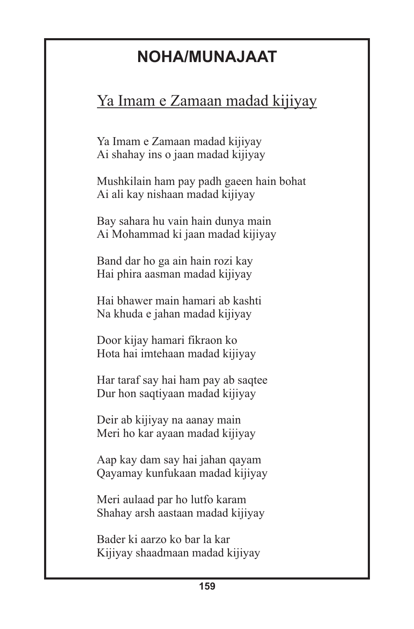#### **NOHA/MUNAJAAT**

#### Ya Imam e Zamaan madad kijiyay

Ya Imam e Zamaan madad kijiyay Ai shahay ins o jaan madad kijiyay

Mushkilain ham pay padh gaeen hain bohat Ai ali kay nishaan madad kijiyay

Bay sahara hu vain hain dunya main Ai Mohammad ki jaan madad kijiyay

Band dar ho ga ain hain rozi kay Hai phira aasman madad kijiyay

Hai bhawer main hamari ab kashti Na khuda e jahan madad kijiyay

Door kijay hamari fikraon ko Hota hai imtehaan madad kijiyay

Har taraf say hai ham pay ab saqtee Dur hon saqtiyaan madad kijiyay

Deir ab kijiyay na aanay main Meri ho kar ayaan madad kijiyay

Aap kay dam say hai jahan qayam Qayamay kunfukaan madad kijiyay

Meri aulaad par ho lutfo karam Shahay arsh aastaan madad kijiyay

Bader ki aarzo ko bar la kar Kijiyay shaadmaan madad kijiyay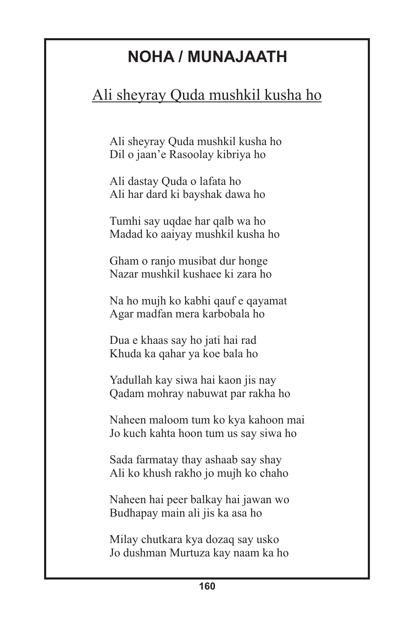#### **NOHA / MUNAJAATH**

#### Ali sheyray Quda mushkil kusha ho

Ali sheyray Quda mushkil kusha ho Dil o jaan'e Rasoolay kibriya ho

Ali dastay Quda o lafata ho Ali har dard ki bayshak dawa ho

Tumhi say uqdae har qalb wa ho Madad ko aaiyay mushkil kusha ho

Gham o ranjo musibat dur honge Nazar mushkil kushaee ki zara ho

Na ho mujh ko kabhi qauf e qayamat Agar madfan mera karbobala ho

Dua e khaas say ho jati hai rad Khuda ka qahar ya koe bala ho

Yadullah kay siwa hai kaon jis nay Qadam mohray nabuwat par rakha ho

Naheen maloom tum ko kya kahoon mai Jo kuch kahta hoon tum us say siwa ho

Sada farmatay thay ashaab say shay Ali ko khush rakho jo mujh ko chaho

Naheen hai peer balkay hai jawan wo Budhapay main ali jis ka asa ho

Milay chutkara kya dozaq say usko Jo dushman Murtuza kay naam ka ho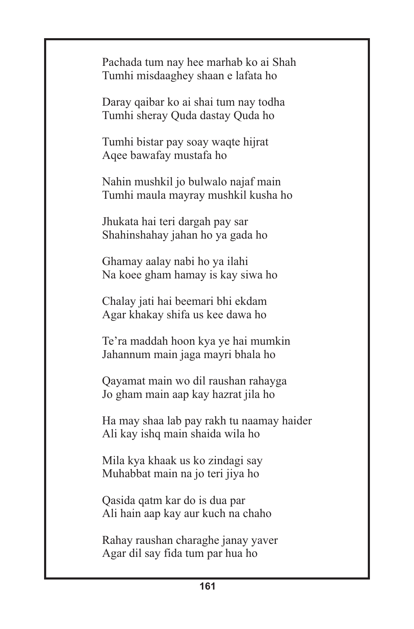Pachada tum nay hee marhab ko ai Shah Tumhi misdaaghey shaan e lafata ho

Daray qaibar ko ai shai tum nay todha Tumhi sheray Quda dastay Quda ho

Tumhi bistar pay soay waqte hijrat Aqee bawafay mustafa ho

Nahin mushkil jo bulwalo najaf main Tumhi maula mayray mushkil kusha ho

Jhukata hai teri dargah pay sar Shahinshahay jahan ho ya gada ho

Ghamay aalay nabi ho ya ilahi Na koee gham hamay is kay siwa ho

Chalay jati hai beemari bhi ekdam Agar khakay shifa us kee dawa ho

Te'ra maddah hoon kya ye hai mumkin Jahannum main jaga mayri bhala ho

Qayamat main wo dil raushan rahayga Jo gham main aap kay hazrat jila ho

Ha may shaa lab pay rakh tu naamay haider Ali kay ishq main shaida wila ho

Mila kya khaak us ko zindagi say Muhabbat main na jo teri jiya ho

Qasida qatm kar do is dua par Ali hain aap kay aur kuch na chaho

Rahay raushan charaghe janay yaver Agar dil say fida tum par hua ho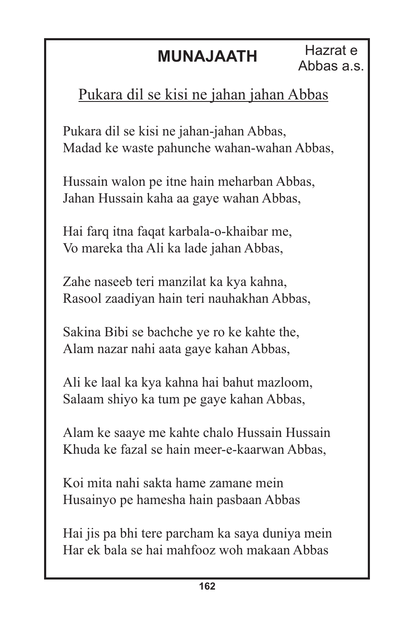#### **MUNAJAATH**

#### Pukara dil se kisi ne jahan jahan Abbas

Pukara dil se kisi ne jahan-jahan Abbas, Madad ke waste pahunche wahan-wahan Abbas,

Hussain walon pe itne hain meharban Abbas, Jahan Hussain kaha aa gaye wahan Abbas,

Hai farq itna faqat karbala-o-khaibar me, Vo mareka tha Ali ka lade jahan Abbas,

Zahe naseeb teri manzilat ka kya kahna, Rasool zaadiyan hain teri nauhakhan Abbas,

Sakina Bibi se bachche ye ro ke kahte the, Alam nazar nahi aata gaye kahan Abbas,

Ali ke laal ka kya kahna hai bahut mazloom, Salaam shiyo ka tum pe gaye kahan Abbas,

Alam ke saaye me kahte chalo Hussain Hussain Khuda ke fazal se hain meer-e-kaarwan Abbas,

Koi mita nahi sakta hame zamane mein Husainyo pe hamesha hain pasbaan Abbas

Hai jis pa bhi tere parcham ka saya duniya mein Har ek bala se hai mahfooz woh makaan Abbas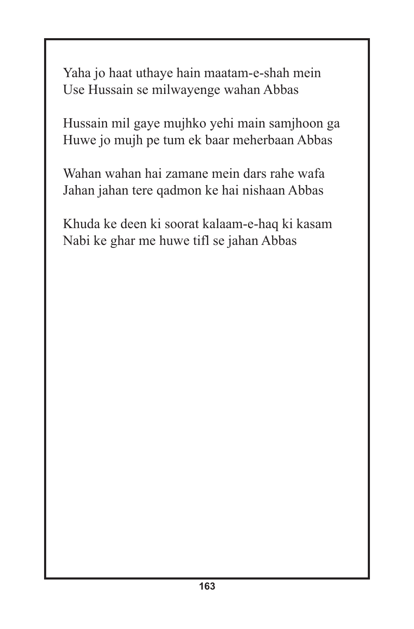Yaha jo haat uthaye hain maatam-e-shah mein Use Hussain se milwayenge wahan Abbas

Hussain mil gaye mujhko yehi main samjhoon ga Huwe jo mujh pe tum ek baar meherbaan Abbas

Wahan wahan hai zamane mein dars rahe wafa Jahan jahan tere qadmon ke hai nishaan Abbas

Khuda ke deen ki soorat kalaam-e-haq ki kasam Nabi ke ghar me huwe tifl se jahan Abbas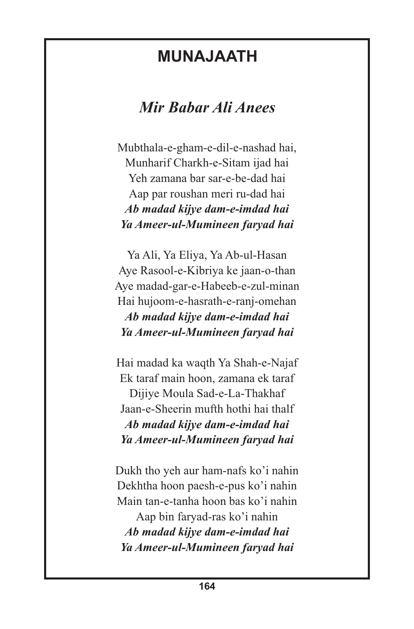#### **MUNAJAATH**

#### *Mir Babar Ali Anees*

Mubthala-e-gham-e-dil-e-nashad hai, Munharif Charkh-e-Sitam ijad hai Yeh zamana bar sar-e-be-dad hai Aap par roushan meri ru-dad hai *Ab madad kijye dam-e-imdad hai Ya Ameer-ul-Mumineen faryad hai*

Ya Ali, Ya Eliya, Ya Ab-ul-Hasan Aye Rasool-e-Kibriya ke jaan-o-than Aye madad-gar-e-Habeeb-e-zul-minan Hai hujoom-e-hasrath-e-ranj-omehan *Ab madad kijye dam-e-imdad hai Ya Ameer-ul-Mumineen faryad hai*

Hai madad ka waqth Ya Shah-e-Najaf Ek taraf main hoon, zamana ek taraf Dijiye Moula Sad-e-La-Thakhaf Jaan-e-Sheerin mufth hothi hai thalf *Ab madad kijye dam-e-imdad hai Ya Ameer-ul-Mumineen faryad hai*

Dukh tho yeh aur ham-nafs ko'i nahin Dekhtha hoon paesh-e-pus ko'i nahin Main tan-e-tanha hoon bas ko'i nahin Aap bin faryad-ras ko'i nahin *Ab madad kijye dam-e-imdad hai Ya Ameer-ul-Mumineen faryad hai*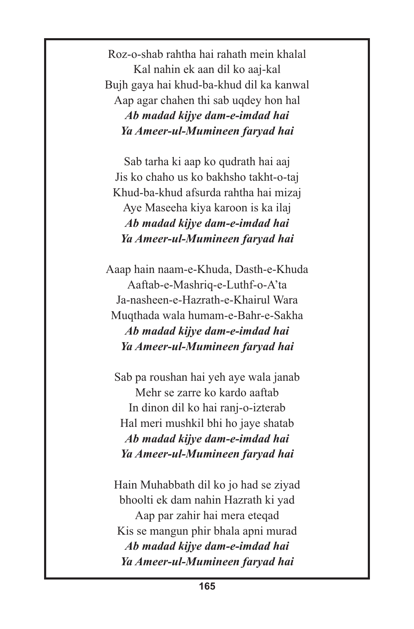Roz-o-shab rahtha hai rahath mein khalal Kal nahin ek aan dil ko aaj-kal Bujh gaya hai khud-ba-khud dil ka kanwal Aap agar chahen thi sab uqdey hon hal *Ab madad kijye dam-e-imdad hai Ya Ameer-ul-Mumineen faryad hai*

Sab tarha ki aap ko qudrath hai aaj Jis ko chaho us ko bakhsho takht-o-taj Khud-ba-khud afsurda rahtha hai mizaj Aye Maseeha kiya karoon is ka ilaj *Ab madad kijye dam-e-imdad hai Ya Ameer-ul-Mumineen faryad hai*

Aaap hain naam-e-Khuda, Dasth-e-Khuda Aaftab-e-Mashriq-e-Luthf-o-A'ta Ja-nasheen-e-Hazrath-e-Khairul Wara Muqthada wala humam-e-Bahr-e-Sakha *Ab madad kijye dam-e-imdad hai Ya Ameer-ul-Mumineen faryad hai*

Sab pa roushan hai yeh aye wala janab Mehr se zarre ko kardo aaftab In dinon dil ko hai ranj-o-izterab Hal meri mushkil bhi ho jaye shatab *Ab madad kijye dam-e-imdad hai Ya Ameer-ul-Mumineen faryad hai*

Hain Muhabbath dil ko jo had se ziyad bhoolti ek dam nahin Hazrath ki yad Aap par zahir hai mera eteqad Kis se mangun phir bhala apni murad *Ab madad kijye dam-e-imdad hai Ya Ameer-ul-Mumineen faryad hai*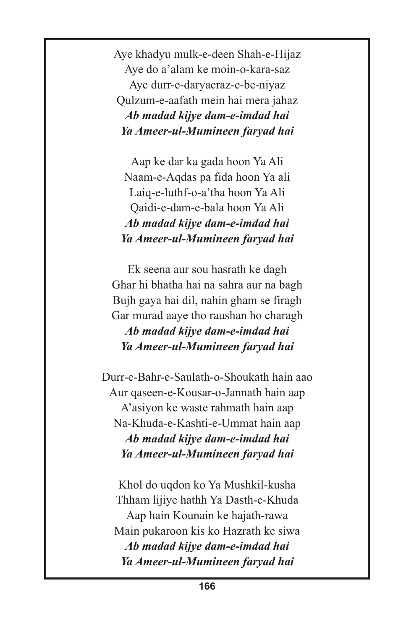Aye khadyu mulk-e-deen Shah-e-Hijaz Aye do a'alam ke moin-o-kara-saz Aye durr-e-daryaeraz-e-be-niyaz Qulzum-e-aafath mein hai mera jahaz *Ab madad kijye dam-e-imdad hai Ya Ameer-ul-Mumineen faryad hai*

Aap ke dar ka gada hoon Ya Ali Naam-e-Aqdas pa fida hoon Ya ali Laiq-e-luthf-o-a'tha hoon Ya Ali Qaidi-e-dam-e-bala hoon Ya Ali *Ab madad kijye dam-e-imdad hai Ya Ameer-ul-Mumineen faryad hai*

Ek seena aur sou hasrath ke dagh Ghar hi bhatha hai na sahra aur na bagh Bujh gaya hai dil, nahin gham se firagh Gar murad aaye tho raushan ho charagh *Ab madad kijye dam-e-imdad hai Ya Ameer-ul-Mumineen faryad hai*

Durr-e-Bahr-e-Saulath-o-Shoukath hain aao Aur qaseen-e-Kousar-o-Jannath hain aap A'asiyon ke waste rahmath hain aap Na-Khuda-e-Kashti-e-Ummat hain aap *Ab madad kijye dam-e-imdad hai Ya Ameer-ul-Mumineen faryad hai*

Khol do uqdon ko Ya Mushkil-kusha Thham lijiye hathh Ya Dasth-e-Khuda Aap hain Kounain ke hajath-rawa Main pukaroon kis ko Hazrath ke siwa *Ab madad kijye dam-e-imdad hai Ya Ameer-ul-Mumineen faryad hai*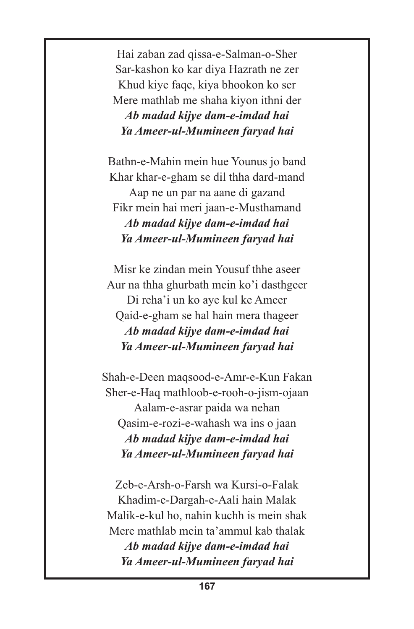Hai zaban zad qissa-e-Salman-o-Sher Sar-kashon ko kar diya Hazrath ne zer Khud kiye faqe, kiya bhookon ko ser Mere mathlab me shaha kiyon ithni der *Ab madad kijye dam-e-imdad hai Ya Ameer-ul-Mumineen faryad hai*

Bathn-e-Mahin mein hue Younus jo band Khar khar-e-gham se dil thha dard-mand Aap ne un par na aane di gazand Fikr mein hai meri jaan-e-Musthamand *Ab madad kijye dam-e-imdad hai Ya Ameer-ul-Mumineen faryad hai*

Misr ke zindan mein Yousuf thhe aseer Aur na thha ghurbath mein ko'i dasthgeer Di reha'i un ko aye kul ke Ameer Qaid-e-gham se hal hain mera thageer *Ab madad kijye dam-e-imdad hai Ya Ameer-ul-Mumineen faryad hai*

Shah-e-Deen maqsood-e-Amr-e-Kun Fakan Sher-e-Haq mathloob-e-rooh-o-jism-ojaan Aalam-e-asrar paida wa nehan Qasim-e-rozi-e-wahash wa ins o jaan *Ab madad kijye dam-e-imdad hai Ya Ameer-ul-Mumineen faryad hai*

Zeb-e-Arsh-o-Farsh wa Kursi-o-Falak Khadim-e-Dargah-e-Aali hain Malak Malik-e-kul ho, nahin kuchh is mein shak Mere mathlab mein ta'ammul kab thalak

*Ab madad kijye dam-e-imdad hai Ya Ameer-ul-Mumineen faryad hai*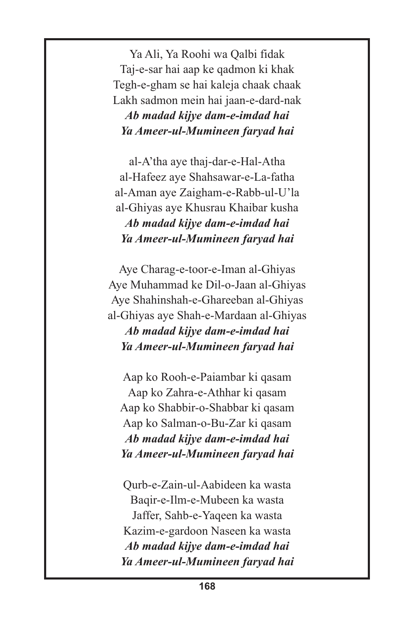Ya Ali, Ya Roohi wa Qalbi fidak Taj-e-sar hai aap ke qadmon ki khak Tegh-e-gham se hai kaleja chaak chaak Lakh sadmon mein hai jaan-e-dard-nak *Ab madad kijye dam-e-imdad hai Ya Ameer-ul-Mumineen faryad hai*

al-A'tha aye thaj-dar-e-Hal-Atha al-Hafeez aye Shahsawar-e-La-fatha al-Aman aye Zaigham-e-Rabb-ul-U'la al-Ghiyas aye Khusrau Khaibar kusha *Ab madad kijye dam-e-imdad hai Ya Ameer-ul-Mumineen faryad hai*

Aye Charag-e-toor-e-Iman al-Ghiyas Aye Muhammad ke Dil-o-Jaan al-Ghiyas Aye Shahinshah-e-Ghareeban al-Ghiyas al-Ghiyas aye Shah-e-Mardaan al-Ghiyas *Ab madad kijye dam-e-imdad hai Ya Ameer-ul-Mumineen faryad hai*

Aap ko Rooh-e-Paiambar ki qasam Aap ko Zahra-e-Athhar ki qasam Aap ko Shabbir-o-Shabbar ki qasam Aap ko Salman-o-Bu-Zar ki qasam *Ab madad kijye dam-e-imdad hai Ya Ameer-ul-Mumineen faryad hai*

Qurb-e-Zain-ul-Aabideen ka wasta Baqir-e-Ilm-e-Mubeen ka wasta Jaffer, Sahb-e-Yaqeen ka wasta Kazim-e-gardoon Naseen ka wasta *Ab madad kijye dam-e-imdad hai Ya Ameer-ul-Mumineen faryad hai*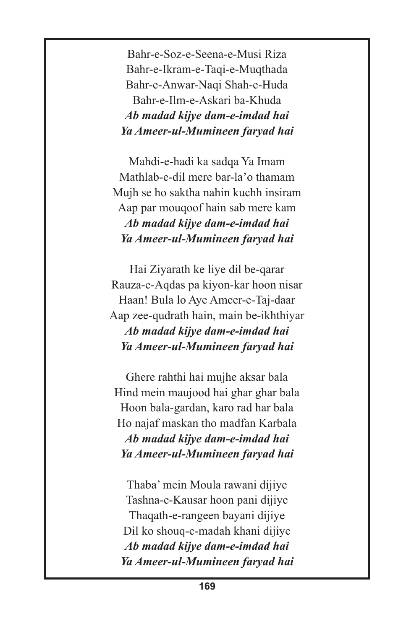Bahr-e-Soz-e-Seena-e-Musi Riza Bahr-e-Ikram-e-Taqi-e-Muqthada Bahr-e-Anwar-Naqi Shah-e-Huda Bahr-e-Ilm-e-Askari ba-Khuda *Ab madad kijye dam-e-imdad hai Ya Ameer-ul-Mumineen faryad hai*

Mahdi-e-hadi ka sadqa Ya Imam Mathlab-e-dil mere bar-la'o thamam Mujh se ho saktha nahin kuchh insiram Aap par mouqoof hain sab mere kam *Ab madad kijye dam-e-imdad hai Ya Ameer-ul-Mumineen faryad hai*

Hai Ziyarath ke liye dil be-qarar Rauza-e-Aqdas pa kiyon-kar hoon nisar Haan! Bula lo Aye Ameer-e-Taj-daar Aap zee-qudrath hain, main be-ikhthiyar *Ab madad kijye dam-e-imdad hai Ya Ameer-ul-Mumineen faryad hai*

Ghere rahthi hai mujhe aksar bala Hind mein maujood hai ghar ghar bala Hoon bala-gardan, karo rad har bala Ho najaf maskan tho madfan Karbala *Ab madad kijye dam-e-imdad hai Ya Ameer-ul-Mumineen faryad hai*

Thaba' mein Moula rawani dijiye Tashna-e-Kausar hoon pani dijiye Thaqath-e-rangeen bayani dijiye Dil ko shouq-e-madah khani dijiye *Ab madad kijye dam-e-imdad hai Ya Ameer-ul-Mumineen faryad hai*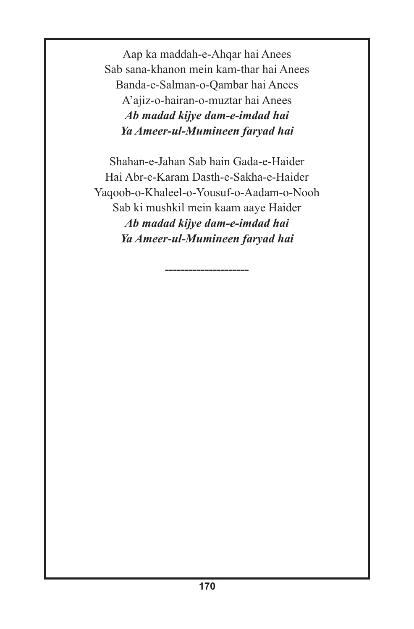Aap ka maddah-e-Ahqar hai Anees Sab sana-khanon mein kam-thar hai Anees Banda-e-Salman-o-Qambar hai Anees A'ajiz-o-hairan-o-muztar hai Anees *Ab madad kijye dam-e-imdad hai Ya Ameer-ul-Mumineen faryad hai*

Shahan-e-Jahan Sab hain Gada-e-Haider Hai Abr-e-Karam Dasth-e-Sakha-e-Haider Yaqoob-o-Khaleel-o-Yousuf-o-Aadam-o-Nooh Sab ki mushkil mein kaam aaye Haider *Ab madad kijye dam-e-imdad hai Ya Ameer-ul-Mumineen faryad hai*

**---------------------**

**170**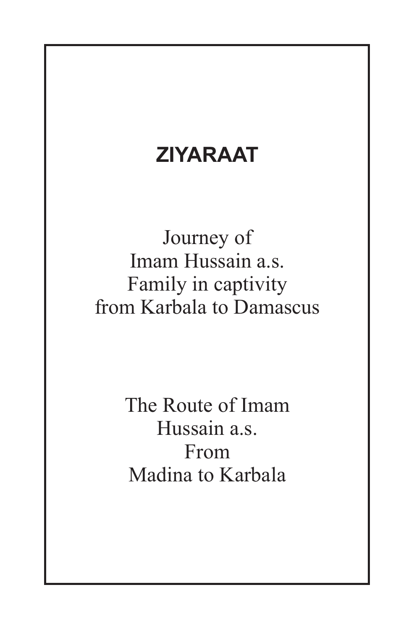### **ZIYARAAT**

Journey of Imam Hussain a.s. Family in captivity from Karbala to Damascus

> The Route of Imam Hussain a.s. From Madina to Karbala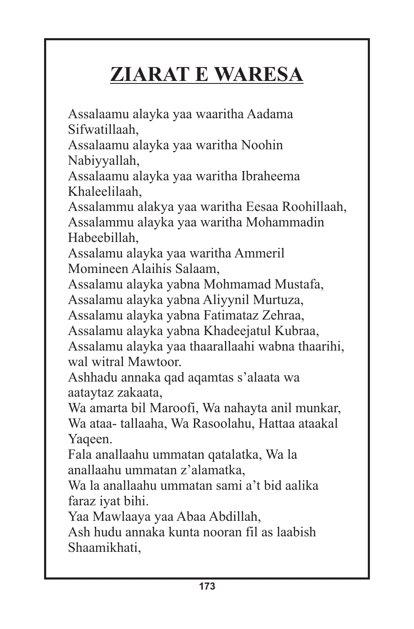# **ZIARAT E WARESA**

Assalaamu alayka yaa waaritha Aadama Sifwatillaah, Assalaamu alayka yaa waritha Noohin Nabiyyallah, Assalaamu alayka yaa waritha Ibraheema Khaleelilaah, Assalammu alakya yaa waritha Eesaa Roohillaah, Assalammu alayka yaa waritha Mohammadin Habeebillah, Assalamu alayka yaa waritha Ammeril Momineen Alaihis Salaam, Assalamu alayka yabna Mohmamad Mustafa, Assalamu alayka yabna Aliyynil Murtuza, Assalamu alayka yabna Fatimataz Zehraa, Assalamu alayka yabna Khadeejatul Kubraa, Assalamu alayka yaa thaarallaahi wabna thaarihi, wal witral Mawtoor. Ashhadu annaka qad aqamtas s'alaata wa aataytaz zakaata, Wa amarta bil Maroofi, Wa nahayta anil munkar, Wa ataa- tallaaha, Wa Rasoolahu, Hattaa ataakal Yaqeen. Fala anallaahu ummatan qatalatka, Wa la anallaahu ummatan z'alamatka, Wa la anallaahu ummatan sami a't bid aalika faraz iyat bihi. Yaa Mawlaaya yaa Abaa Abdillah, Ash hudu annaka kunta nooran fil as laabish

Shaamikhati,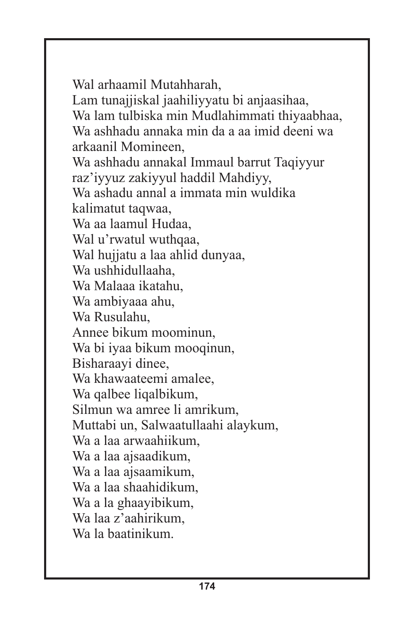Wal arhaamil Mutahharah, Lam tunajjiskal jaahiliyyatu bi anjaasihaa, Wa lam tulbiska min Mudlahimmati thiyaabhaa, Wa ashhadu annaka min da a aa imid deeni wa arkaanil Momineen, Wa ashhadu annakal Immaul barrut Taqiyyur raz'iyyuz zakiyyul haddil Mahdiyy, Wa ashadu annal a immata min wuldika kalimatut taqwaa, Wa aa laamul Hudaa, Wal u'rwatul wuthqaa, Wal hujjatu a laa ahlid dunyaa, Wa ushhidullaaha, Wa Malaaa ikatahu, Wa ambiyaaa ahu, Wa Rusulahu, Annee bikum moominun, Wa bi iyaa bikum mooqinun, Bisharaayi dinee, Wa khawaateemi amalee, Wa qalbee liqalbikum, Silmun wa amree li amrikum, Muttabi un, Salwaatullaahi alaykum, Wa a laa arwaahiikum, Wa a laa ajsaadikum, Wa a laa ajsaamikum, Wa a laa shaahidikum, Wa a la ghaayibikum, Wa laa z'aahirikum, Wa la baatinikum.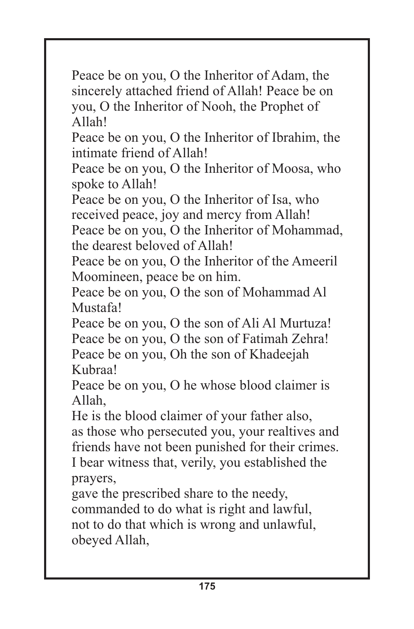Peace be on you, O the Inheritor of Adam, the sincerely attached friend of Allah! Peace be on you, O the Inheritor of Nooh, the Prophet of Allah!

Peace be on you, O the Inheritor of Ibrahim, the intimate friend of Allah!

Peace be on you, O the Inheritor of Moosa, who spoke to Allah!

Peace be on you, O the Inheritor of Isa, who received peace, joy and mercy from Allah!

Peace be on you, O the Inheritor of Mohammad, the dearest beloved of Allah!

Peace be on you, O the Inheritor of the Ameeril Moomineen, peace be on him.

Peace be on you, O the son of Mohammad Al Mustafa!

Peace be on you, O the son of Ali Al Murtuza! Peace be on you, O the son of Fatimah Zehra! Peace be on you, Oh the son of Khadeejah Kubraa!

Peace be on you, O he whose blood claimer is Allah,

He is the blood claimer of your father also, as those who persecuted you, your realtives and friends have not been punished for their crimes. I bear witness that, verily, you established the prayers,

gave the prescribed share to the needy, commanded to do what is right and lawful, not to do that which is wrong and unlawful, obeyed Allah,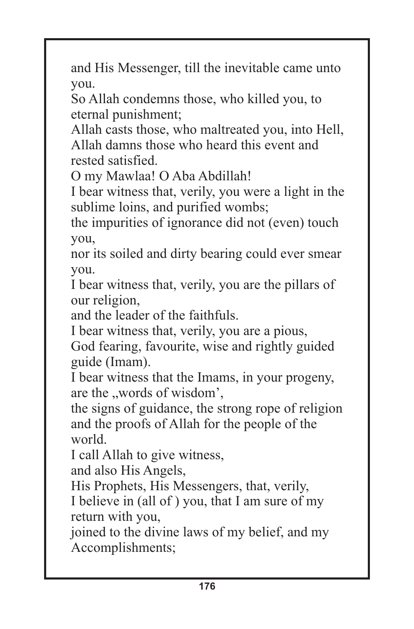and His Messenger, till the inevitable came unto you.

So Allah condemns those, who killed you, to eternal punishment;

Allah casts those, who maltreated you, into Hell, Allah damns those who heard this event and rested satisfied.

O my Mawlaa! O Aba Abdillah!

I bear witness that, verily, you were a light in the sublime loins, and purified wombs;

the impurities of ignorance did not (even) touch you,

nor its soiled and dirty bearing could ever smear you.

I bear witness that, verily, you are the pillars of our religion,

and the leader of the faithfuls.

I bear witness that, verily, you are a pious,

God fearing, favourite, wise and rightly guided guide (Imam).

I bear witness that the Imams, in your progeny, are the "words of wisdom',

the signs of guidance, the strong rope of religion and the proofs of Allah for the people of the world.

I call Allah to give witness,

and also His Angels,

His Prophets, His Messengers, that, verily,

I believe in (all of ) you, that I am sure of my return with you,

joined to the divine laws of my belief, and my Accomplishments;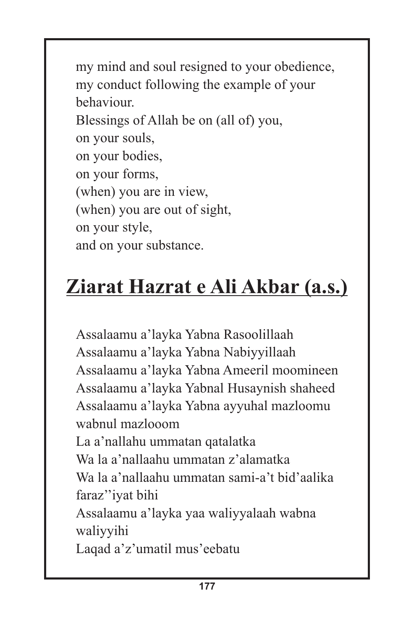my mind and soul resigned to your obedience, my conduct following the example of your behaviour. Blessings of Allah be on (all of) you, on your souls, on your bodies, on your forms, (when) you are in view, (when) you are out of sight, on your style, and on your substance.

# **Ziarat Hazrat e Ali Akbar (a.s.)**

Assalaamu a'layka Yabna Rasoolillaah Assalaamu a'layka Yabna Nabiyyillaah Assalaamu a'layka Yabna Ameeril moomineen Assalaamu a'layka Yabnal Husaynish shaheed Assalaamu a'layka Yabna ayyuhal mazloomu wabnul mazlooom La a'nallahu ummatan qatalatka Wa la a'nallaahu ummatan z'alamatka Wa la a'nallaahu ummatan sami-a't bid'aalika faraz''iyat bihi Assalaamu a'layka yaa waliyyalaah wabna waliyyihi Laqad a'z'umatil mus'eebatu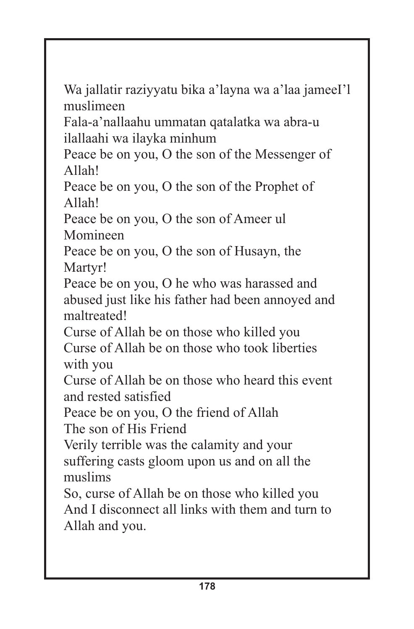Wa jallatir raziyyatu bika a'layna wa a'laa jameeI'l muslimeen

Fala-a'nallaahu ummatan qatalatka wa abra-u ilallaahi wa ilayka minhum

Peace be on you, O the son of the Messenger of Allah!

Peace be on you, O the son of the Prophet of Allah!

Peace be on you, O the son of Ameer ul Momineen

Peace be on you, O the son of Husayn, the Martyr!

Peace be on you, O he who was harassed and abused just like his father had been annoyed and maltreated!

Curse of Allah be on those who killed you Curse of Allah be on those who took liberties with you

Curse of Allah be on those who heard this event and rested satisfied

Peace be on you, O the friend of Allah

The son of His Friend

Verily terrible was the calamity and your suffering casts gloom upon us and on all the muslims

So, curse of Allah be on those who killed you And I disconnect all links with them and turn to Allah and you.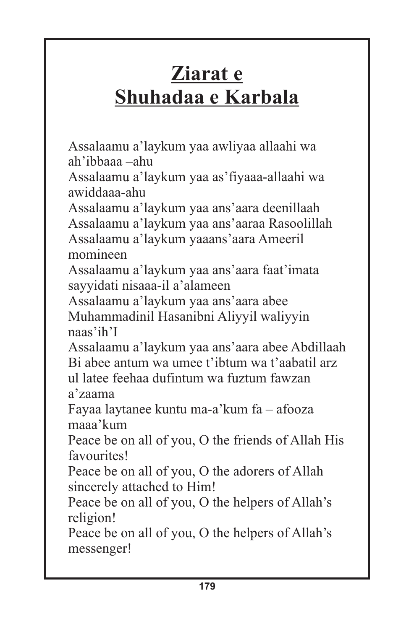## **Ziarat e Shuhadaa e Karbala**

Assalaamu a'laykum yaa awliyaa allaahi wa ah'ibbaaa –ahu

Assalaamu a'laykum yaa as'fiyaaa-allaahi wa awiddaaa-ahu

Assalaamu a'laykum yaa ans'aara deenillaah Assalaamu a'laykum yaa ans'aaraa Rasoolillah Assalaamu a'laykum yaaans'aara Ameeril momineen

Assalaamu a'laykum yaa ans'aara faat'imata sayyidati nisaaa-il a'alameen

Assalaamu a'laykum yaa ans'aara abee Muhammadinil Hasanibni Aliyyil waliyyin naas'ih'I

Assalaamu a'laykum yaa ans'aara abee Abdillaah Bi abee antum wa umee t'ibtum wa t'aabatil arz ul latee feehaa dufintum wa fuztum fawzan a'zaama

Fayaa laytanee kuntu ma-a'kum fa – afooza maaa'kum

Peace be on all of you, O the friends of Allah His favourites!

Peace be on all of you, O the adorers of Allah sincerely attached to Him!

Peace be on all of you, O the helpers of Allah's religion!

Peace be on all of you, O the helpers of Allah's messenger!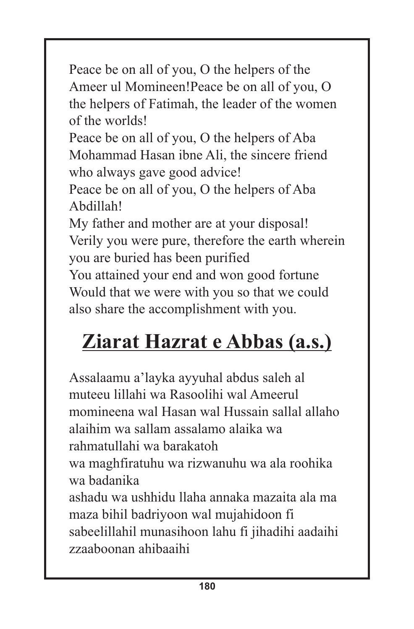Peace be on all of you, O the helpers of the Ameer ul Momineen!Peace be on all of you, O the helpers of Fatimah, the leader of the women of the worlds!

Peace be on all of you, O the helpers of Aba Mohammad Hasan ibne Ali, the sincere friend who always gave good advice!

Peace be on all of you, O the helpers of Aba Abdillah!

My father and mother are at your disposal! Verily you were pure, therefore the earth wherein you are buried has been purified

You attained your end and won good fortune Would that we were with you so that we could also share the accomplishment with you.

# **Ziarat Hazrat e Abbas (a.s.)**

Assalaamu a'layka ayyuhal abdus saleh al muteeu lillahi wa Rasoolihi wal Ameerul momineena wal Hasan wal Hussain sallal allaho alaihim wa sallam assalamo alaika wa rahmatullahi wa barakatoh wa maghfiratuhu wa rizwanuhu wa ala roohika wa badanika ashadu wa ushhidu llaha annaka mazaita ala ma maza bihil badriyoon wal mujahidoon fi sabeelillahil munasihoon lahu fi jihadihi aadaihi zzaaboonan ahibaaihi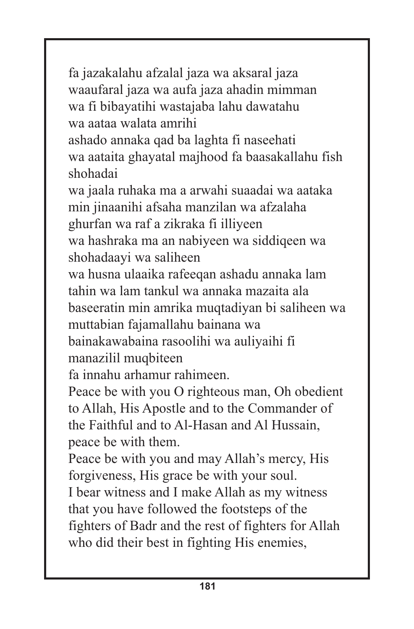fa jazakalahu afzalal jaza wa aksaral jaza waaufaral jaza wa aufa jaza ahadin mimman wa fi bibayatihi wastajaba lahu dawatahu wa aataa walata amrihi ashado annaka qad ba laghta fi naseehati wa aataita ghayatal majhood fa baasakallahu fish shohadai wa jaala ruhaka ma a arwahi suaadai wa aataka min jinaanihi afsaha manzilan wa afzalaha ghurfan wa raf a zikraka fi illiyeen wa hashraka ma an nabiyeen wa siddiqeen wa shohadaayi wa saliheen wa husna ulaaika rafeeqan ashadu annaka lam tahin wa lam tankul wa annaka mazaita ala baseeratin min amrika muqtadiyan bi saliheen wa muttabian fajamallahu bainana wa bainakawabaina rasoolihi wa auliyaihi fi manazilil muqbiteen fa innahu arhamur rahimeen. Peace be with you O righteous man, Oh obedient to Allah, His Apostle and to the Commander of the Faithful and to Al-Hasan and Al Hussain, peace be with them. Peace be with you and may Allah's mercy, His forgiveness, His grace be with your soul. I bear witness and I make Allah as my witness that you have followed the footsteps of the fighters of Badr and the rest of fighters for Allah

who did their best in fighting His enemies,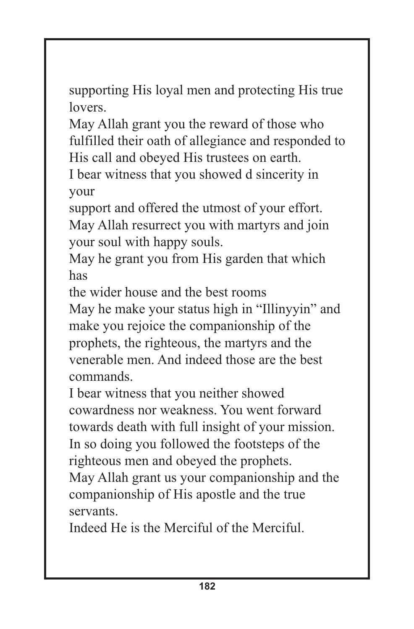supporting His loyal men and protecting His true lovers.

May Allah grant you the reward of those who fulfilled their oath of allegiance and responded to His call and obeyed His trustees on earth.

I bear witness that you showed d sincerity in your

support and offered the utmost of your effort. May Allah resurrect you with martyrs and join your soul with happy souls.

May he grant you from His garden that which has

the wider house and the best rooms

May he make your status high in "Illinyyin" and make you rejoice the companionship of the prophets, the righteous, the martyrs and the venerable men. And indeed those are the best commands.

I bear witness that you neither showed cowardness nor weakness. You went forward towards death with full insight of your mission. In so doing you followed the footsteps of the righteous men and obeyed the prophets.

May Allah grant us your companionship and the companionship of His apostle and the true servants.

Indeed He is the Merciful of the Merciful.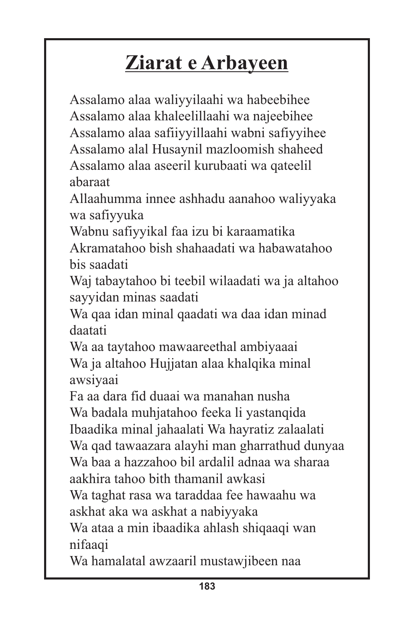# **Ziarat e Arbayeen**

Assalamo alaa waliyyilaahi wa habeebihee Assalamo alaa khaleelillaahi wa najeebihee Assalamo alaa safiiyyillaahi wabni safiyyihee Assalamo alal Husaynil mazloomish shaheed Assalamo alaa aseeril kurubaati wa qateelil abaraat

Allaahumma innee ashhadu aanahoo waliyyaka wa safiyyuka

Wabnu safiyyikal faa izu bi karaamatika Akramatahoo bish shahaadati wa habawatahoo bis saadati

Waj tabaytahoo bi teebil wilaadati wa ja altahoo sayyidan minas saadati

Wa qaa idan minal qaadati wa daa idan minad daatati

Wa aa taytahoo mawaareethal ambiyaaai Wa ja altahoo Hujjatan alaa khalqika minal awsiyaai

Fa aa dara fid duaai wa manahan nusha Wa badala muhjatahoo feeka li yastanqida Ibaadika minal jahaalati Wa hayratiz zalaalati Wa qad tawaazara alayhi man gharrathud dunyaa Wa baa a hazzahoo bil ardalil adnaa wa sharaa aakhira tahoo bith thamanil awkasi

Wa taghat rasa wa taraddaa fee hawaahu wa askhat aka wa askhat a nabiyyaka

Wa ataa a min ibaadika ahlash shiqaaqi wan nifaaqi

Wa hamalatal awzaaril mustawjibeen naa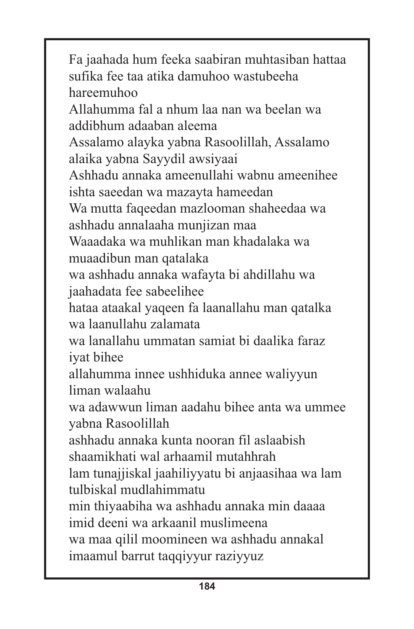Fa jaahada hum feeka saabiran muhtasiban hattaa sufika fee taa atika damuhoo wastubeeha hareemuhoo Allahumma fal a nhum laa nan wa beelan wa addibhum adaaban aleema Assalamo alayka yabna Rasoolillah, Assalamo alaika yabna Sayydil awsiyaai Ashhadu annaka ameenullahi wabnu ameenihee ishta saeedan wa mazayta hameedan Wa mutta faqeedan mazlooman shaheedaa wa ashhadu annalaaha munjizan maa Waaadaka wa muhlikan man khadalaka wa muaadibun man qatalaka wa ashhadu annaka wafayta bi ahdillahu wa jaahadata fee sabeelihee hataa ataakal yaqeen fa laanallahu man qatalka wa laanullahu zalamata wa lanallahu ummatan samiat bi daalika faraz iyat bihee allahumma innee ushhiduka annee waliyyun liman walaahu wa adawwun liman aadahu bihee anta wa ummee yabna Rasoolillah ashhadu annaka kunta nooran fil aslaabish shaamikhati wal arhaamil mutahhrah lam tunajjiskal jaahiliyyatu bi anjaasihaa wa lam tulbiskal mudlahimmatu min thiyaabiha wa ashhadu annaka min daaaa imid deeni wa arkaanil muslimeena wa maa qilil moomineen wa ashhadu annakal imaamul barrut taqqiyyur raziyyuz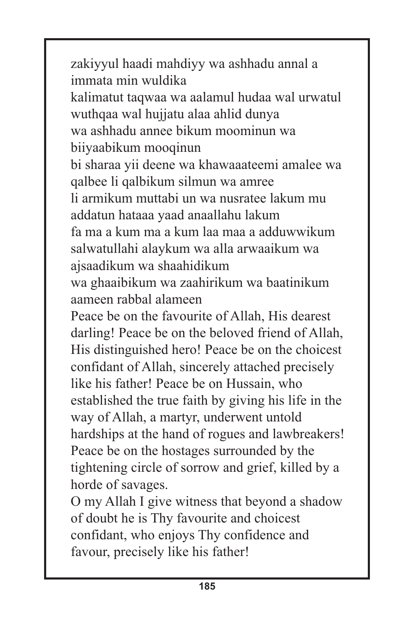zakiyyul haadi mahdiyy wa ashhadu annal a immata min wuldika kalimatut taqwaa wa aalamul hudaa wal urwatul wuthqaa wal hujjatu alaa ahlid dunya wa ashhadu annee bikum moominun wa biiyaabikum mooqinun bi sharaa yii deene wa khawaaateemi amalee wa qalbee li qalbikum silmun wa amree li armikum muttabi un wa nusratee lakum mu addatun hataaa yaad anaallahu lakum fa ma a kum ma a kum laa maa a adduwwikum salwatullahi alaykum wa alla arwaaikum wa ajsaadikum wa shaahidikum wa ghaaibikum wa zaahirikum wa baatinikum aameen rabbal alameen Peace be on the favourite of Allah, His dearest darling! Peace be on the beloved friend of Allah, His distinguished hero! Peace be on the choicest confidant of Allah, sincerely attached precisely like his father! Peace be on Hussain, who established the true faith by giving his life in the way of Allah, a martyr, underwent untold hardships at the hand of rogues and lawbreakers! Peace be on the hostages surrounded by the tightening circle of sorrow and grief, killed by a horde of savages. O my Allah I give witness that beyond a shadow of doubt he is Thy favourite and choicest

confidant, who enjoys Thy confidence and favour, precisely like his father!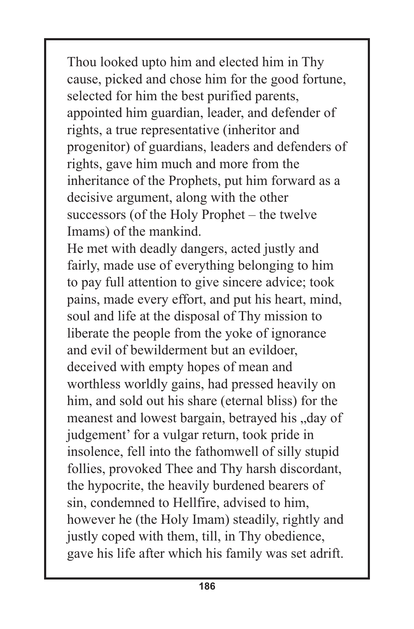Thou looked upto him and elected him in Thy cause, picked and chose him for the good fortune, selected for him the best purified parents, appointed him guardian, leader, and defender of rights, a true representative (inheritor and progenitor) of guardians, leaders and defenders of rights, gave him much and more from the inheritance of the Prophets, put him forward as a decisive argument, along with the other successors (of the Holy Prophet – the twelve Imams) of the mankind.

He met with deadly dangers, acted justly and fairly, made use of everything belonging to him to pay full attention to give sincere advice; took pains, made every effort, and put his heart, mind, soul and life at the disposal of Thy mission to liberate the people from the yoke of ignorance and evil of bewilderment but an evildoer, deceived with empty hopes of mean and worthless worldly gains, had pressed heavily on him, and sold out his share (eternal bliss) for the meanest and lowest bargain, betrayed his "day of judgement' for a vulgar return, took pride in insolence, fell into the fathomwell of silly stupid follies, provoked Thee and Thy harsh discordant, the hypocrite, the heavily burdened bearers of sin, condemned to Hellfire, advised to him, however he (the Holy Imam) steadily, rightly and justly coped with them, till, in Thy obedience, gave his life after which his family was set adrift.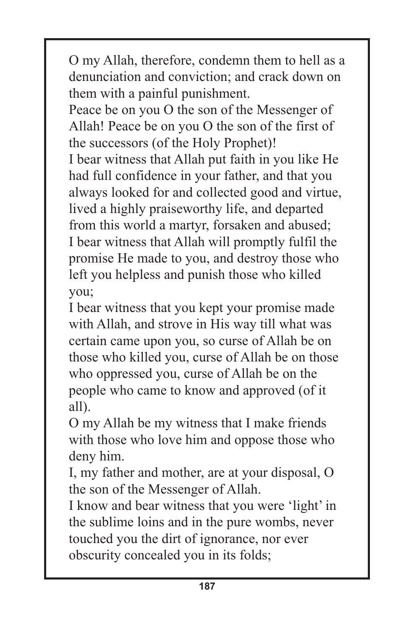O my Allah, therefore, condemn them to hell as a denunciation and conviction; and crack down on them with a painful punishment.

Peace be on you O the son of the Messenger of Allah! Peace be on you O the son of the first of the successors (of the Holy Prophet)! I bear witness that Allah put faith in you like He had full confidence in your father, and that you always looked for and collected good and virtue, lived a highly praiseworthy life, and departed from this world a martyr, forsaken and abused; I bear witness that Allah will promptly fulfil the promise He made to you, and destroy those who left you helpless and punish those who killed you;

I bear witness that you kept your promise made with Allah, and strove in His way till what was certain came upon you, so curse of Allah be on those who killed you, curse of Allah be on those who oppressed you, curse of Allah be on the people who came to know and approved (of it all).

O my Allah be my witness that I make friends with those who love him and oppose those who deny him.

I, my father and mother, are at your disposal, O the son of the Messenger of Allah.

I know and bear witness that you were 'light' in the sublime loins and in the pure wombs, never touched you the dirt of ignorance, nor ever obscurity concealed you in its folds;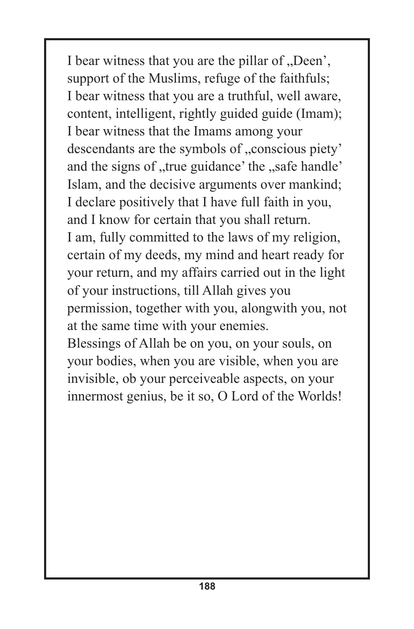I bear witness that you are the pillar of "Deen', support of the Muslims, refuge of the faithfuls; I bear witness that you are a truthful, well aware, content, intelligent, rightly guided guide (Imam); I bear witness that the Imams among your descendants are the symbols of "conscious piety' and the signs of "true guidance' the "safe handle' Islam, and the decisive arguments over mankind; I declare positively that I have full faith in you, and I know for certain that you shall return. I am, fully committed to the laws of my religion, certain of my deeds, my mind and heart ready for your return, and my affairs carried out in the light of your instructions, till Allah gives you permission, together with you, alongwith you, not at the same time with your enemies.

Blessings of Allah be on you, on your souls, on your bodies, when you are visible, when you are invisible, ob your perceiveable aspects, on your innermost genius, be it so, O Lord of the Worlds!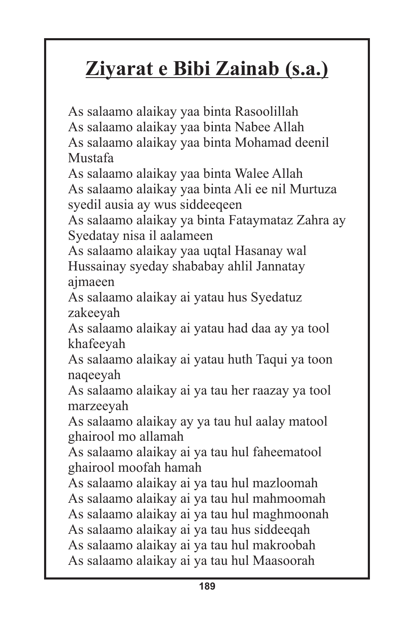# **Ziyarat e Bibi Zainab (s.a.)**

As salaamo alaikay yaa binta Rasoolillah As salaamo alaikay yaa binta Nabee Allah As salaamo alaikay yaa binta Mohamad deenil Mustafa As salaamo alaikay yaa binta Walee Allah As salaamo alaikay yaa binta Ali ee nil Murtuza syedil ausia ay wus siddeeqeen As salaamo alaikay ya binta Fataymataz Zahra ay Syedatay nisa il aalameen As salaamo alaikay yaa uqtal Hasanay wal Hussainay syeday shababay ahlil Jannatay ajmaeen As salaamo alaikay ai yatau hus Syedatuz zakeeyah As salaamo alaikay ai yatau had daa ay ya tool khafeeyah As salaamo alaikay ai yatau huth Taqui ya toon naqeeyah As salaamo alaikay ai ya tau her raazay ya tool marzeeyah As salaamo alaikay ay ya tau hul aalay matool ghairool mo allamah As salaamo alaikay ai ya tau hul faheematool ghairool moofah hamah As salaamo alaikay ai ya tau hul mazloomah As salaamo alaikay ai ya tau hul mahmoomah As salaamo alaikay ai ya tau hul maghmoonah As salaamo alaikay ai ya tau hus siddeeqah As salaamo alaikay ai ya tau hul makroobah As salaamo alaikay ai ya tau hul Maasoorah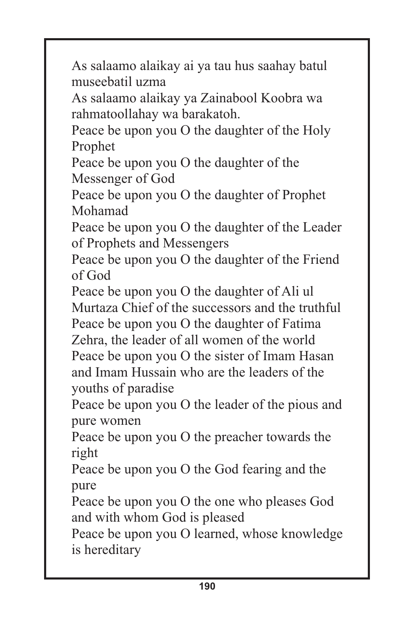As salaamo alaikay ai ya tau hus saahay batul museebatil uzma

As salaamo alaikay ya Zainabool Koobra wa rahmatoollahay wa barakatoh.

Peace be upon you O the daughter of the Holy Prophet

Peace be upon you O the daughter of the Messenger of God

Peace be upon you O the daughter of Prophet Mohamad

Peace be upon you O the daughter of the Leader of Prophets and Messengers

Peace be upon you O the daughter of the Friend of God

Peace be upon you O the daughter of Ali ul Murtaza Chief of the successors and the truthful Peace be upon you O the daughter of Fatima Zehra, the leader of all women of the world Peace be upon you O the sister of Imam Hasan and Imam Hussain who are the leaders of the youths of paradise

Peace be upon you O the leader of the pious and pure women

Peace be upon you O the preacher towards the right

Peace be upon you O the God fearing and the pure

Peace be upon you O the one who pleases God and with whom God is pleased

Peace be upon you O learned, whose knowledge is hereditary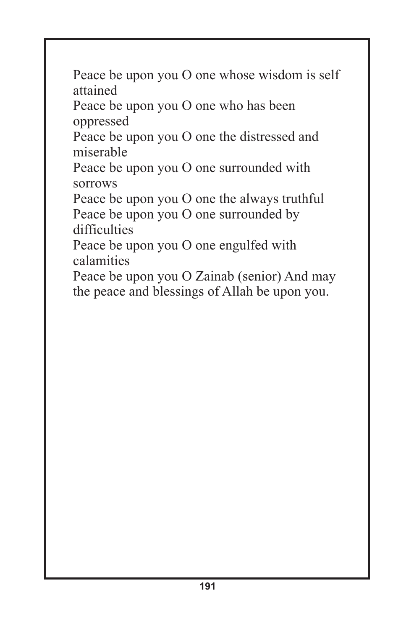Peace be upon you O one whose wisdom is self attained

Peace be upon you O one who has been oppressed

Peace be upon you O one the distressed and miserable

Peace be upon you O one surrounded with sorrows

Peace be upon you O one the always truthful Peace be upon you O one surrounded by difficulties

Peace be upon you O one engulfed with calamities

Peace be upon you O Zainab (senior) And may the peace and blessings of Allah be upon you.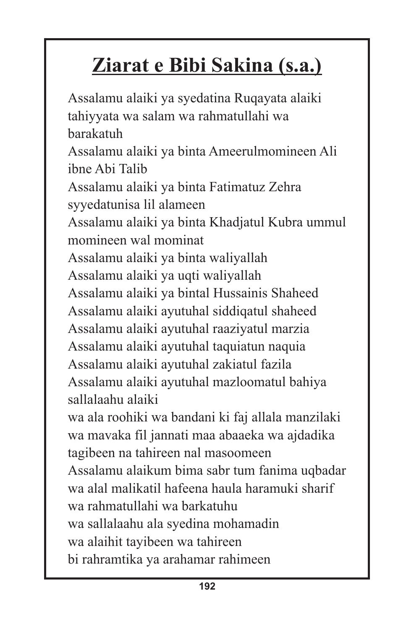# **Ziarat e Bibi Sakina (s.a.)**

Assalamu alaiki ya syedatina Ruqayata alaiki tahiyyata wa salam wa rahmatullahi wa barakatuh Assalamu alaiki ya binta Ameerulmomineen Ali ibne Abi Talib Assalamu alaiki ya binta Fatimatuz Zehra syyedatunisa lil alameen Assalamu alaiki ya binta Khadjatul Kubra ummul momineen wal mominat Assalamu alaiki ya binta waliyallah Assalamu alaiki ya uqti waliyallah Assalamu alaiki ya bintal Hussainis Shaheed Assalamu alaiki ayutuhal siddiqatul shaheed Assalamu alaiki ayutuhal raaziyatul marzia Assalamu alaiki ayutuhal taquiatun naquia Assalamu alaiki ayutuhal zakiatul fazila Assalamu alaiki ayutuhal mazloomatul bahiya sallalaahu alaiki wa ala roohiki wa bandani ki faj allala manzilaki wa mavaka fil jannati maa abaaeka wa ajdadika tagibeen na tahireen nal masoomeen Assalamu alaikum bima sabr tum fanima uqbadar wa alal malikatil hafeena haula haramuki sharif wa rahmatullahi wa barkatuhu wa sallalaahu ala syedina mohamadin wa alaihit tayibeen wa tahireen bi rahramtika ya arahamar rahimeen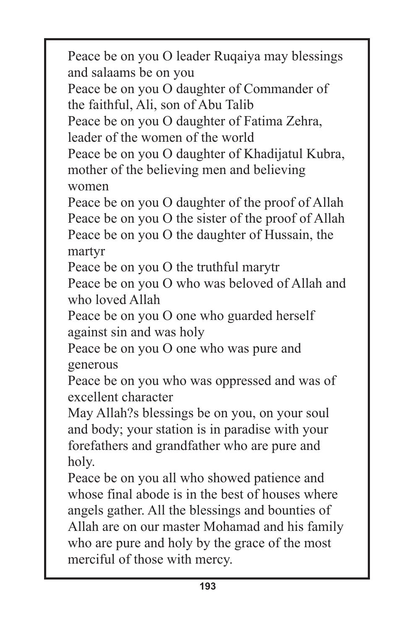Peace be on you O leader Ruqaiya may blessings and salaams be on you

Peace be on you O daughter of Commander of the faithful, Ali, son of Abu Talib

Peace be on you O daughter of Fatima Zehra, leader of the women of the world

Peace be on you O daughter of Khadijatul Kubra, mother of the believing men and believing women

Peace be on you O daughter of the proof of Allah Peace be on you O the sister of the proof of Allah Peace be on you O the daughter of Hussain, the martyr

Peace be on you O the truthful marytr

Peace be on you O who was beloved of Allah and who loved Allah

Peace be on you O one who guarded herself against sin and was holy

Peace be on you O one who was pure and generous

Peace be on you who was oppressed and was of excellent character

May Allah?s blessings be on you, on your soul and body; your station is in paradise with your forefathers and grandfather who are pure and holy.

Peace be on you all who showed patience and whose final abode is in the best of houses where angels gather. All the blessings and bounties of Allah are on our master Mohamad and his family who are pure and holy by the grace of the most merciful of those with mercy.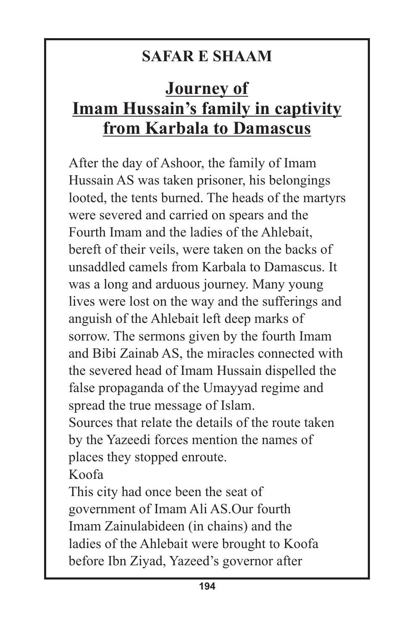#### **SAFAR E SHAAM**

#### **Journey of Imam Hussain's family in captivity from Karbala to Damascus**

After the day of Ashoor, the family of Imam Hussain AS was taken prisoner, his belongings looted, the tents burned. The heads of the martyrs were severed and carried on spears and the Fourth Imam and the ladies of the Ahlebait, bereft of their veils, were taken on the backs of unsaddled camels from Karbala to Damascus. It was a long and arduous journey. Many young lives were lost on the way and the sufferings and anguish of the Ahlebait left deep marks of sorrow. The sermons given by the fourth Imam and Bibi Zainab AS, the miracles connected with the severed head of Imam Hussain dispelled the false propaganda of the Umayyad regime and spread the true message of Islam. Sources that relate the details of the route taken by the Yazeedi forces mention the names of places they stopped enroute. Koofa This city had once been the seat of

government of Imam Ali AS.Our fourth Imam Zainulabideen (in chains) and the ladies of the Ahlebait were brought to Koofa before Ibn Ziyad, Yazeed's governor after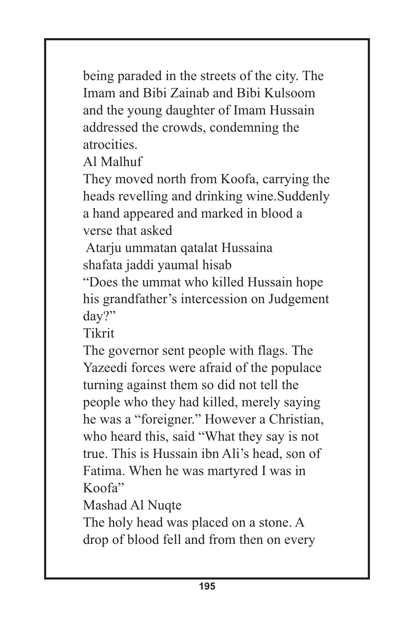being paraded in the streets of the city. The Imam and Bibi Zainab and Bibi Kulsoom and the young daughter of Imam Hussain addressed the crowds, condemning the atrocities.

Al Malhuf

They moved north from Koofa, carrying the heads revelling and drinking wine.Suddenly a hand appeared and marked in blood a verse that asked

Atarju ummatan qatalat Hussaina shafata jaddi yaumal hisab

"Does the ummat who killed Hussain hope his grandfather's intercession on Judgement day?"

Tikrit

The governor sent people with flags. The Yazeedi forces were afraid of the populace turning against them so did not tell the people who they had killed, merely saying he was a "foreigner." However a Christian, who heard this, said "What they say is not true. This is Hussain ibn Ali's head, son of Fatima. When he was martyred I was in Koofa"

Mashad Al Nuqte

The holy head was placed on a stone. A drop of blood fell and from then on every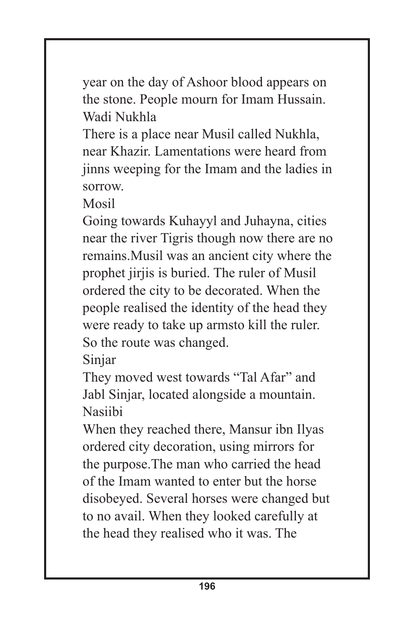year on the day of Ashoor blood appears on the stone. People mourn for Imam Hussain. Wadi Nukhla

There is a place near Musil called Nukhla, near Khazir. Lamentations were heard from jinns weeping for the Imam and the ladies in sorrow.

Mosil

Going towards Kuhayyl and Juhayna, cities near the river Tigris though now there are no remains.Musil was an ancient city where the prophet jirjis is buried. The ruler of Musil ordered the city to be decorated. When the people realised the identity of the head they were ready to take up armsto kill the ruler. So the route was changed.

Sinjar

They moved west towards "Tal Afar" and Jabl Sinjar, located alongside a mountain. Nasiibi

When they reached there, Mansur ibn Ilyas ordered city decoration, using mirrors for the purpose.The man who carried the head of the Imam wanted to enter but the horse disobeyed. Several horses were changed but to no avail. When they looked carefully at the head they realised who it was. The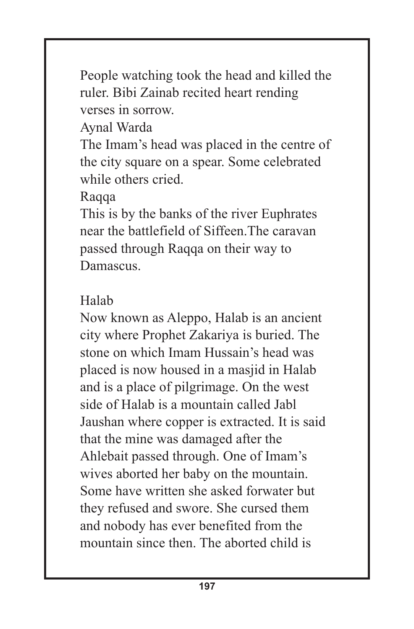People watching took the head and killed the ruler. Bibi Zainab recited heart rending verses in sorrow.

Aynal Warda

The Imam's head was placed in the centre of the city square on a spear. Some celebrated while others cried.

Raqqa

This is by the banks of the river Euphrates near the battlefield of Siffeen.The caravan passed through Raqqa on their way to Damascus.

#### Halab

Now known as Aleppo, Halab is an ancient city where Prophet Zakariya is buried. The stone on which Imam Hussain's head was placed is now housed in a masjid in Halab and is a place of pilgrimage. On the west side of Halab is a mountain called Jabl Jaushan where copper is extracted. It is said that the mine was damaged after the Ahlebait passed through. One of Imam's wives aborted her baby on the mountain. Some have written she asked forwater but they refused and swore. She cursed them and nobody has ever benefited from the mountain since then. The aborted child is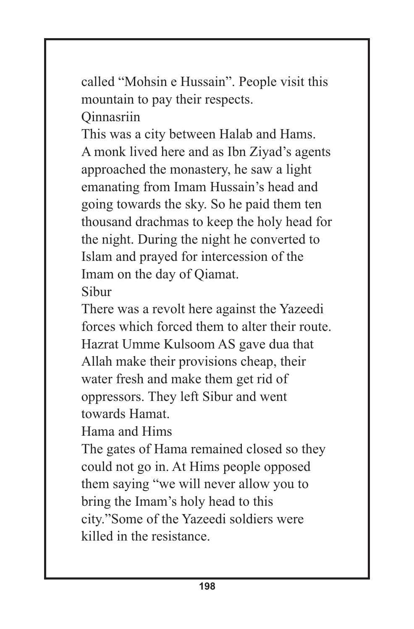called "Mohsin e Hussain". People visit this mountain to pay their respects. **Qinnasriin** 

This was a city between Halab and Hams. A monk lived here and as Ibn Ziyad's agents approached the monastery, he saw a light emanating from Imam Hussain's head and going towards the sky. So he paid them ten thousand drachmas to keep the holy head for the night. During the night he converted to Islam and prayed for intercession of the Imam on the day of Qiamat. Sibur

There was a revolt here against the Yazeedi forces which forced them to alter their route. Hazrat Umme Kulsoom AS gave dua that Allah make their provisions cheap, their water fresh and make them get rid of oppressors. They left Sibur and went towards Hamat.

Hama and Hims

The gates of Hama remained closed so they could not go in. At Hims people opposed them saying "we will never allow you to bring the Imam's holy head to this city."Some of the Yazeedi soldiers were killed in the resistance.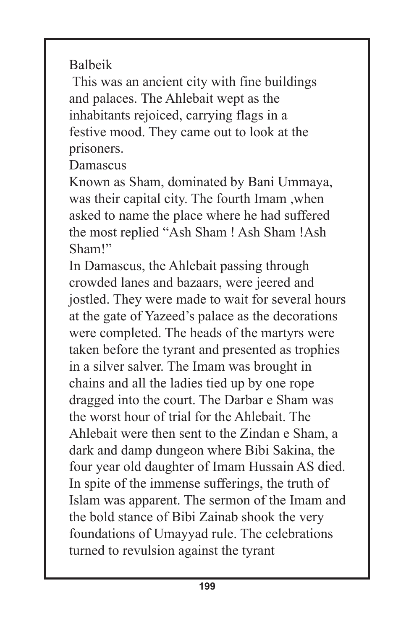Balbeik

This was an ancient city with fine buildings and palaces. The Ahlebait wept as the inhabitants rejoiced, carrying flags in a festive mood. They came out to look at the prisoners.

Damascus

Known as Sham, dominated by Bani Ummaya, was their capital city. The fourth Imam ,when asked to name the place where he had suffered the most replied "Ash Sham ! Ash Sham !Ash Sham!"

In Damascus, the Ahlebait passing through crowded lanes and bazaars, were jeered and jostled. They were made to wait for several hours at the gate of Yazeed's palace as the decorations were completed. The heads of the martyrs were taken before the tyrant and presented as trophies in a silver salver. The Imam was brought in chains and all the ladies tied up by one rope dragged into the court. The Darbar e Sham was the worst hour of trial for the Ahlebait. The Ahlebait were then sent to the Zindan e Sham, a dark and damp dungeon where Bibi Sakina, the four year old daughter of Imam Hussain AS died. In spite of the immense sufferings, the truth of Islam was apparent. The sermon of the Imam and the bold stance of Bibi Zainab shook the very foundations of Umayyad rule. The celebrations turned to revulsion against the tyrant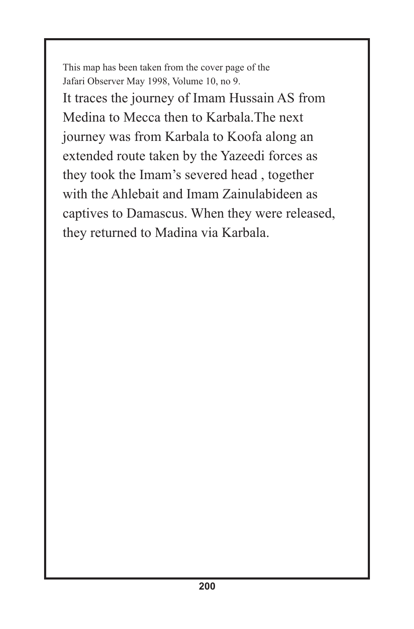This map has been taken from the cover page of the Jafari Observer May 1998, Volume 10, no 9. It traces the journey of Imam Hussain AS from Medina to Mecca then to Karbala.The next journey was from Karbala to Koofa along an extended route taken by the Yazeedi forces as they took the Imam's severed head , together with the Ahlebait and Imam Zainulabideen as captives to Damascus. When they were released, they returned to Madina via Karbala.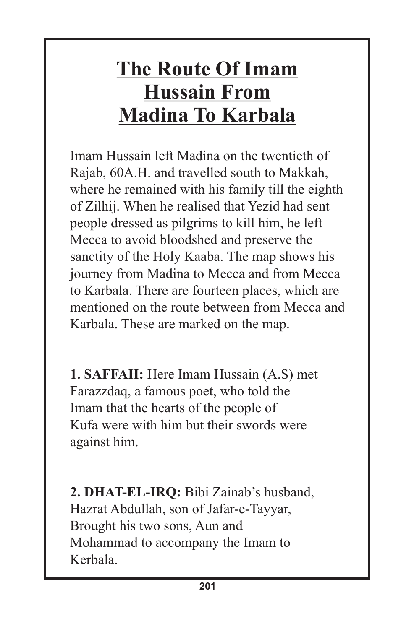### **The Route Of Imam Hussain From Madina To Karbala**

Imam Hussain left Madina on the twentieth of Rajab, 60A.H. and travelled south to Makkah, where he remained with his family till the eighth of Zilhij. When he realised that Yezid had sent people dressed as pilgrims to kill him, he left Mecca to avoid bloodshed and preserve the sanctity of the Holy Kaaba. The map shows his journey from Madina to Mecca and from Mecca to Karbala. There are fourteen places, which are mentioned on the route between from Mecca and Karbala. These are marked on the map.

**1. SAFFAH:** Here Imam Hussain (A.S) met Farazzdaq, a famous poet, who told the Imam that the hearts of the people of Kufa were with him but their swords were against him.

**2. DHAT-EL-IRQ:** Bibi Zainab's husband, Hazrat Abdullah, son of Jafar-e-Tayyar, Brought his two sons, Aun and Mohammad to accompany the Imam to Kerbala.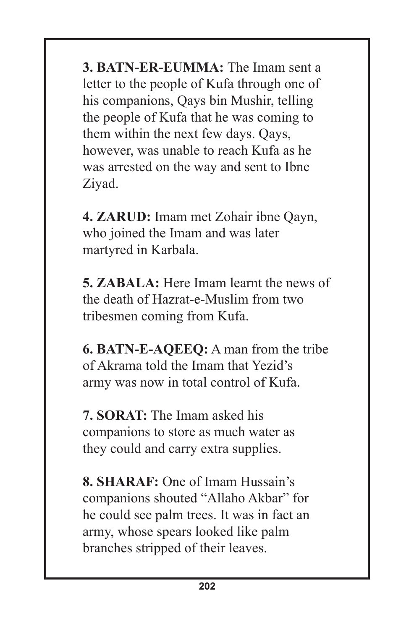**3. BATN-ER-EUMMA:** The Imam sent a letter to the people of Kufa through one of his companions, Qays bin Mushir, telling the people of Kufa that he was coming to them within the next few days. Qays, however, was unable to reach Kufa as he was arrested on the way and sent to Ibne Ziyad.

**4. ZARUD:** Imam met Zohair ibne Qayn, who joined the Imam and was later martyred in Karbala.

**5. ZABALA:** Here Imam learnt the news of the death of Hazrat-e-Muslim from two tribesmen coming from Kufa.

**6. BATN-E-AQEEQ:** A man from the tribe of Akrama told the Imam that Yezid's army was now in total control of Kufa.

**7. SORAT:** The Imam asked his companions to store as much water as they could and carry extra supplies.

**8. SHARAF:** One of Imam Hussain's companions shouted "Allaho Akbar" for he could see palm trees. It was in fact an army, whose spears looked like palm branches stripped of their leaves.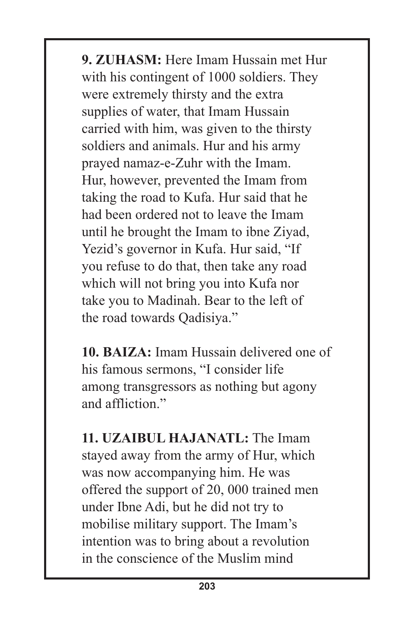**9. ZUHASM:** Here Imam Hussain met Hur with his contingent of 1000 soldiers. They were extremely thirsty and the extra supplies of water, that Imam Hussain carried with him, was given to the thirsty soldiers and animals. Hur and his army prayed namaz-e-Zuhr with the Imam. Hur, however, prevented the Imam from taking the road to Kufa. Hur said that he had been ordered not to leave the Imam until he brought the Imam to ibne Ziyad, Yezid's governor in Kufa. Hur said, "If you refuse to do that, then take any road which will not bring you into Kufa nor take you to Madinah. Bear to the left of the road towards Qadisiya."

**10. BAIZA:** Imam Hussain delivered one of his famous sermons, "I consider life among transgressors as nothing but agony and affliction"

**11. UZAIBUL HAJANATL:** The Imam stayed away from the army of Hur, which was now accompanying him. He was offered the support of 20, 000 trained men under Ibne Adi, but he did not try to mobilise military support. The Imam's intention was to bring about a revolution in the conscience of the Muslim mind